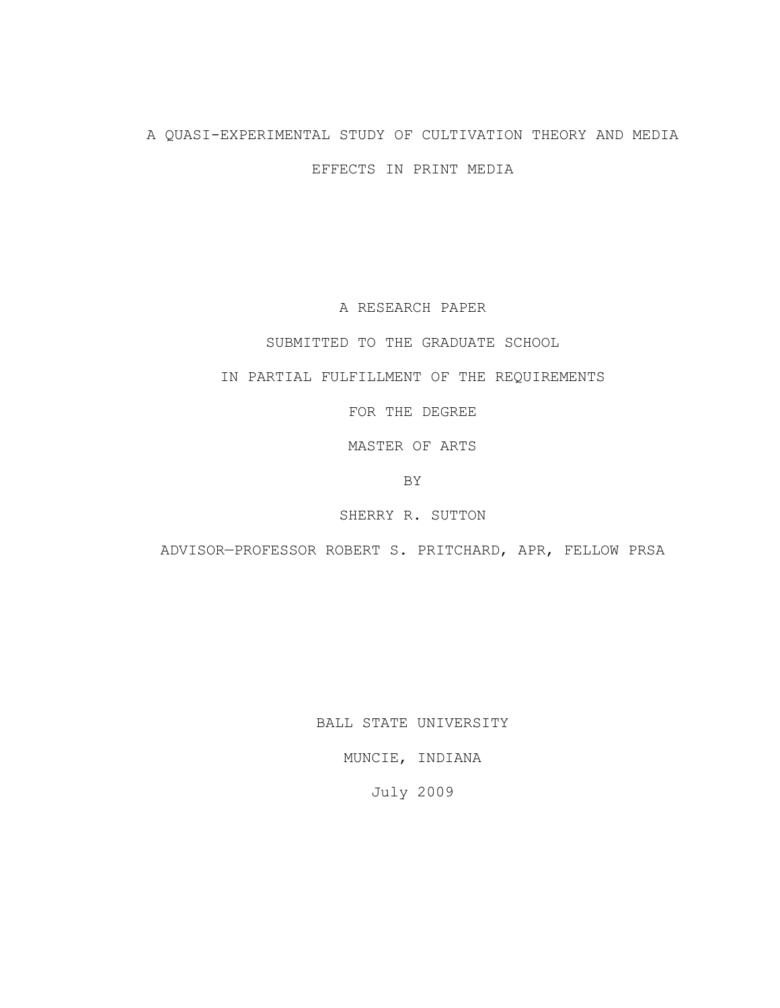# A QUASI-EXPERIMENTAL STUDY OF CULTIVATION THEORY AND MEDIA

EFFECTS IN PRINT MEDIA

A RESEARCH PAPER

SUBMITTED TO THE GRADUATE SCHOOL

IN PARTIAL FULFILLMENT OF THE REQUIREMENTS

FOR THE DEGREE

MASTER OF ARTS

BY

SHERRY R. SUTTON

ADVISOR—PROFESSOR ROBERT S. PRITCHARD, APR, FELLOW PRSA

BALL STATE UNIVERSITY

MUNCIE, INDIANA

July 2009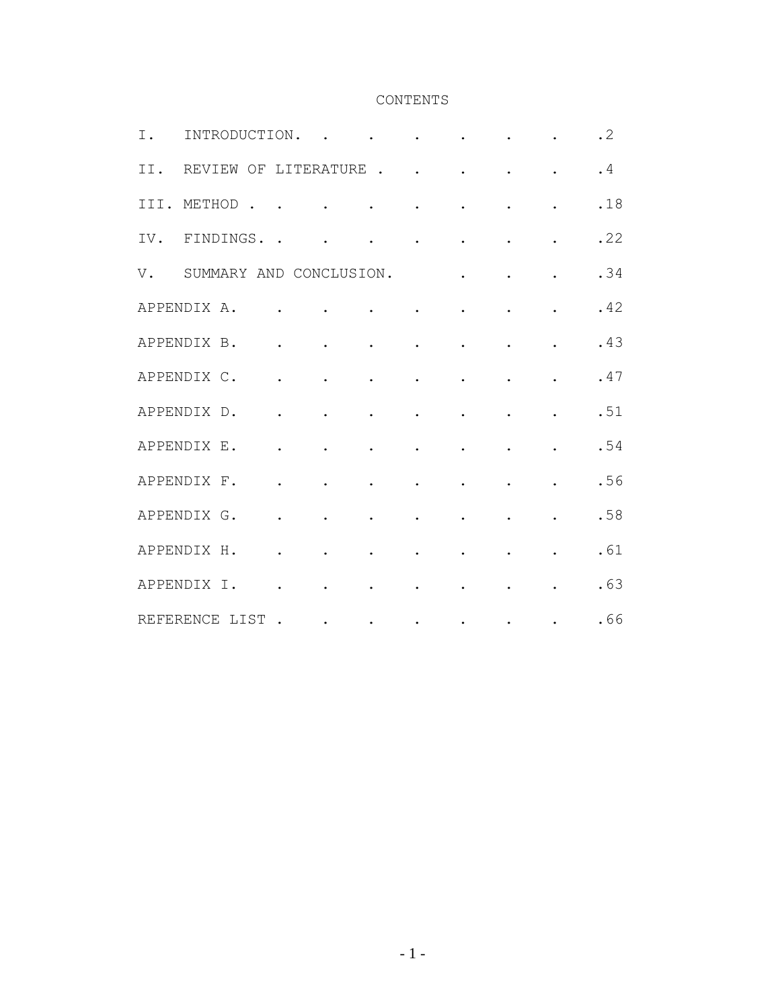# CONTENTS

| I.  | INTRODUCTION.           |                                     |                         |                                                                                                                                                                                                                                           |                                                             |                                                                                                           | $\mathbf{L}$ and $\mathbf{L}$ | $\ddot{\phantom{a}}$ | $\cdot$ 2 |
|-----|-------------------------|-------------------------------------|-------------------------|-------------------------------------------------------------------------------------------------------------------------------------------------------------------------------------------------------------------------------------------|-------------------------------------------------------------|-----------------------------------------------------------------------------------------------------------|-------------------------------|----------------------|-----------|
| II. | REVIEW OF LITERATURE    |                                     |                         |                                                                                                                                                                                                                                           |                                                             |                                                                                                           |                               | $\ddot{\phantom{0}}$ | .4        |
|     | III. METHOD.            |                                     |                         |                                                                                                                                                                                                                                           |                                                             |                                                                                                           | $\ddot{\phantom{0}}$          |                      | .18       |
|     | IV. FINDINGS            |                                     |                         | $\mathcal{A}$ , and $\mathcal{A}$ , and $\mathcal{A}$ , and $\mathcal{A}$                                                                                                                                                                 |                                                             |                                                                                                           | $\ddot{\phantom{0}}$          | $\ddot{\phantom{0}}$ | .22       |
| V.  | SUMMARY AND CONCLUSION. |                                     |                         |                                                                                                                                                                                                                                           | <b>Contractor</b>                                           |                                                                                                           | $\ddot{\phantom{0}}$          | $\ddot{\phantom{0}}$ | .34       |
|     | APPENDIX A.             | and the contract of the contract of |                         |                                                                                                                                                                                                                                           |                                                             | $\mathbf{r}^{\prime}$ , and $\mathbf{r}^{\prime}$ , and $\mathbf{r}^{\prime}$ , and $\mathbf{r}^{\prime}$ | $\ddot{\phantom{0}}$          | $\ddot{\phantom{0}}$ | .42       |
|     | APPENDIX B.             | $\mathbf{L}$                        | $\sim 100$ km s $^{-1}$ | $\bullet$ . The same $\bullet$                                                                                                                                                                                                            | $\mathbf{L}^{\text{max}}$                                   | $\mathcal{L}^{\text{max}}$                                                                                |                               |                      | .43       |
|     | APPENDIX C.             | $\ddot{\phantom{a}}$                |                         | $\ddot{\phantom{a}}$                                                                                                                                                                                                                      | $\bullet$ .                                                 | $\ddot{\phantom{a}}$                                                                                      | $\ddot{\phantom{a}}$          | $\ddot{\phantom{0}}$ | .47       |
|     | APPENDIX D.             | $\ddot{\phantom{a}}$                |                         | $\bullet$                                                                                                                                                                                                                                 | $\bullet$ .<br><br><br><br><br><br><br><br><br><br><br><br> | $\bullet$                                                                                                 | $\ddot{\phantom{0}}$          | $\ddot{\phantom{0}}$ | .51       |
|     | APPENDIX E.             | $\ddot{\phantom{0}}$                |                         |                                                                                                                                                                                                                                           | $\bullet$ .                                                 | $\ddot{\phantom{a}}$                                                                                      |                               | $\ddot{\phantom{0}}$ | .54       |
|     | APPENDIX F.             | $\ddot{\phantom{a}}$                | $\ddot{\phantom{a}}$    | $\bullet$ . The same $\alpha$                                                                                                                                                                                                             | $\mathbf{L}^{\text{max}}$                                   | $\sim 10$                                                                                                 | $\ddot{\phantom{0}}$          |                      | .56       |
|     | APPENDIX G.             | $\ddot{\phantom{a}}$                | $\bullet$ .             | $\bullet$ .                                                                                                                                                                                                                               | $\bullet$ .<br><br><br><br><br><br><br><br><br><br><br><br> | $\sim$ 100 $\pm$ 100 $\pm$                                                                                | $\bullet$                     | $\ddot{\phantom{0}}$ | .58       |
|     | APPENDIX H.             | $\mathbf{r}$                        | $\sim$                  | $\mathbf{r} = \mathbf{r} \cdot \mathbf{r}$ .                                                                                                                                                                                              |                                                             | $\ddot{\phantom{a}}$                                                                                      | $\ddot{\phantom{a}}$          |                      | .61       |
|     | APPENDIX I.             | $\ddot{\phantom{0}}$                |                         | <b>Contract Contract Contract</b>                                                                                                                                                                                                         |                                                             |                                                                                                           |                               |                      | .63       |
|     | REFERENCE LIST          | $\sim$                              |                         | $\mathcal{L}^{\mathcal{A}}$ , and the contribution of the contribution of the contribution of the contribution of the contribution of the contribution of the contribution of the contribution of the contribution of the contribution of |                                                             |                                                                                                           |                               | $\bullet$            | .66       |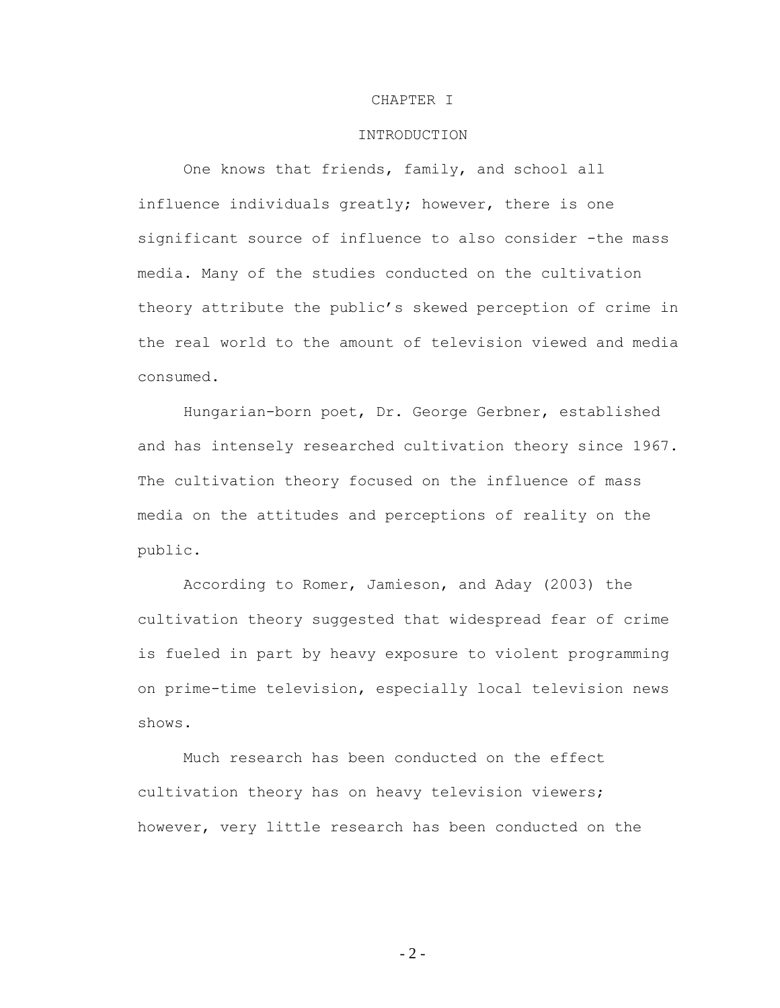### CHAPTER I

# INTRODUCTION

One knows that friends, family, and school all influence individuals greatly; however, there is one significant source of influence to also consider -the mass media. Many of the studies conducted on the cultivation theory attribute the public"s skewed perception of crime in the real world to the amount of television viewed and media consumed.

Hungarian-born poet, Dr. George Gerbner, established and has intensely researched cultivation theory since 1967. The cultivation theory focused on the influence of mass media on the attitudes and perceptions of reality on the public.

According to Romer, Jamieson, and Aday (2003) the cultivation theory suggested that widespread fear of crime is fueled in part by heavy exposure to violent programming on prime-time television, especially local television news shows.

Much research has been conducted on the effect cultivation theory has on heavy television viewers; however, very little research has been conducted on the

- 2 -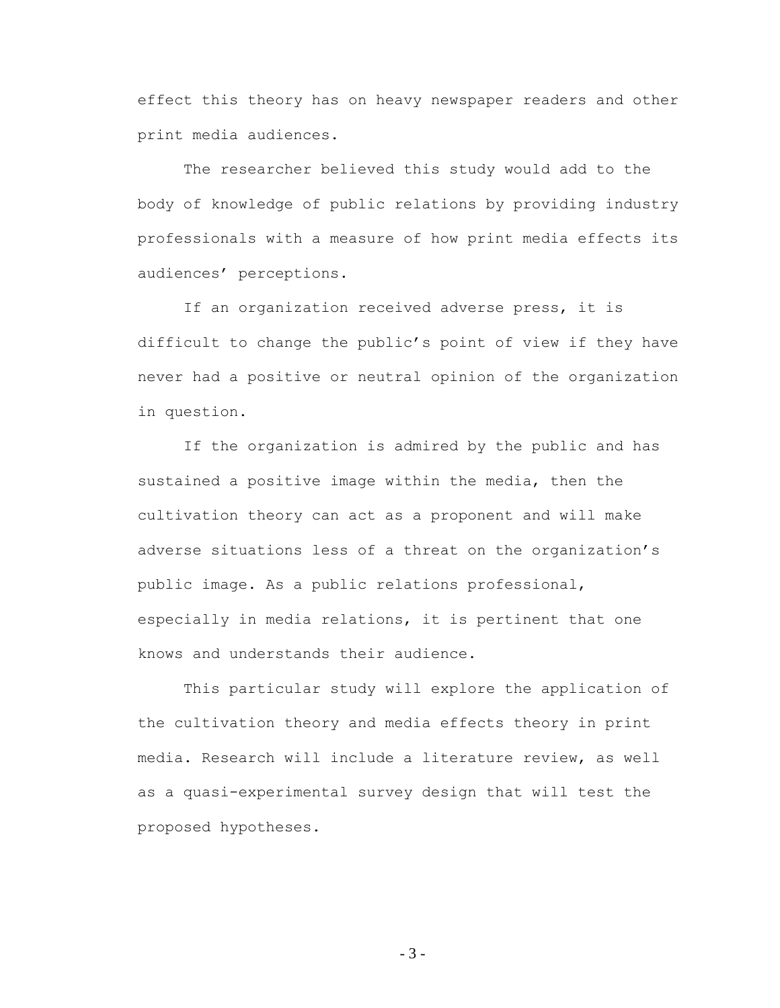effect this theory has on heavy newspaper readers and other print media audiences.

The researcher believed this study would add to the body of knowledge of public relations by providing industry professionals with a measure of how print media effects its audiences' perceptions.

If an organization received adverse press, it is difficult to change the public"s point of view if they have never had a positive or neutral opinion of the organization in question.

If the organization is admired by the public and has sustained a positive image within the media, then the cultivation theory can act as a proponent and will make adverse situations less of a threat on the organization"s public image. As a public relations professional, especially in media relations, it is pertinent that one knows and understands their audience.

This particular study will explore the application of the cultivation theory and media effects theory in print media. Research will include a literature review, as well as a quasi-experimental survey design that will test the proposed hypotheses.

- 3 -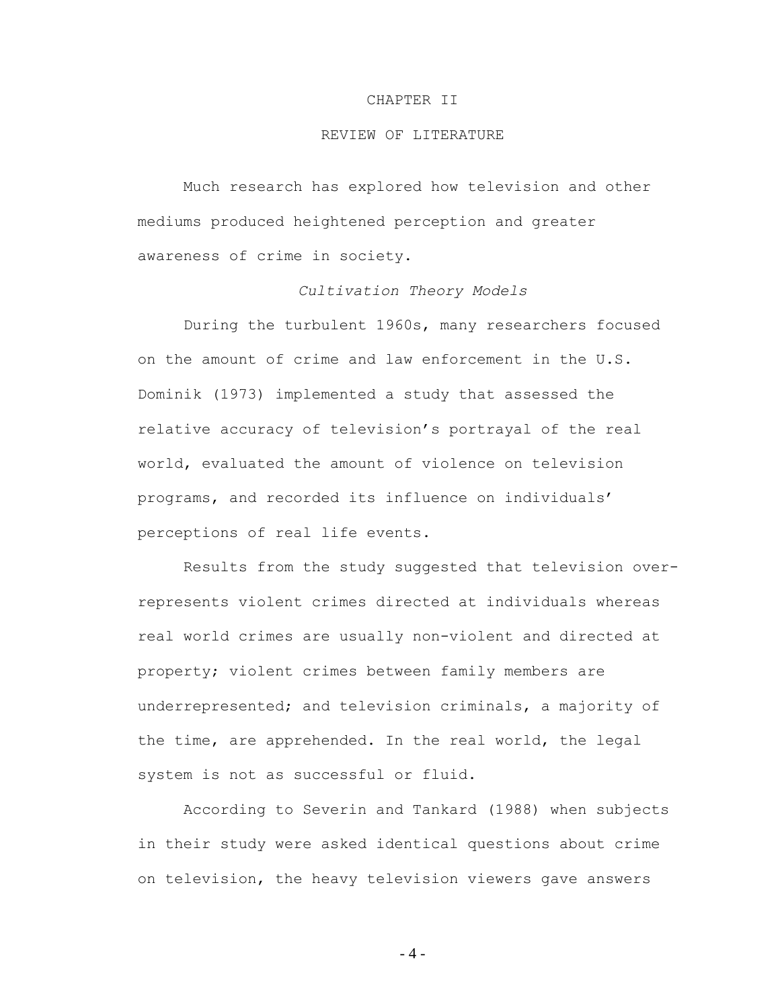#### CHAPTER II

# REVIEW OF LITERATURE

Much research has explored how television and other mediums produced heightened perception and greater awareness of crime in society.

# *Cultivation Theory Models*

During the turbulent 1960s, many researchers focused on the amount of crime and law enforcement in the U.S. Dominik (1973) implemented a study that assessed the relative accuracy of television"s portrayal of the real world, evaluated the amount of violence on television programs, and recorded its influence on individuals" perceptions of real life events.

Results from the study suggested that television overrepresents violent crimes directed at individuals whereas real world crimes are usually non-violent and directed at property; violent crimes between family members are underrepresented; and television criminals, a majority of the time, are apprehended. In the real world, the legal system is not as successful or fluid.

According to Severin and Tankard (1988) when subjects in their study were asked identical questions about crime on television, the heavy television viewers gave answers

- 4 -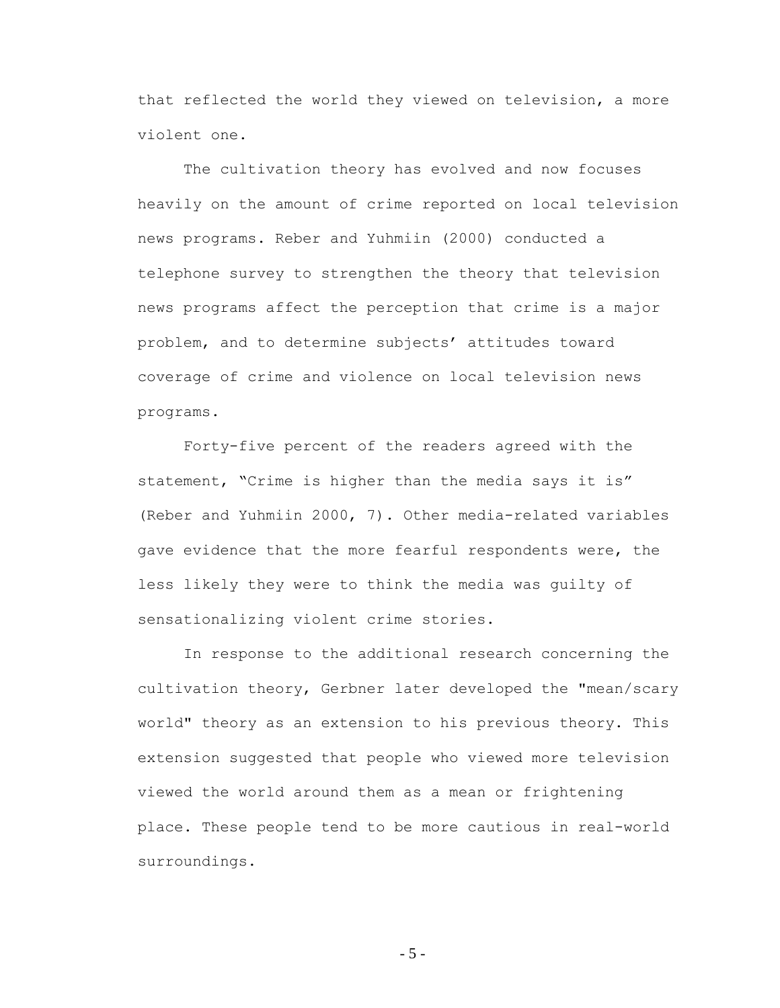that reflected the world they viewed on television, a more violent one.

The cultivation theory has evolved and now focuses heavily on the amount of crime reported on local television news programs. Reber and Yuhmiin (2000) conducted a telephone survey to strengthen the theory that television news programs affect the perception that crime is a major problem, and to determine subjects' attitudes toward coverage of crime and violence on local television news programs.

Forty-five percent of the readers agreed with the statement, "Crime is higher than the media says it is" (Reber and Yuhmiin 2000, 7). Other media-related variables gave evidence that the more fearful respondents were, the less likely they were to think the media was guilty of sensationalizing violent crime stories.

In response to the additional research concerning the cultivation theory, Gerbner later developed the "mean/scary world" theory as an extension to his previous theory. This extension suggested that people who viewed more television viewed the world around them as a mean or frightening place. These people tend to be more cautious in real-world surroundings.

- 5 -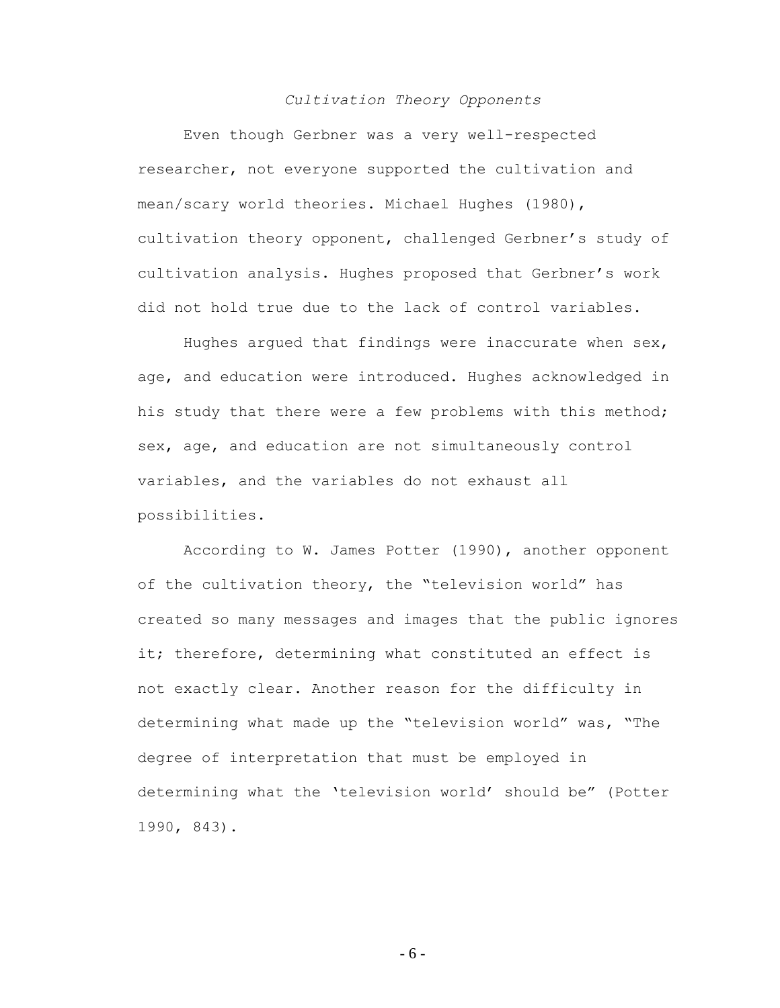# *Cultivation Theory Opponents*

Even though Gerbner was a very well-respected researcher, not everyone supported the cultivation and mean/scary world theories. Michael Hughes (1980), cultivation theory opponent, challenged Gerbner"s study of cultivation analysis. Hughes proposed that Gerbner"s work did not hold true due to the lack of control variables.

Hughes argued that findings were inaccurate when  $sex$ , age, and education were introduced. Hughes acknowledged in his study that there were a few problems with this method; sex, age, and education are not simultaneously control variables, and the variables do not exhaust all possibilities.

According to W. James Potter (1990), another opponent of the cultivation theory, the "television world" has created so many messages and images that the public ignores it; therefore, determining what constituted an effect is not exactly clear. Another reason for the difficulty in determining what made up the "television world" was, "The degree of interpretation that must be employed in determining what the "television world" should be" (Potter 1990, 843).

- 6 -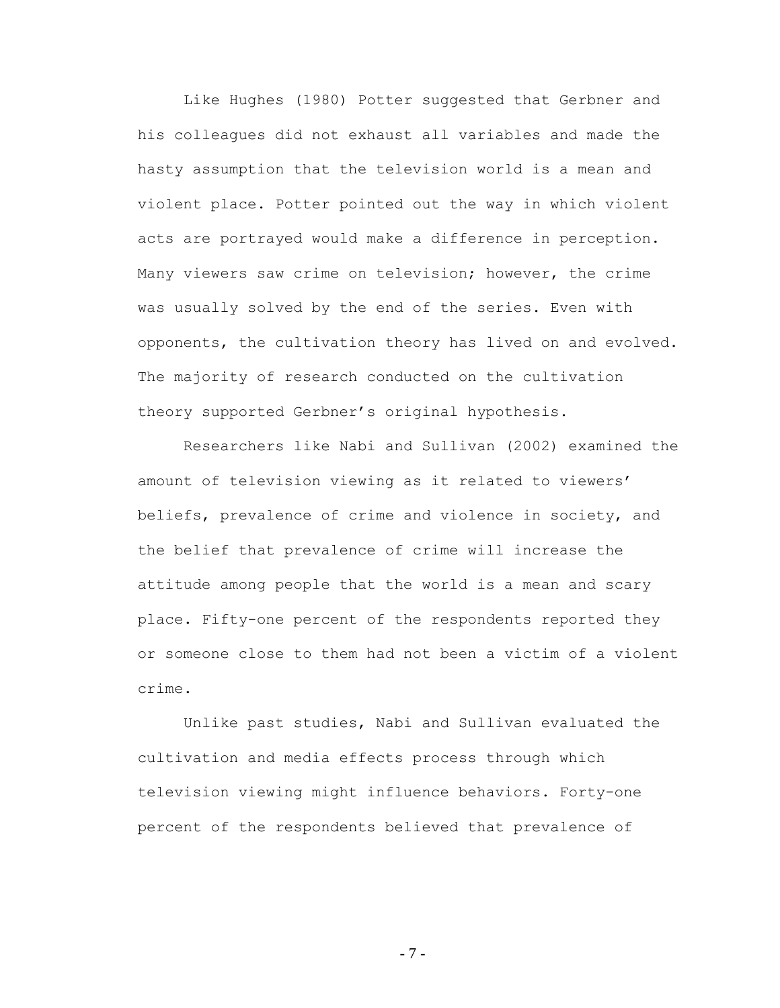Like Hughes (1980) Potter suggested that Gerbner and his colleagues did not exhaust all variables and made the hasty assumption that the television world is a mean and violent place. Potter pointed out the way in which violent acts are portrayed would make a difference in perception. Many viewers saw crime on television; however, the crime was usually solved by the end of the series. Even with opponents, the cultivation theory has lived on and evolved. The majority of research conducted on the cultivation theory supported Gerbner"s original hypothesis.

Researchers like Nabi and Sullivan (2002) examined the amount of television viewing as it related to viewers' beliefs, prevalence of crime and violence in society, and the belief that prevalence of crime will increase the attitude among people that the world is a mean and scary place. Fifty-one percent of the respondents reported they or someone close to them had not been a victim of a violent crime.

Unlike past studies, Nabi and Sullivan evaluated the cultivation and media effects process through which television viewing might influence behaviors. Forty-one percent of the respondents believed that prevalence of

- 7 -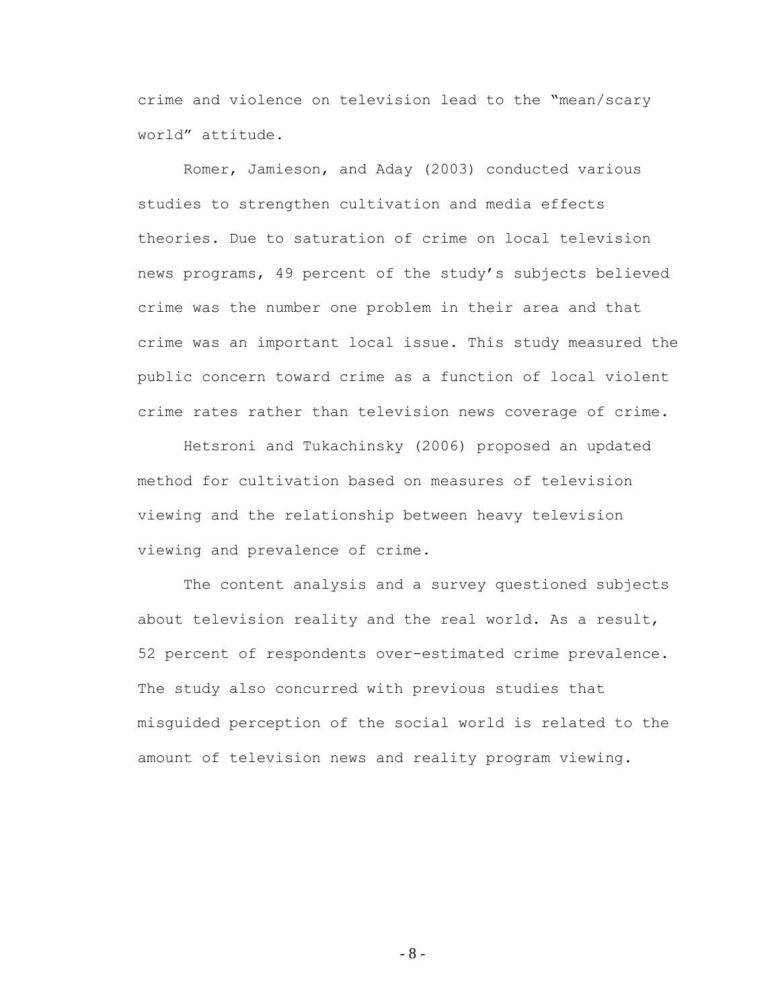crime and violence on television lead to the "mean/scary world" attitude.

Romer, Jamieson, and Aday (2003) conducted various studies to strengthen cultivation and media effects theories. Due to saturation of crime on local television news programs, 49 percent of the study"s subjects believed crime was the number one problem in their area and that crime was an important local issue. This study measured the public concern toward crime as a function of local violent crime rates rather than television news coverage of crime.

Hetsroni and Tukachinsky (2006) proposed an updated method for cultivation based on measures of television viewing and the relationship between heavy television viewing and prevalence of crime.

The content analysis and a survey questioned subjects about television reality and the real world. As a result, 52 percent of respondents over-estimated crime prevalence. The study also concurred with previous studies that misguided perception of the social world is related to the amount of television news and reality program viewing.

- 8 -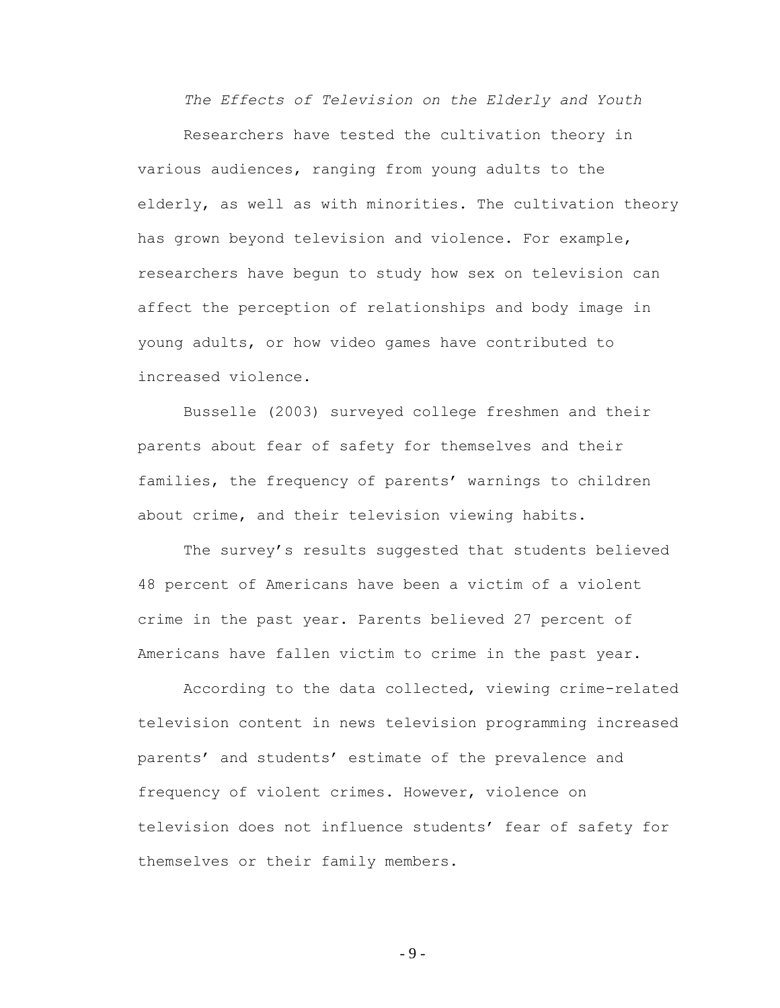*The Effects of Television on the Elderly and Youth*

Researchers have tested the cultivation theory in various audiences, ranging from young adults to the elderly, as well as with minorities. The cultivation theory has grown beyond television and violence. For example, researchers have begun to study how sex on television can affect the perception of relationships and body image in young adults, or how video games have contributed to increased violence.

Busselle (2003) surveyed college freshmen and their parents about fear of safety for themselves and their families, the frequency of parents' warnings to children about crime, and their television viewing habits.

The survey"s results suggested that students believed 48 percent of Americans have been a victim of a violent crime in the past year. Parents believed 27 percent of Americans have fallen victim to crime in the past year.

According to the data collected, viewing crime-related television content in news television programming increased parents' and students' estimate of the prevalence and frequency of violent crimes. However, violence on television does not influence students" fear of safety for themselves or their family members.

- 9 -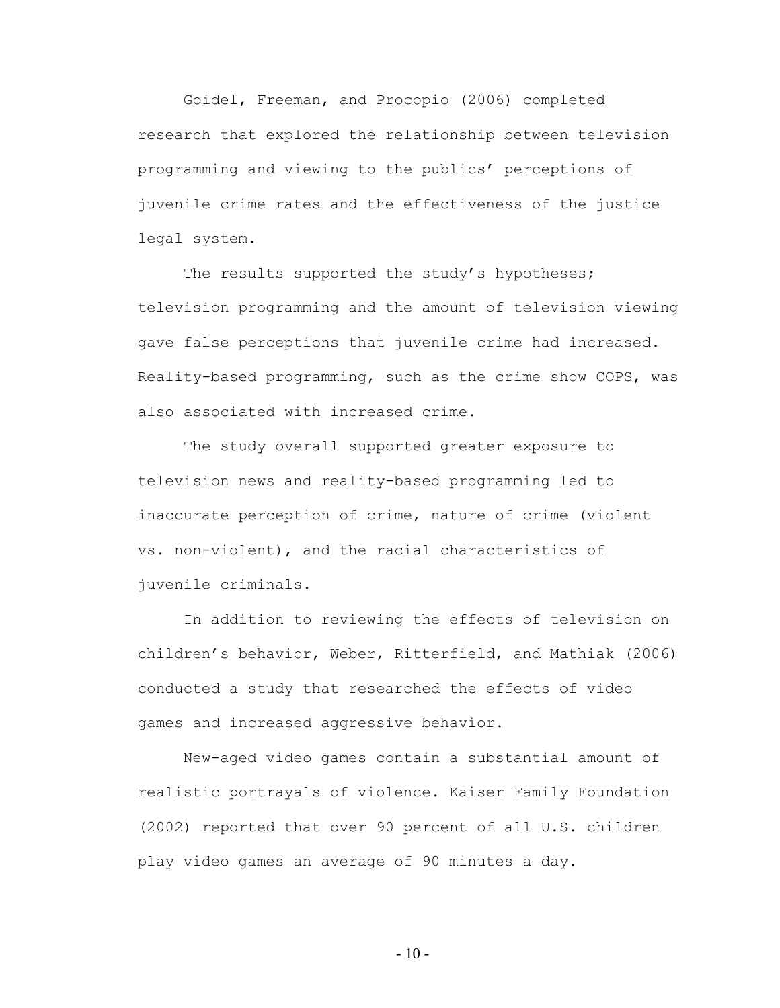Goidel, Freeman, and Procopio (2006) completed research that explored the relationship between television programming and viewing to the publics' perceptions of juvenile crime rates and the effectiveness of the justice legal system.

The results supported the study's hypotheses; television programming and the amount of television viewing gave false perceptions that juvenile crime had increased. Reality-based programming, such as the crime show COPS, was also associated with increased crime.

The study overall supported greater exposure to television news and reality-based programming led to inaccurate perception of crime, nature of crime (violent vs. non-violent), and the racial characteristics of juvenile criminals.

In addition to reviewing the effects of television on children"s behavior, Weber, Ritterfield, and Mathiak (2006) conducted a study that researched the effects of video games and increased aggressive behavior.

New-aged video games contain a substantial amount of realistic portrayals of violence. Kaiser Family Foundation (2002) reported that over 90 percent of all U.S. children play video games an average of 90 minutes a day.

 $-10-$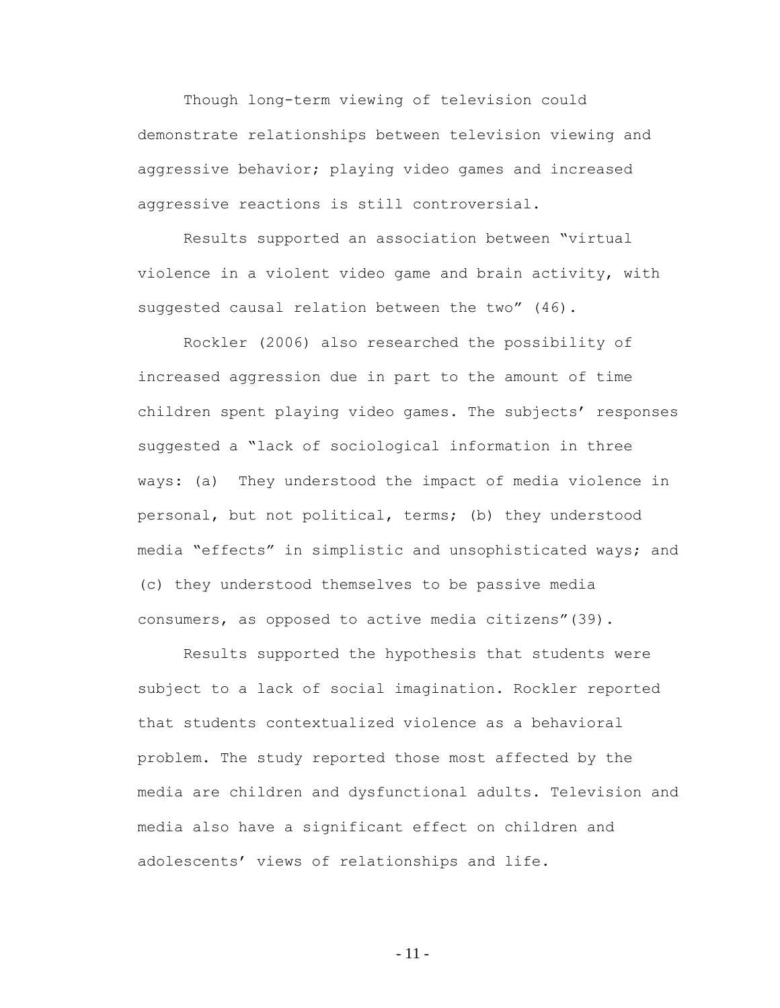Though long-term viewing of television could demonstrate relationships between television viewing and aggressive behavior; playing video games and increased aggressive reactions is still controversial.

Results supported an association between "virtual violence in a violent video game and brain activity, with suggested causal relation between the two" (46).

Rockler (2006) also researched the possibility of increased aggression due in part to the amount of time children spent playing video games. The subjects' responses suggested a "lack of sociological information in three ways: (a) They understood the impact of media violence in personal, but not political, terms; (b) they understood media "effects" in simplistic and unsophisticated ways; and (c) they understood themselves to be passive media consumers, as opposed to active media citizens"(39).

Results supported the hypothesis that students were subject to a lack of social imagination. Rockler reported that students contextualized violence as a behavioral problem. The study reported those most affected by the media are children and dysfunctional adults. Television and media also have a significant effect on children and adolescents' views of relationships and life.

- 11 -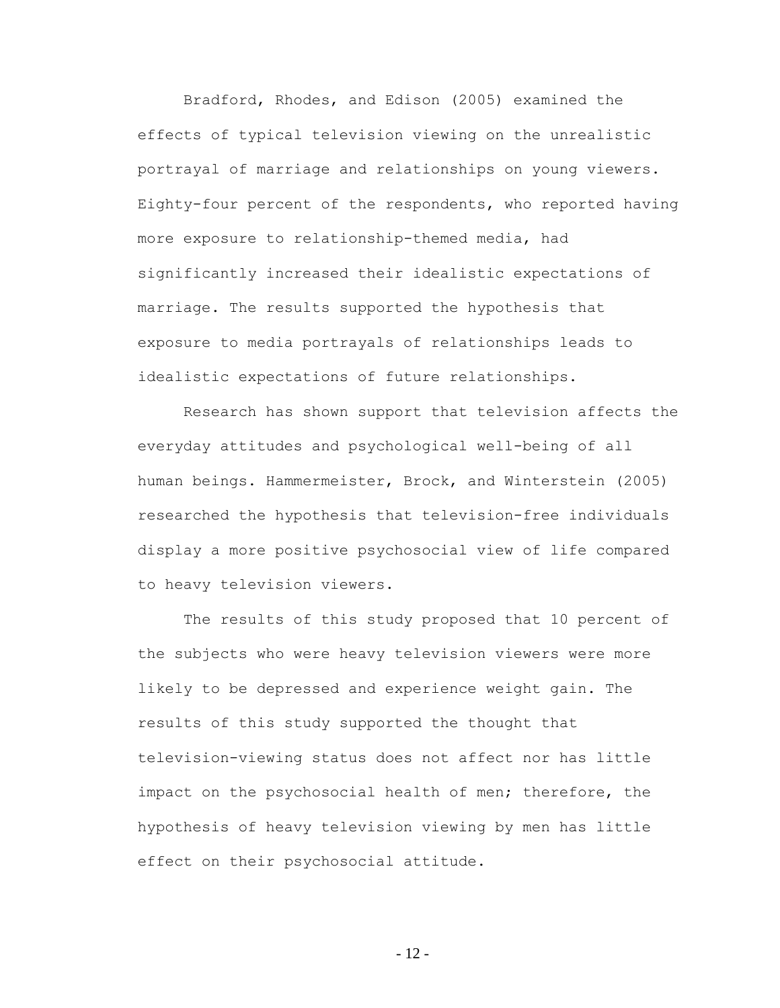Bradford, Rhodes, and Edison (2005) examined the effects of typical television viewing on the unrealistic portrayal of marriage and relationships on young viewers. Eighty-four percent of the respondents, who reported having more exposure to relationship-themed media, had significantly increased their idealistic expectations of marriage. The results supported the hypothesis that exposure to media portrayals of relationships leads to idealistic expectations of future relationships.

Research has shown support that television affects the everyday attitudes and psychological well-being of all human beings. Hammermeister, Brock, and Winterstein (2005) researched the hypothesis that television-free individuals display a more positive psychosocial view of life compared to heavy television viewers.

The results of this study proposed that 10 percent of the subjects who were heavy television viewers were more likely to be depressed and experience weight gain. The results of this study supported the thought that television-viewing status does not affect nor has little impact on the psychosocial health of men; therefore, the hypothesis of heavy television viewing by men has little effect on their psychosocial attitude.

- 12 -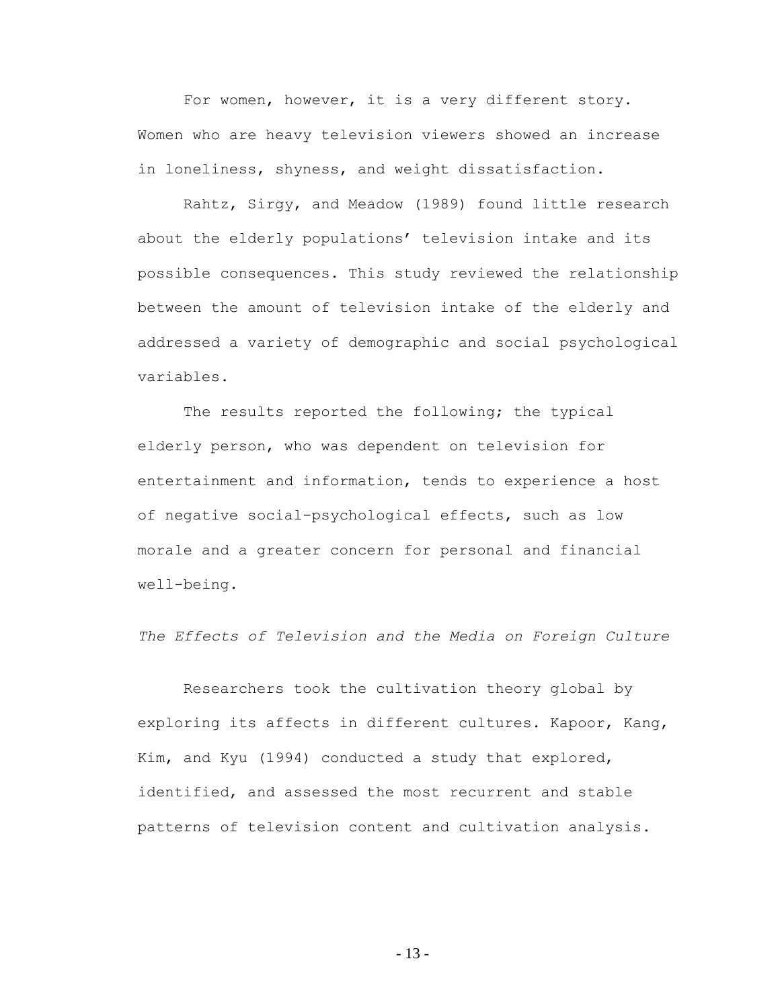For women, however, it is a very different story. Women who are heavy television viewers showed an increase in loneliness, shyness, and weight dissatisfaction.

Rahtz, Sirgy, and Meadow (1989) found little research about the elderly populations' television intake and its possible consequences. This study reviewed the relationship between the amount of television intake of the elderly and addressed a variety of demographic and social psychological variables.

The results reported the following; the typical elderly person, who was dependent on television for entertainment and information, tends to experience a host of negative social-psychological effects, such as low morale and a greater concern for personal and financial well-being.

*The Effects of Television and the Media on Foreign Culture*

Researchers took the cultivation theory global by exploring its affects in different cultures. Kapoor, Kang, Kim, and Kyu (1994) conducted a study that explored, identified, and assessed the most recurrent and stable patterns of television content and cultivation analysis.

- 13 -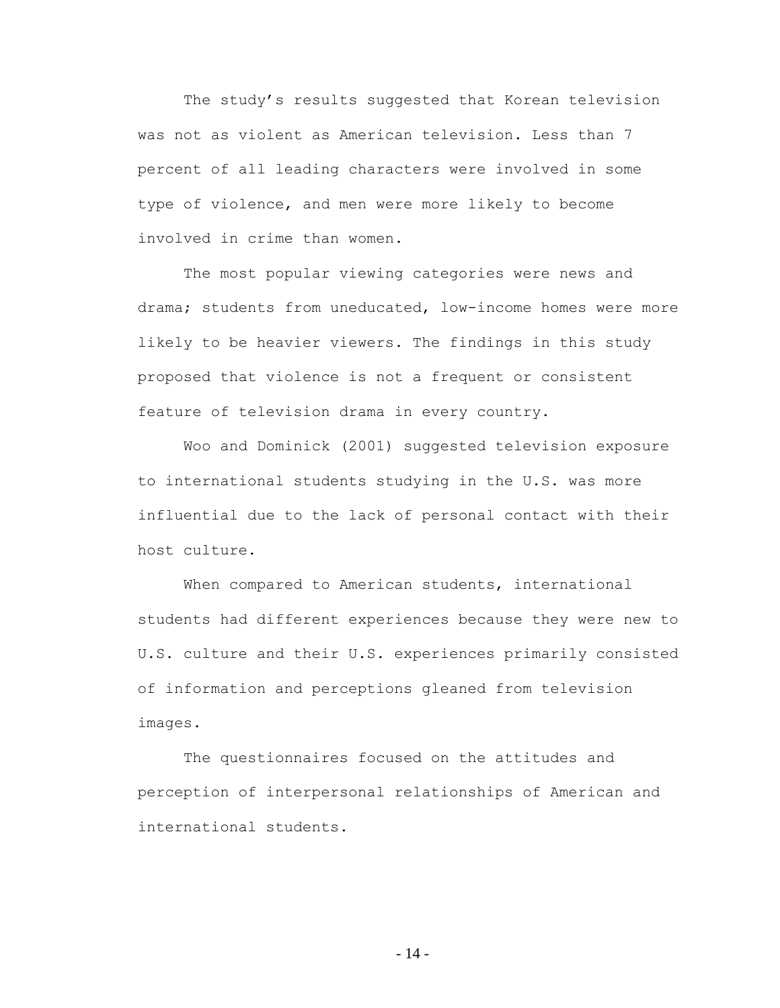The study's results suggested that Korean television was not as violent as American television. Less than 7 percent of all leading characters were involved in some type of violence, and men were more likely to become involved in crime than women.

The most popular viewing categories were news and drama; students from uneducated, low-income homes were more likely to be heavier viewers. The findings in this study proposed that violence is not a frequent or consistent feature of television drama in every country.

Woo and Dominick (2001) suggested television exposure to international students studying in the U.S. was more influential due to the lack of personal contact with their host culture.

When compared to American students, international students had different experiences because they were new to U.S. culture and their U.S. experiences primarily consisted of information and perceptions gleaned from television images.

The questionnaires focused on the attitudes and perception of interpersonal relationships of American and international students.

- 14 -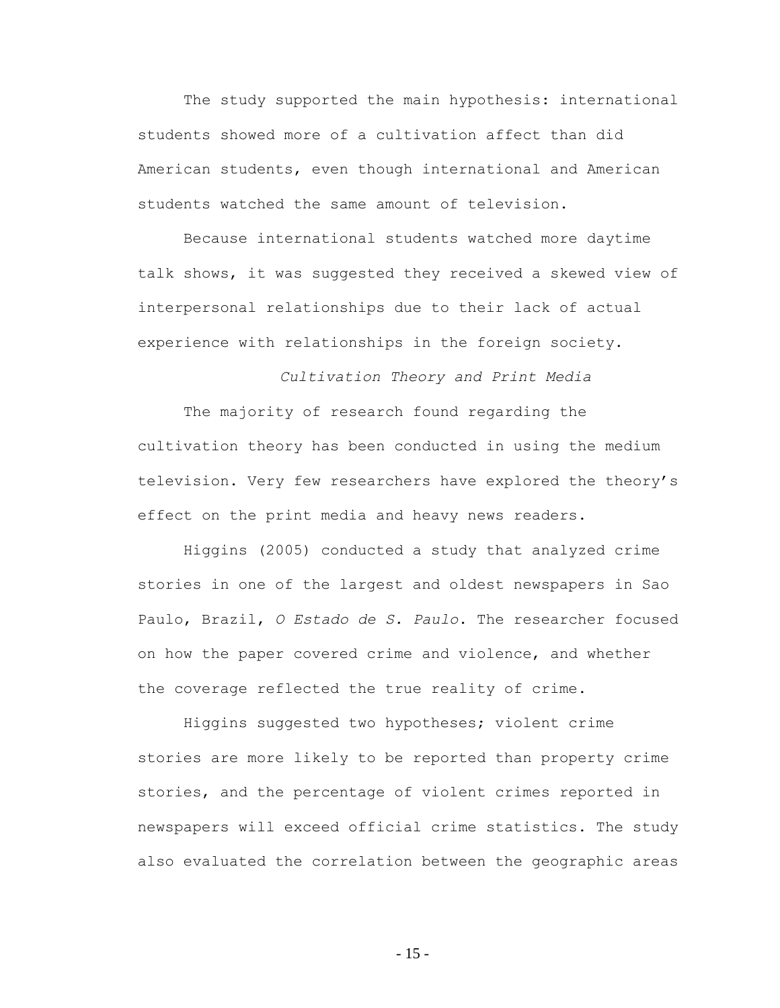The study supported the main hypothesis: international students showed more of a cultivation affect than did American students, even though international and American students watched the same amount of television.

Because international students watched more daytime talk shows, it was suggested they received a skewed view of interpersonal relationships due to their lack of actual experience with relationships in the foreign society.

# *Cultivation Theory and Print Media*

The majority of research found regarding the cultivation theory has been conducted in using the medium television. Very few researchers have explored the theory"s effect on the print media and heavy news readers.

Higgins (2005) conducted a study that analyzed crime stories in one of the largest and oldest newspapers in Sao Paulo, Brazil, *O Estado de S. Paulo*. The researcher focused on how the paper covered crime and violence, and whether the coverage reflected the true reality of crime.

Higgins suggested two hypotheses; violent crime stories are more likely to be reported than property crime stories, and the percentage of violent crimes reported in newspapers will exceed official crime statistics. The study also evaluated the correlation between the geographic areas

- 15 -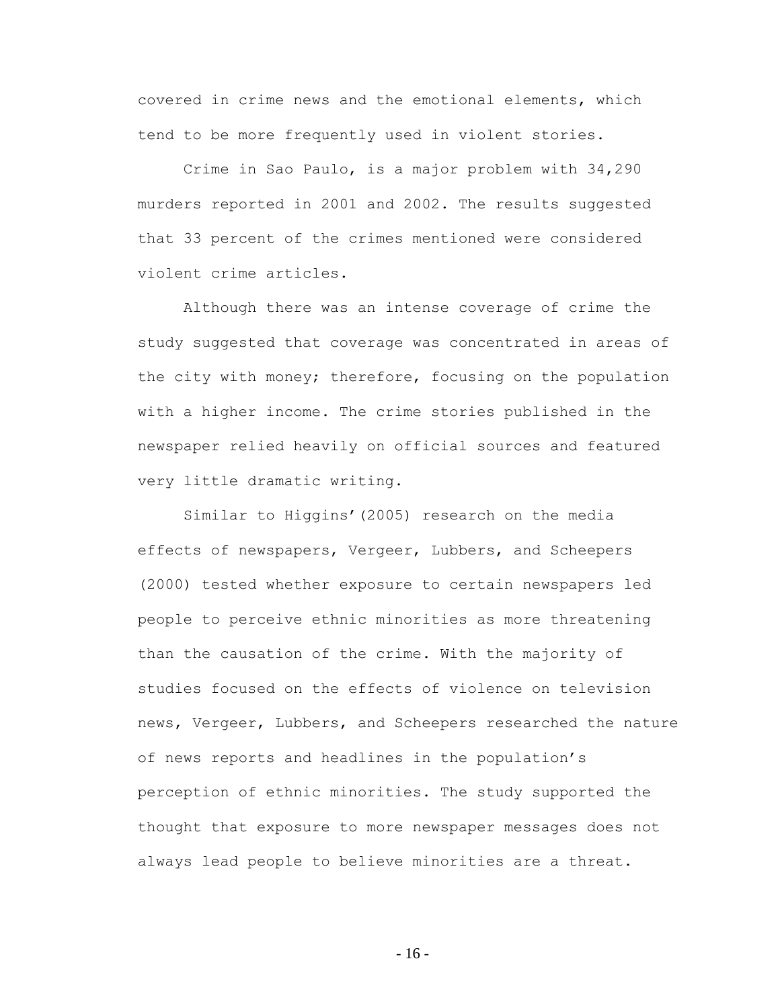covered in crime news and the emotional elements, which tend to be more frequently used in violent stories.

Crime in Sao Paulo, is a major problem with 34,290 murders reported in 2001 and 2002. The results suggested that 33 percent of the crimes mentioned were considered violent crime articles.

Although there was an intense coverage of crime the study suggested that coverage was concentrated in areas of the city with money; therefore, focusing on the population with a higher income. The crime stories published in the newspaper relied heavily on official sources and featured very little dramatic writing.

Similar to Higgins' (2005) research on the media effects of newspapers, Vergeer, Lubbers, and Scheepers (2000) tested whether exposure to certain newspapers led people to perceive ethnic minorities as more threatening than the causation of the crime. With the majority of studies focused on the effects of violence on television news, Vergeer, Lubbers, and Scheepers researched the nature of news reports and headlines in the population"s perception of ethnic minorities. The study supported the thought that exposure to more newspaper messages does not always lead people to believe minorities are a threat.

- 16 -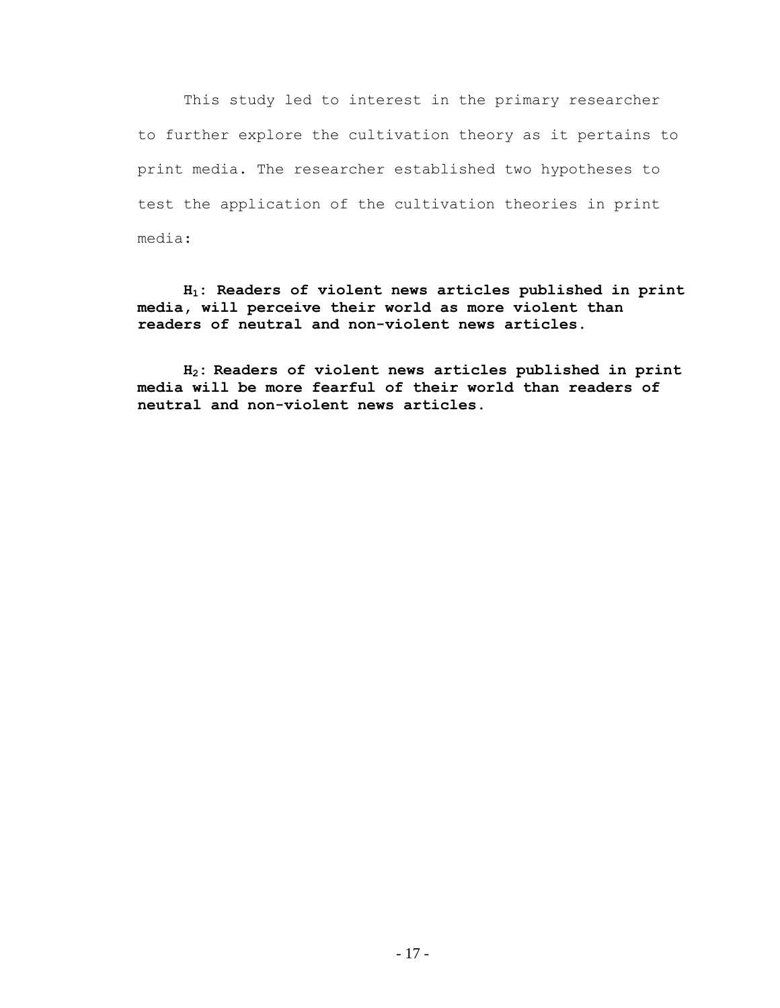This study led to interest in the primary researcher to further explore the cultivation theory as it pertains to print media. The researcher established two hypotheses to test the application of the cultivation theories in print media:

**H1: Readers of violent news articles published in print media, will perceive their world as more violent than readers of neutral and non-violent news articles.**

**H2: Readers of violent news articles published in print media will be more fearful of their world than readers of neutral and non-violent news articles.**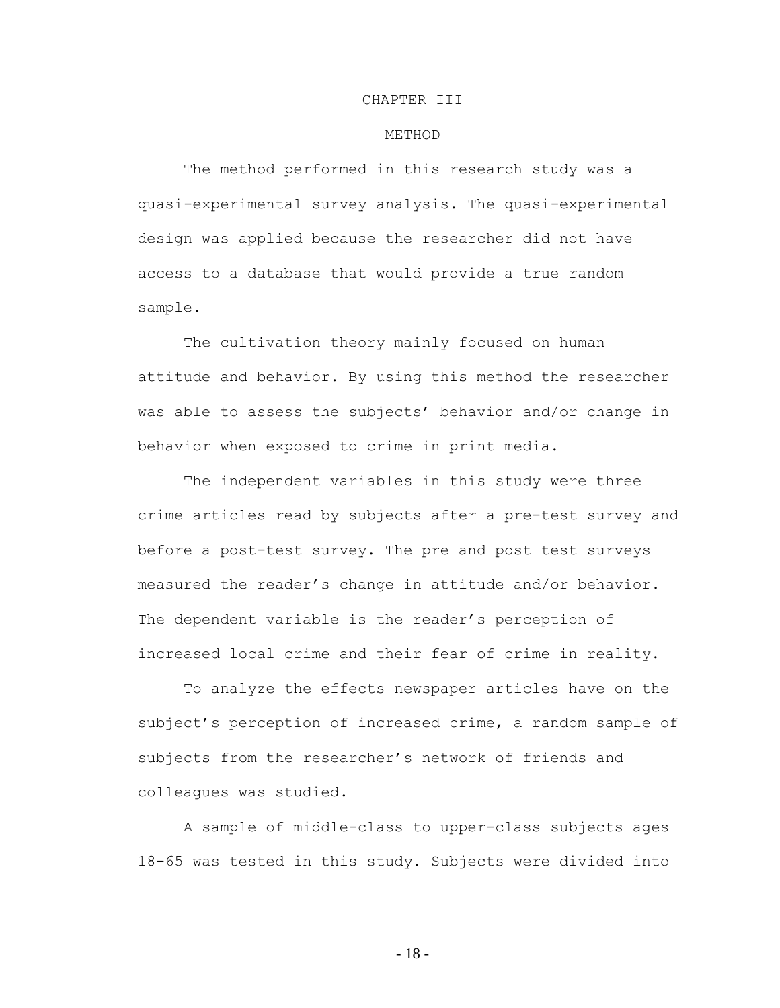#### CHAPTER III

### METHOD

The method performed in this research study was a quasi-experimental survey analysis. The quasi-experimental design was applied because the researcher did not have access to a database that would provide a true random sample.

The cultivation theory mainly focused on human attitude and behavior. By using this method the researcher was able to assess the subjects' behavior and/or change in behavior when exposed to crime in print media.

The independent variables in this study were three crime articles read by subjects after a pre-test survey and before a post-test survey. The pre and post test surveys measured the reader"s change in attitude and/or behavior. The dependent variable is the reader's perception of increased local crime and their fear of crime in reality.

To analyze the effects newspaper articles have on the subject's perception of increased crime, a random sample of subjects from the researcher's network of friends and colleagues was studied.

A sample of middle-class to upper-class subjects ages 18-65 was tested in this study. Subjects were divided into

- 18 -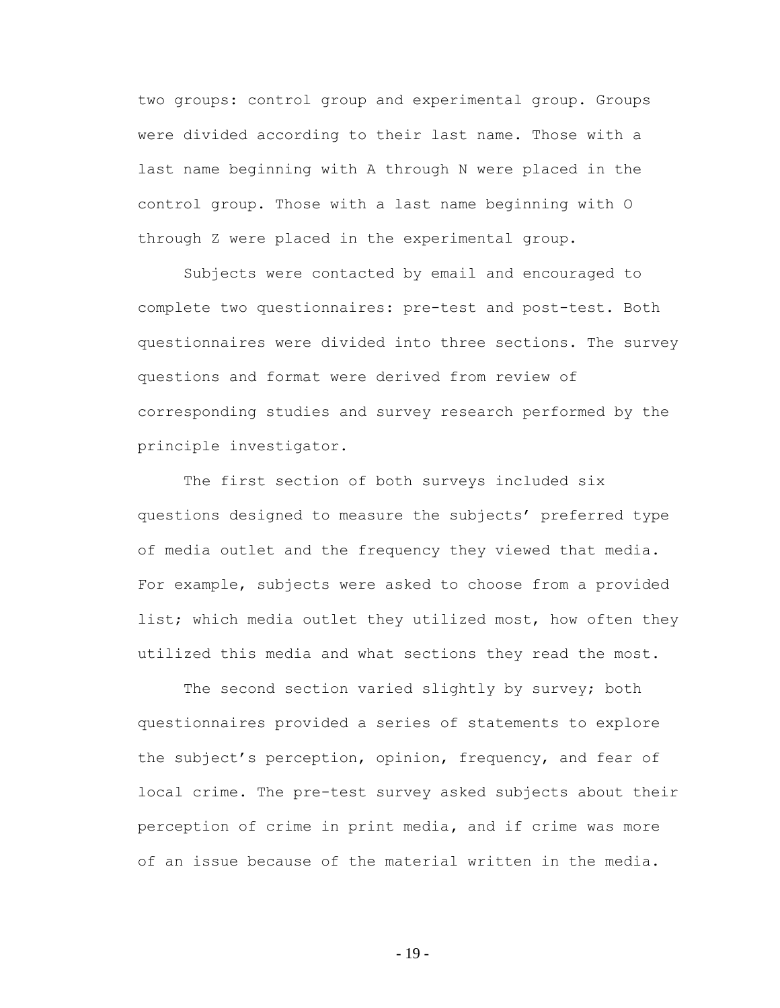two groups: control group and experimental group. Groups were divided according to their last name. Those with a last name beginning with A through N were placed in the control group. Those with a last name beginning with O through Z were placed in the experimental group.

Subjects were contacted by email and encouraged to complete two questionnaires: pre-test and post-test. Both questionnaires were divided into three sections. The survey questions and format were derived from review of corresponding studies and survey research performed by the principle investigator.

The first section of both surveys included six questions designed to measure the subjects" preferred type of media outlet and the frequency they viewed that media. For example, subjects were asked to choose from a provided list; which media outlet they utilized most, how often they utilized this media and what sections they read the most.

The second section varied slightly by survey; both questionnaires provided a series of statements to explore the subject"s perception, opinion, frequency, and fear of local crime. The pre-test survey asked subjects about their perception of crime in print media**,** and if crime was more of an issue because of the material written in the media.

- 19 -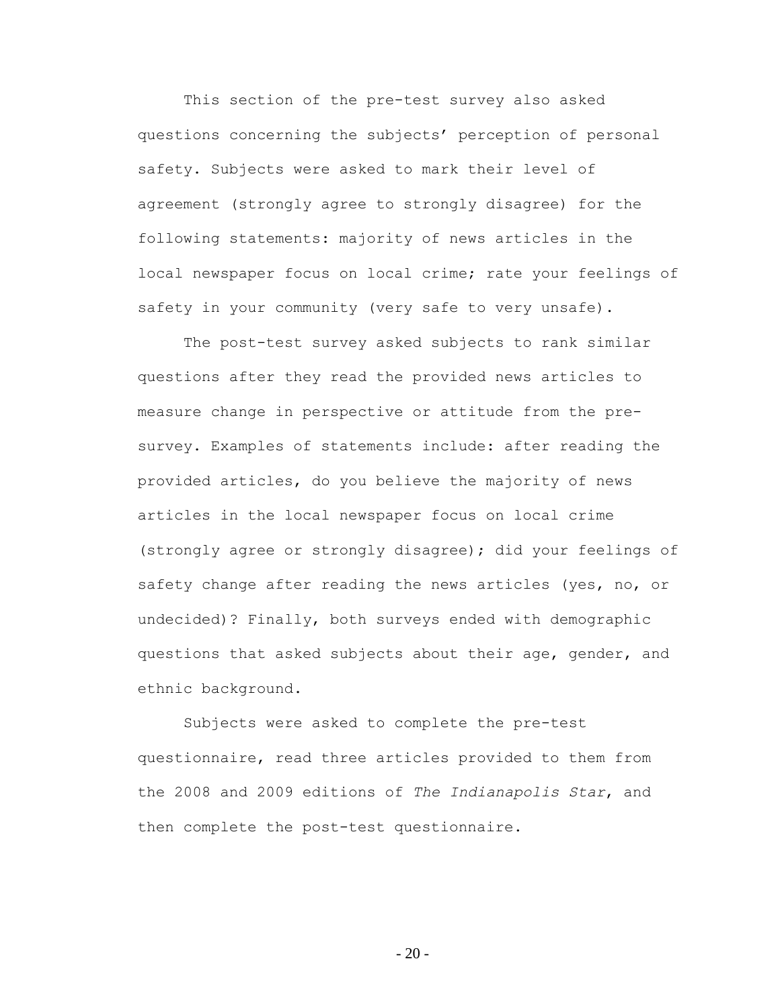This section of the pre-test survey also asked questions concerning the subjects' perception of personal safety. Subjects were asked to mark their level of agreement (strongly agree to strongly disagree) for the following statements: majority of news articles in the local newspaper focus on local crime; rate your feelings of safety in your community (very safe to very unsafe).

The post-test survey asked subjects to rank similar questions after they read the provided news articles to measure change in perspective or attitude from the presurvey. Examples of statements include: after reading the provided articles, do you believe the majority of news articles in the local newspaper focus on local crime (strongly agree or strongly disagree); did your feelings of safety change after reading the news articles (yes, no, or undecided)? Finally, both surveys ended with demographic questions that asked subjects about their age, gender, and ethnic background.

Subjects were asked to complete the pre-test questionnaire, read three articles provided to them from the 2008 and 2009 editions of *The Indianapolis Star*, and then complete the post-test questionnaire.

 $-20-$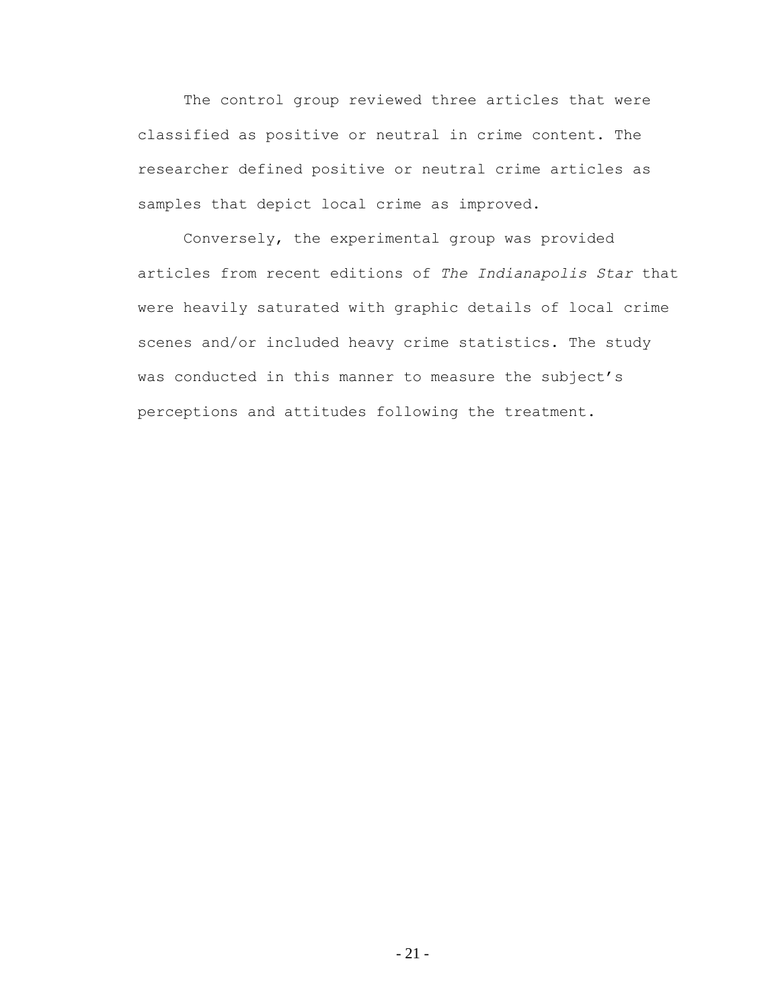The control group reviewed three articles that were classified as positive or neutral in crime content. The researcher defined positive or neutral crime articles as samples that depict local crime as improved.

Conversely, the experimental group was provided articles from recent editions of *The Indianapolis Star* that were heavily saturated with graphic details of local crime scenes and/or included heavy crime statistics. The study was conducted in this manner to measure the subject's perceptions and attitudes following the treatment.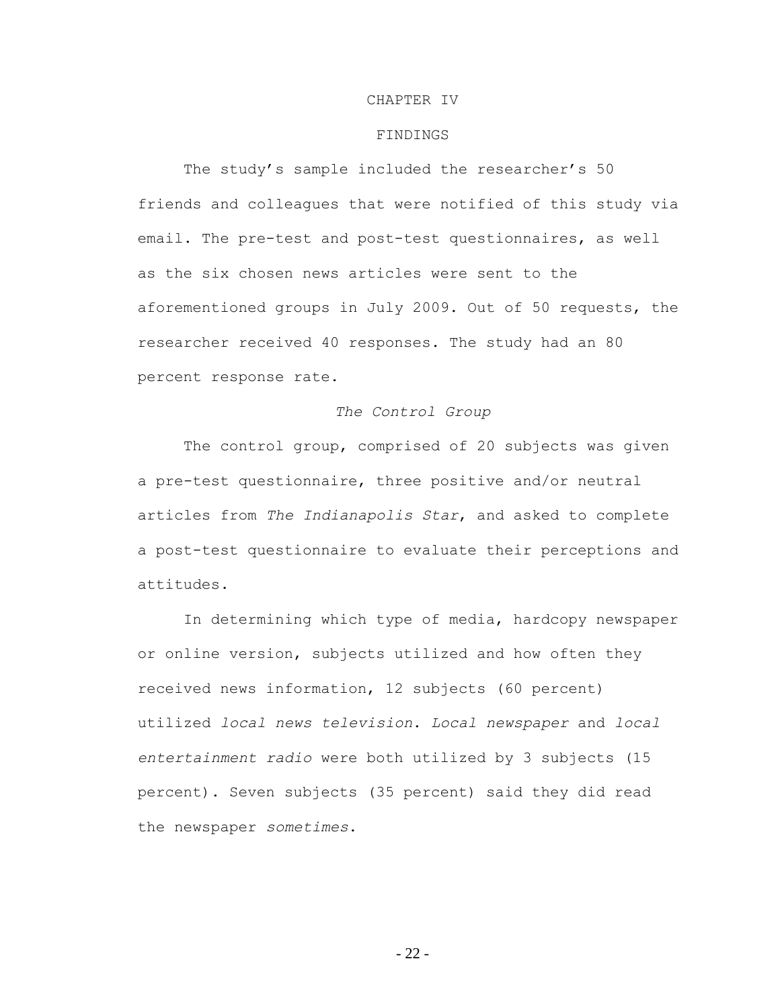### CHAPTER IV

# FINDINGS

The study's sample included the researcher's 50 friends and colleagues that were notified of this study via email. The pre-test and post-test questionnaires, as well as the six chosen news articles were sent to the aforementioned groups in July 2009. Out of 50 requests, the researcher received 40 responses. The study had an 80 percent response rate.

### *The Control Group*

The control group, comprised of 20 subjects was given a pre-test questionnaire, three positive and/or neutral articles from *The Indianapolis Star*, and asked to complete a post-test questionnaire to evaluate their perceptions and attitudes.

In determining which type of media, hardcopy newspaper or online version, subjects utilized and how often they received news information, 12 subjects (60 percent) utilized *local news television*. *Local newspaper* and *local entertainment radio* were both utilized by 3 subjects (15 percent). Seven subjects (35 percent) said they did read the newspaper *sometimes*.

- 22 -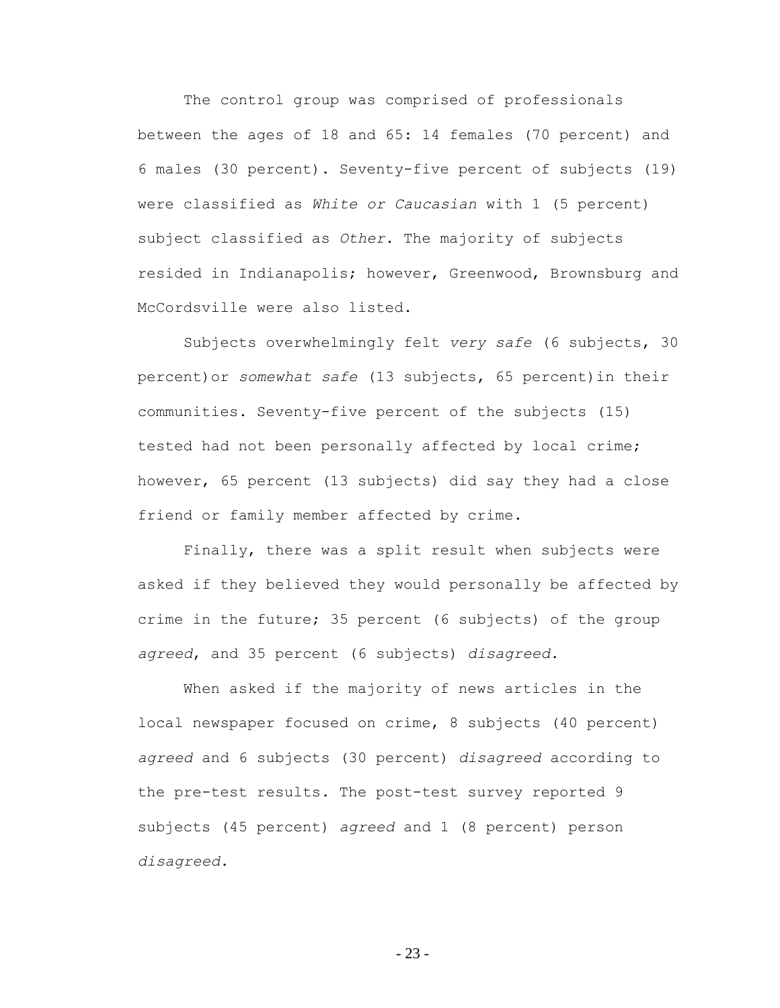The control group was comprised of professionals between the ages of 18 and 65: 14 females (70 percent) and 6 males (30 percent). Seventy-five percent of subjects (19) were classified as *White or Caucasian* with 1 (5 percent) subject classified as *Other*. The majority of subjects resided in Indianapolis; however, Greenwood, Brownsburg and McCordsville were also listed.

Subjects overwhelmingly felt *very safe* (6 subjects, 30 percent)or *somewhat safe* (13 subjects, 65 percent)in their communities. Seventy-five percent of the subjects (15) tested had not been personally affected by local crime; however, 65 percent (13 subjects) did say they had a close friend or family member affected by crime.

Finally, there was a split result when subjects were asked if they believed they would personally be affected by crime in the future; 35 percent (6 subjects) of the group *agreed*, and 35 percent (6 subjects) *disagreed*.

When asked if the majority of news articles in the local newspaper focused on crime, 8 subjects (40 percent) *agreed* and 6 subjects (30 percent) *disagreed* according to the pre-test results. The post-test survey reported 9 subjects (45 percent) *agreed* and 1 (8 percent) person *disagreed*.

- 23 -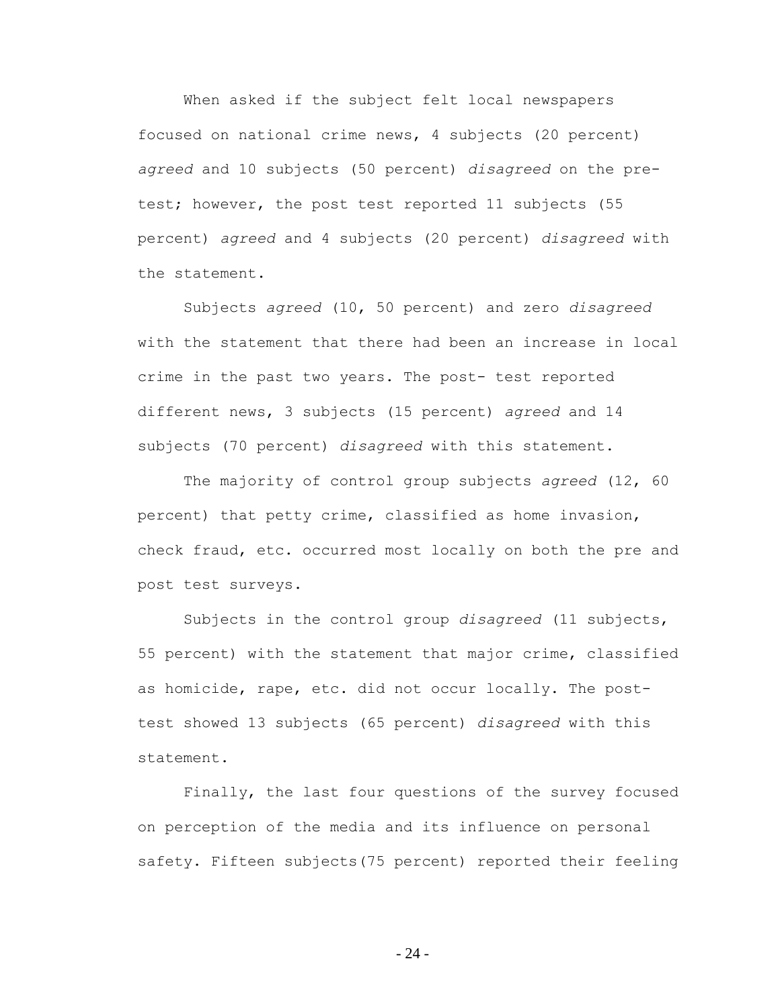When asked if the subject felt local newspapers focused on national crime news, 4 subjects (20 percent) *agreed* and 10 subjects (50 percent) *disagreed* on the pretest; however, the post test reported 11 subjects (55 percent) *agreed* and 4 subjects (20 percent) *disagreed* with the statement.

Subjects *agreed* (10, 50 percent) and zero *disagreed* with the statement that there had been an increase in local crime in the past two years. The post- test reported different news, 3 subjects (15 percent) *agreed* and 14 subjects (70 percent) *disagreed* with this statement.

The majority of control group subjects *agreed* (12, 60 percent) that petty crime, classified as home invasion, check fraud, etc. occurred most locally on both the pre and post test surveys.

Subjects in the control group *disagreed* (11 subjects, 55 percent) with the statement that major crime, classified as homicide, rape, etc. did not occur locally. The posttest showed 13 subjects (65 percent) *disagreed* with this statement.

Finally, the last four questions of the survey focused on perception of the media and its influence on personal safety. Fifteen subjects(75 percent) reported their feeling

- 24 -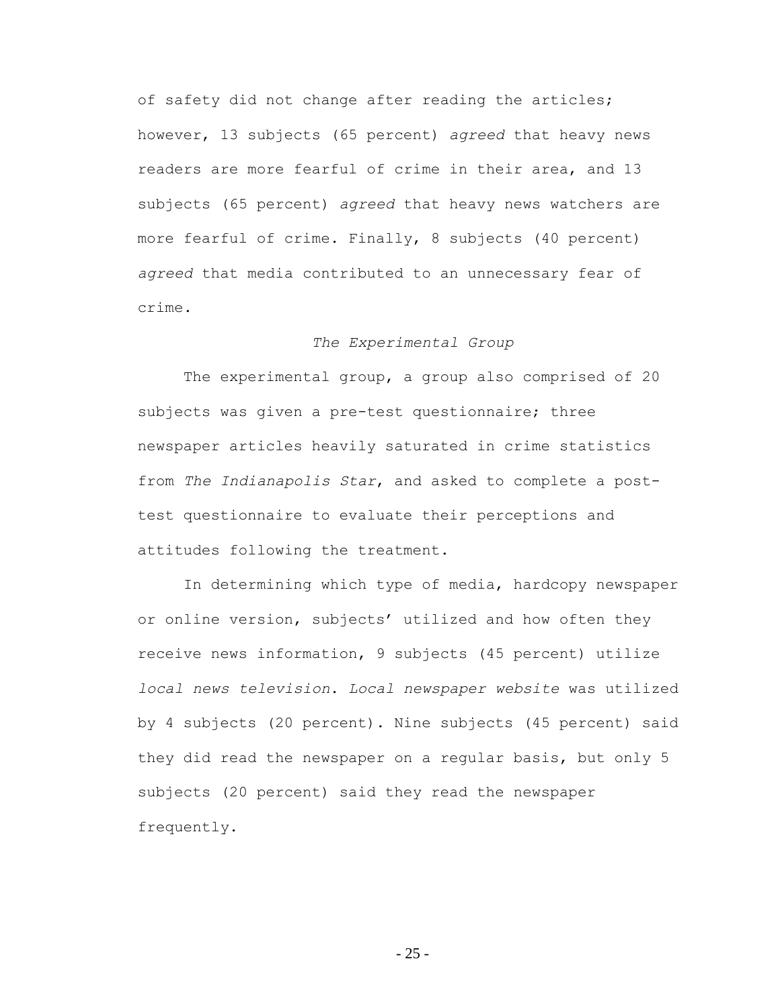of safety did not change after reading the articles; however, 13 subjects (65 percent) *agreed* that heavy news readers are more fearful of crime in their area, and 13 subjects (65 percent) *agreed* that heavy news watchers are more fearful of crime. Finally, 8 subjects (40 percent) *agreed* that media contributed to an unnecessary fear of crime.

### *The Experimental Group*

The experimental group, a group also comprised of 20 subjects was given a pre-test questionnaire; three newspaper articles heavily saturated in crime statistics from *The Indianapolis Star*, and asked to complete a posttest questionnaire to evaluate their perceptions and attitudes following the treatment.

In determining which type of media, hardcopy newspaper or online version, subjects' utilized and how often they receive news information, 9 subjects (45 percent) utilize *local news television*. *Local newspaper website* was utilized by 4 subjects (20 percent). Nine subjects (45 percent) said they did read the newspaper on a regular basis, but only 5 subjects (20 percent) said they read the newspaper frequently.

- 25 -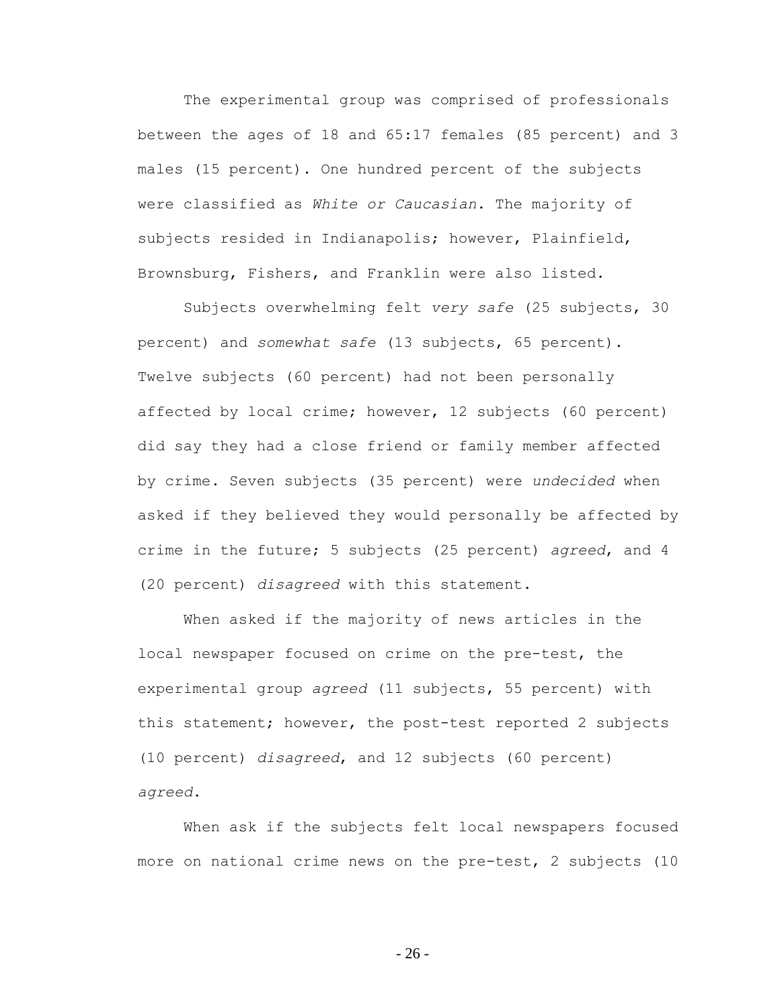The experimental group was comprised of professionals between the ages of 18 and 65:17 females (85 percent) and 3 males (15 percent). One hundred percent of the subjects were classified as *White or Caucasian*. The majority of subjects resided in Indianapolis; however, Plainfield, Brownsburg, Fishers, and Franklin were also listed.

Subjects overwhelming felt *very safe* (25 subjects, 30 percent) and *somewhat safe* (13 subjects, 65 percent). Twelve subjects (60 percent) had not been personally affected by local crime; however, 12 subjects (60 percent) did say they had a close friend or family member affected by crime. Seven subjects (35 percent) were *undecided* when asked if they believed they would personally be affected by crime in the future; 5 subjects (25 percent) *agreed*, and 4 (20 percent) *disagreed* with this statement.

When asked if the majority of news articles in the local newspaper focused on crime on the pre-test, the experimental group *agreed* (11 subjects, 55 percent) with this statement; however, the post-test reported 2 subjects (10 percent) *disagreed*, and 12 subjects (60 percent) *agreed*.

When ask if the subjects felt local newspapers focused more on national crime news on the pre-test, 2 subjects (10

- 26 -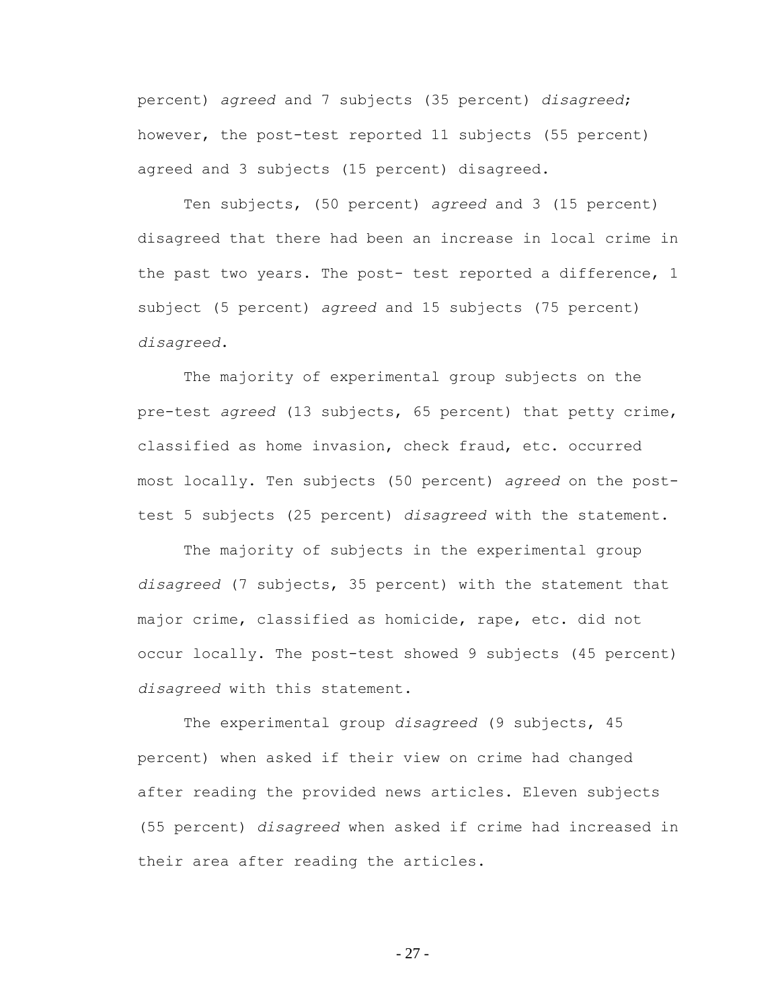percent) *agreed* and 7 subjects (35 percent) *disagreed*; however, the post-test reported 11 subjects (55 percent) agreed and 3 subjects (15 percent) disagreed.

Ten subjects, (50 percent) *agreed* and 3 (15 percent) disagreed that there had been an increase in local crime in the past two years. The post- test reported a difference, 1 subject (5 percent) *agreed* and 15 subjects (75 percent) *disagreed*.

The majority of experimental group subjects on the pre-test *agreed* (13 subjects, 65 percent) that petty crime, classified as home invasion, check fraud, etc. occurred most locally. Ten subjects (50 percent) *agreed* on the posttest 5 subjects (25 percent) *disagreed* with the statement.

The majority of subjects in the experimental group *disagreed* (7 subjects, 35 percent) with the statement that major crime, classified as homicide, rape, etc. did not occur locally. The post-test showed 9 subjects (45 percent) *disagreed* with this statement.

The experimental group *disagreed* (9 subjects, 45 percent) when asked if their view on crime had changed after reading the provided news articles. Eleven subjects (55 percent) *disagreed* when asked if crime had increased in their area after reading the articles.

- 27 -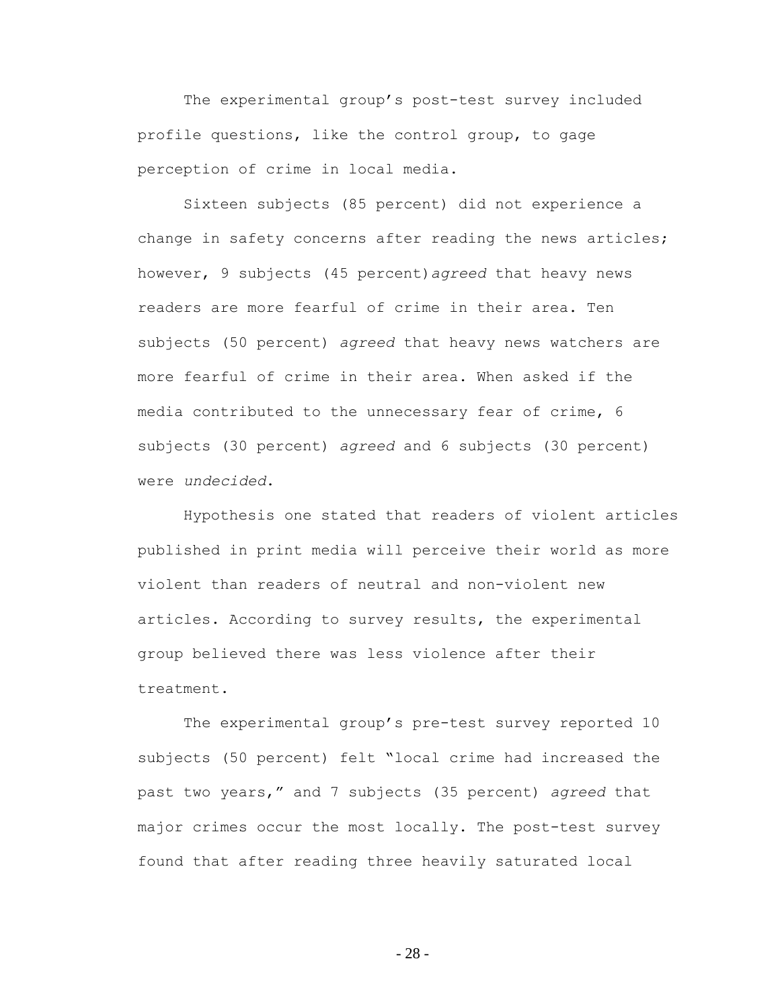The experimental group's post-test survey included profile questions, like the control group, to gage perception of crime in local media.

Sixteen subjects (85 percent) did not experience a change in safety concerns after reading the news articles; however, 9 subjects (45 percent)*agreed* that heavy news readers are more fearful of crime in their area. Ten subjects (50 percent) *agreed* that heavy news watchers are more fearful of crime in their area. When asked if the media contributed to the unnecessary fear of crime, 6 subjects (30 percent) *agreed* and 6 subjects (30 percent) were *undecided*.

Hypothesis one stated that readers of violent articles published in print media will perceive their world as more violent than readers of neutral and non-violent new articles. According to survey results, the experimental group believed there was less violence after their treatment.

The experimental group's pre-test survey reported 10 subjects (50 percent) felt "local crime had increased the past two years," and 7 subjects (35 percent) *agreed* that major crimes occur the most locally. The post-test survey found that after reading three heavily saturated local

- 28 -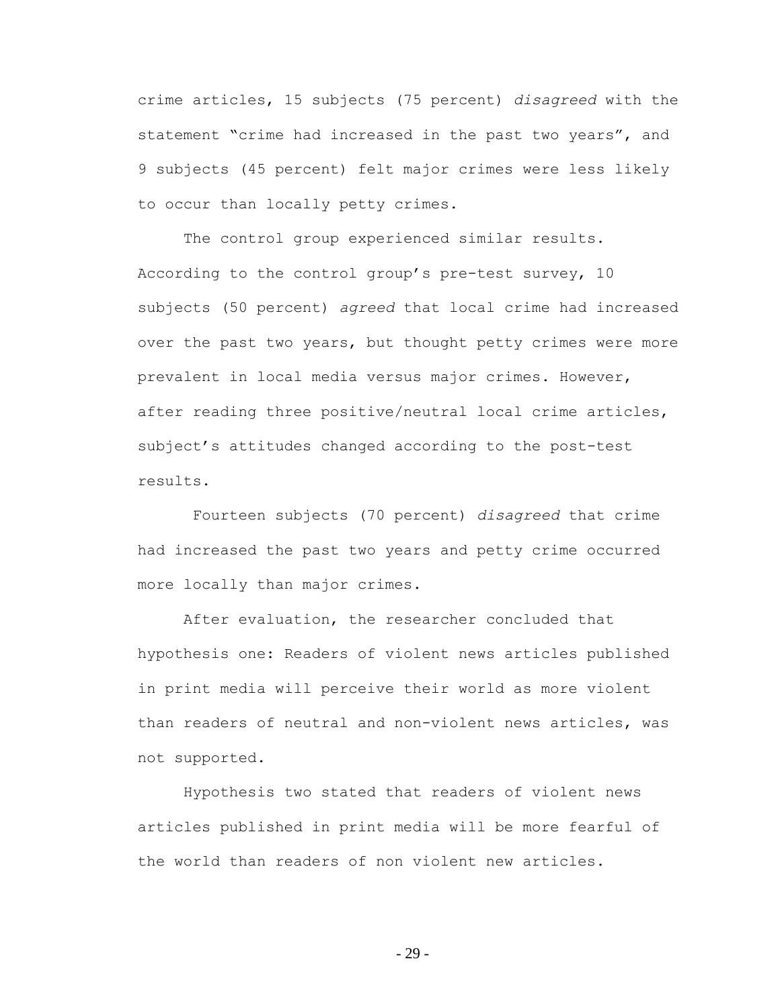crime articles, 15 subjects (75 percent) *disagreed* with the statement "crime had increased in the past two years", and 9 subjects (45 percent) felt major crimes were less likely to occur than locally petty crimes.

The control group experienced similar results. According to the control group"s pre-test survey, 10 subjects (50 percent) *agreed* that local crime had increased over the past two years, but thought petty crimes were more prevalent in local media versus major crimes. However, after reading three positive/neutral local crime articles, subject's attitudes changed according to the post-test results.

Fourteen subjects (70 percent) *disagreed* that crime had increased the past two years and petty crime occurred more locally than major crimes.

After evaluation, the researcher concluded that hypothesis one: Readers of violent news articles published in print media will perceive their world as more violent than readers of neutral and non-violent news articles, was not supported.

Hypothesis two stated that readers of violent news articles published in print media will be more fearful of the world than readers of non violent new articles.

- 29 -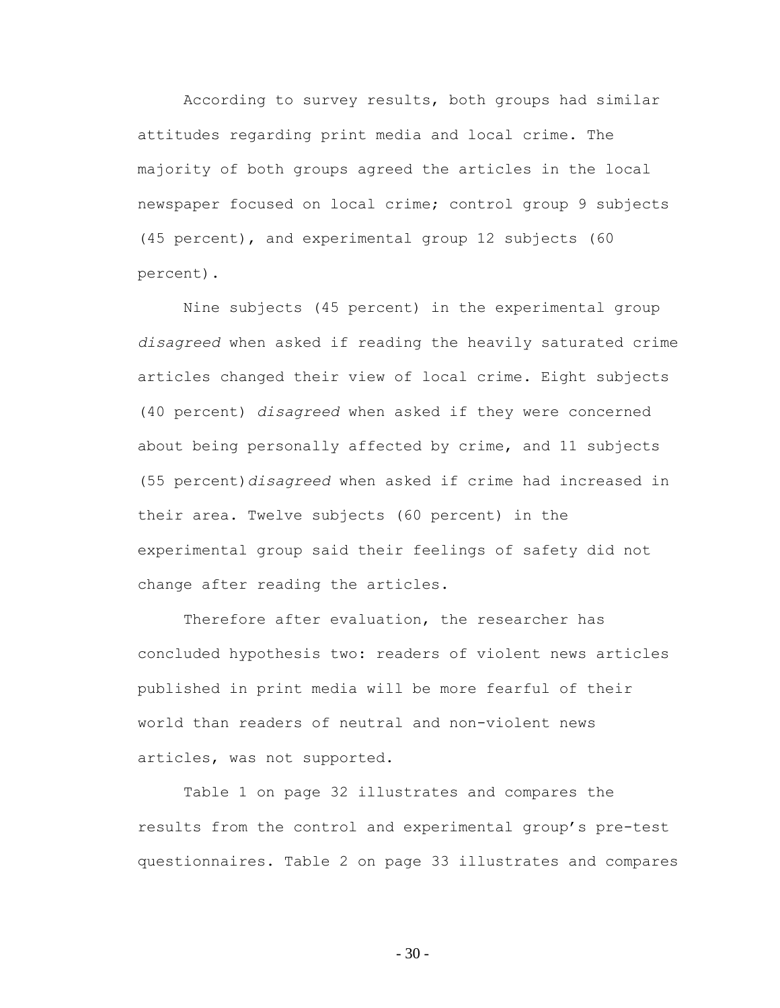According to survey results, both groups had similar attitudes regarding print media and local crime. The majority of both groups agreed the articles in the local newspaper focused on local crime; control group 9 subjects (45 percent), and experimental group 12 subjects (60 percent).

Nine subjects (45 percent) in the experimental group *disagreed* when asked if reading the heavily saturated crime articles changed their view of local crime. Eight subjects (40 percent) *disagreed* when asked if they were concerned about being personally affected by crime, and 11 subjects (55 percent)*disagreed* when asked if crime had increased in their area. Twelve subjects (60 percent) in the experimental group said their feelings of safety did not change after reading the articles.

Therefore after evaluation, the researcher has concluded hypothesis two: readers of violent news articles published in print media will be more fearful of their world than readers of neutral and non-violent news articles, was not supported.

Table 1 on page 32 illustrates and compares the results from the control and experimental group"s pre-test questionnaires. Table 2 on page 33 illustrates and compares

- 30 -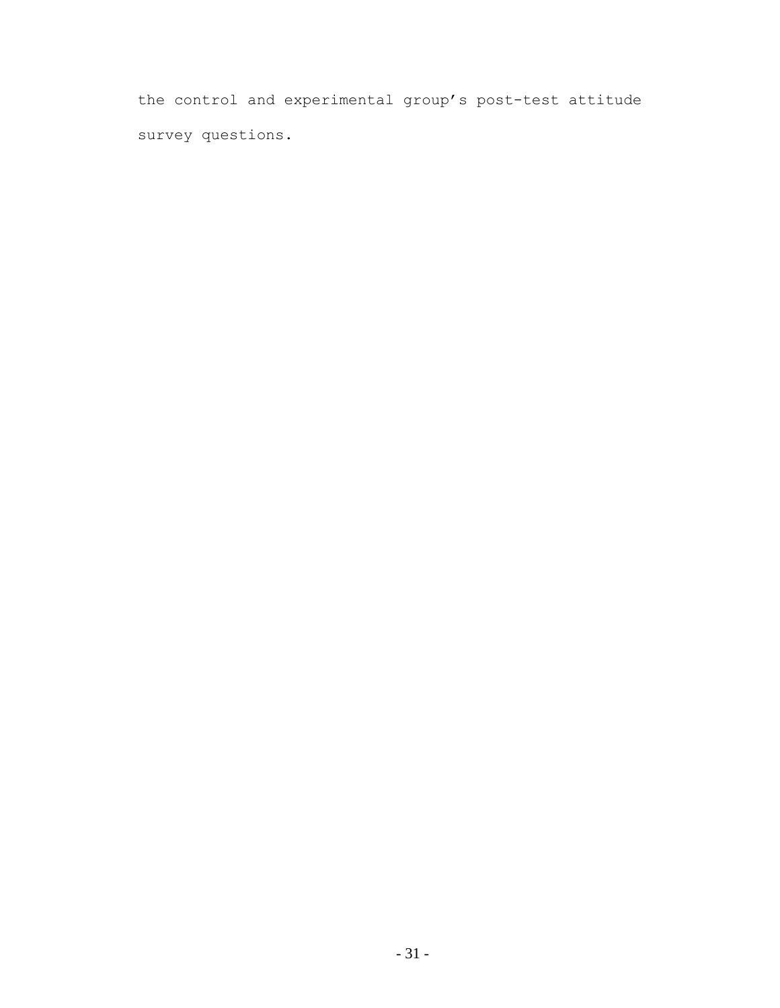the control and experimental group"s post-test attitude survey questions.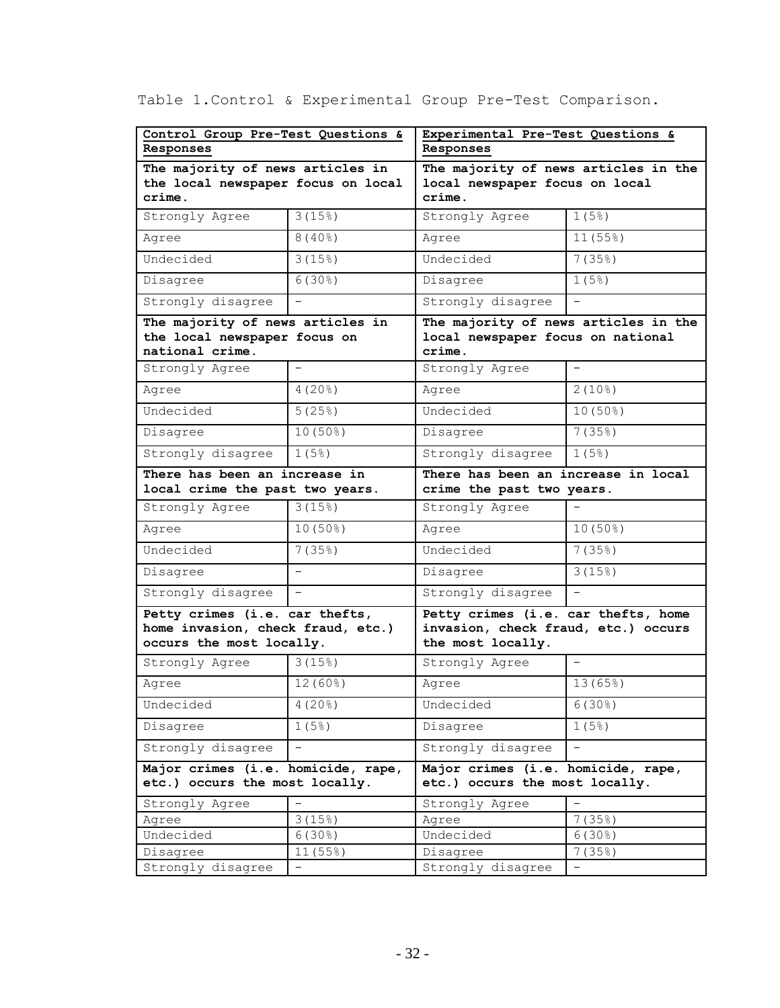| Control Group Pre-Test Questions &                                                              |                          | Experimental Pre-Test Questions &                                                               |                       |  |  |
|-------------------------------------------------------------------------------------------------|--------------------------|-------------------------------------------------------------------------------------------------|-----------------------|--|--|
| Responses                                                                                       |                          | Responses                                                                                       |                       |  |  |
| The majority of news articles in                                                                |                          | The majority of news articles in the                                                            |                       |  |  |
| the local newspaper focus on local                                                              |                          | local newspaper focus on local                                                                  |                       |  |  |
| crime.                                                                                          |                          | crime.                                                                                          |                       |  |  |
| Strongly Agree                                                                                  | 3(15%)                   | Strongly Agree                                                                                  | 1(5%)                 |  |  |
| Agree                                                                                           | $8(40\%)$                | Agree                                                                                           | 11(55%)               |  |  |
| Undecided                                                                                       | 3(15%)                   | Undecided                                                                                       | 7(35%)                |  |  |
| Disagree                                                                                        | $6(30\%)$                | Disagree                                                                                        | 1(5%)                 |  |  |
| Strongly disagree                                                                               |                          | Strongly disagree                                                                               |                       |  |  |
| The majority of news articles in<br>the local newspaper focus on<br>national crime.             |                          | The majority of news articles in the<br>local newspaper focus on national<br>crime.             |                       |  |  |
| Strongly Agree                                                                                  | $\overline{\phantom{0}}$ | Strongly Agree                                                                                  |                       |  |  |
| Agree                                                                                           | $4(20$ $)$               | Agree                                                                                           | $2(10$ <sup>8</sup> ) |  |  |
| Undecided                                                                                       | 5(25%)                   | Undecided                                                                                       | $10(50\%)$            |  |  |
| Disagree                                                                                        | $10(50\%)$               | Disagree                                                                                        | 7(35%)                |  |  |
| Strongly disagree                                                                               | 1(5)                     | Strongly disagree                                                                               | 1(5)                  |  |  |
| There has been an increase in<br>local crime the past two years.                                |                          | There has been an increase in local<br>crime the past two years.                                |                       |  |  |
| Strongly Agree                                                                                  | 3(15%)                   | Strongly Agree                                                                                  |                       |  |  |
| Agree                                                                                           | $10(50\%)$               | Agree                                                                                           | $10(50\%)$            |  |  |
| Undecided                                                                                       | 7(35)                    | Undecided                                                                                       | 7(35%)                |  |  |
| Disagree                                                                                        |                          | Disagree                                                                                        | 3(15%)                |  |  |
| Strongly disagree                                                                               |                          | Strongly disagree                                                                               |                       |  |  |
| Petty crimes (i.e. car thefts,<br>home invasion, check fraud, etc.)<br>occurs the most locally. |                          | Petty crimes (i.e. car thefts, home<br>invasion, check fraud, etc.) occurs<br>the most locally. |                       |  |  |
| Strongly Agree                                                                                  | 3(15%)                   | Strongly Agree                                                                                  | $-$                   |  |  |
| Agree                                                                                           | $12(60\%)$               | Agree                                                                                           | 13(65%)               |  |  |
| Undecided                                                                                       | $4(20$ $)$               | Undecided                                                                                       | $6(30\%)$             |  |  |
| Disagree                                                                                        | 1(5%)                    | Disagree                                                                                        | 1(5%)                 |  |  |
| Strongly disagree                                                                               | $\overline{\phantom{0}}$ | Strongly disagree                                                                               |                       |  |  |
| Major crimes (i.e. homicide, rape,<br>etc.) occurs the most locally.                            |                          | Major crimes (i.e. homicide, rape,<br>etc.) occurs the most locally.                            |                       |  |  |
| Strongly Agree                                                                                  |                          | Strongly Agree                                                                                  |                       |  |  |
| Agree                                                                                           | 3(15%)                   | Agree                                                                                           | 7(35%)                |  |  |
| Undecided                                                                                       | $6(30\%)$                | Undecided                                                                                       | $6(30\%)$             |  |  |
| Disagree                                                                                        | 11 (55%)                 | Disagree                                                                                        | 7(35%)                |  |  |
| Strongly disagree                                                                               | -                        | Strongly disagree                                                                               |                       |  |  |

Table 1.Control & Experimental Group Pre-Test Comparison.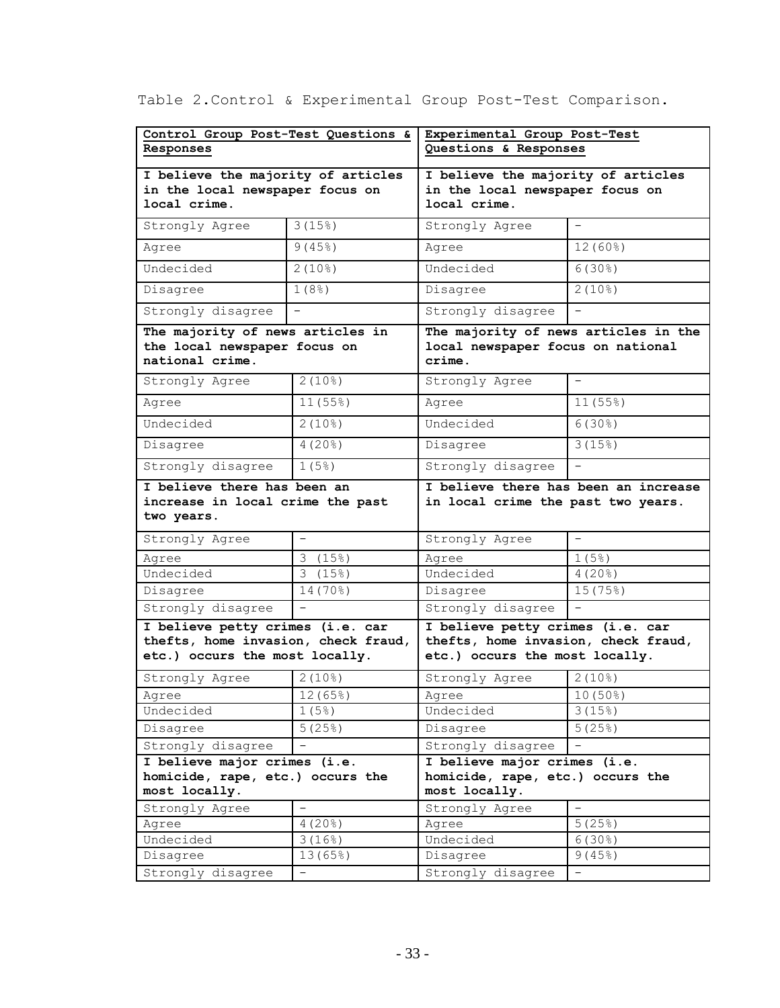| Control Group Post-Test Questions & |                                            | Experimental Group Post-Test         |                                    |  |  |
|-------------------------------------|--------------------------------------------|--------------------------------------|------------------------------------|--|--|
| Responses                           |                                            | Questions & Responses                |                                    |  |  |
| I believe the majority of articles  |                                            | I believe the majority of articles   |                                    |  |  |
| in the local newspaper focus on     |                                            | in the local newspaper focus on      |                                    |  |  |
| local crime.                        |                                            | local crime.                         |                                    |  |  |
| Strongly Agree                      | $3(15\%)$                                  | Strongly Agree                       |                                    |  |  |
| Agree                               | 9(45%)                                     | Agree                                | $12(60\%)$                         |  |  |
| Undecided                           | $2(10\%)$                                  | Undecided                            | $6(30\%)$                          |  |  |
| Disagree                            | 1(8 <sup>°</sup> )                         | Disagree                             | $2(10\%)$                          |  |  |
| Strongly disagree                   | $\equiv$                                   | Strongly disagree                    |                                    |  |  |
| The majority of news articles in    |                                            | The majority of news articles in the |                                    |  |  |
| the local newspaper focus on        |                                            | local newspaper focus on national    |                                    |  |  |
| national crime.                     |                                            | crime.                               |                                    |  |  |
| Strongly Agree                      | $2(10\%)$                                  | Strongly Agree                       |                                    |  |  |
| Agree                               | 11(55%)                                    | Agree                                | 11(55%)                            |  |  |
| Undecided                           | $2(10\%)$                                  | Undecided                            | $6(30\%)$                          |  |  |
| Disagree                            | $4(20\%)$                                  | Disagree                             | 3(15%)                             |  |  |
| Strongly disagree                   | 1(5)                                       | Strongly disagree                    |                                    |  |  |
| I believe there has been an         |                                            | I believe there has been an increase |                                    |  |  |
| increase in local crime the past    |                                            | in local crime the past two years.   |                                    |  |  |
| two years.                          |                                            |                                      |                                    |  |  |
| Strongly Agree                      | $\overline{\phantom{0}}$                   | Strongly Agree                       | $\overline{\phantom{0}}$           |  |  |
| Agree                               | 3(15%)                                     | Agree                                | 1(5)                               |  |  |
| Undecided                           | 3(15%)                                     | Undecided                            | 4(20)                              |  |  |
| Disagree                            | $14(70\%)$                                 | Disagree                             | 15(75%)                            |  |  |
| Strongly disagree                   |                                            | Strongly disagree                    |                                    |  |  |
| I believe petty crimes (i.e. car    |                                            | I believe petty crimes (i.e. car     |                                    |  |  |
| thefts, home invasion, check fraud, |                                            | thefts, home invasion, check fraud,  |                                    |  |  |
| etc.) occurs the most locally.      |                                            | etc.) occurs the most locally.       |                                    |  |  |
| Strongly Agree                      | $2(10$ <sup>8</sup> )                      | Strongly Agree                       | $2(10$ <sup>8</sup> )              |  |  |
| Agree                               | 12 (65%)                                   | Agree                                | $10(50\%)$                         |  |  |
| Undecided                           | 1(5)                                       | Undecided                            | 3(15%)                             |  |  |
| Disagree                            | 5(25%)                                     | Disagree                             | 5(25%)                             |  |  |
| Strongly disagree                   |                                            | Strongly disagree                    |                                    |  |  |
| I believe major crimes (i.e.        |                                            | I believe major crimes (i.e.         |                                    |  |  |
| homicide, rape, etc.) occurs the    |                                            | homicide, rape, etc.) occurs the     |                                    |  |  |
| most locally.                       |                                            | most locally.                        |                                    |  |  |
| Strongly Agree                      | $\qquad \qquad -$<br>$4(20$ <sup>8</sup> ) | Strongly Agree                       | $\overline{\phantom{a}}$<br>5(25%) |  |  |
| Agree<br>Undecided                  | 3(16%)                                     | Agree<br>Undecided                   | $6(30\%)$                          |  |  |
| Disagree                            | 13(65%)                                    | Disagree<br>$9(45\%)$                |                                    |  |  |
|                                     | $\overline{\phantom{0}}$                   |                                      | $-$                                |  |  |
| Strongly disagree                   |                                            | Strongly disagree                    |                                    |  |  |

Table 2.Control & Experimental Group Post-Test Comparison.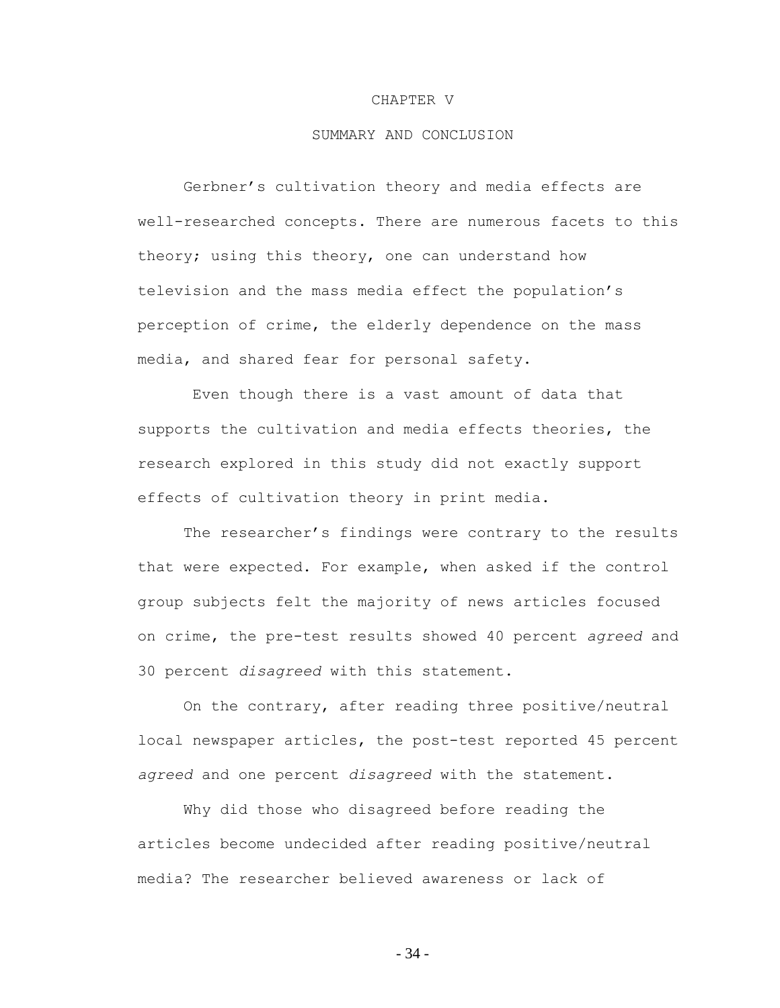#### CHAPTER V

# SUMMARY AND CONCLUSION

Gerbner"s cultivation theory and media effects are well-researched concepts. There are numerous facets to this theory; using this theory, one can understand how television and the mass media effect the population"s perception of crime, the elderly dependence on the mass media, and shared fear for personal safety.

Even though there is a vast amount of data that supports the cultivation and media effects theories, the research explored in this study did not exactly support effects of cultivation theory in print media.

The researcher's findings were contrary to the results that were expected. For example, when asked if the control group subjects felt the majority of news articles focused on crime, the pre-test results showed 40 percent *agreed* and 30 percent *disagreed* with this statement.

On the contrary, after reading three positive/neutral local newspaper articles, the post-test reported 45 percent *agreed* and one percent *disagreed* with the statement.

Why did those who disagreed before reading the articles become undecided after reading positive/neutral media? The researcher believed awareness or lack of

- 34 -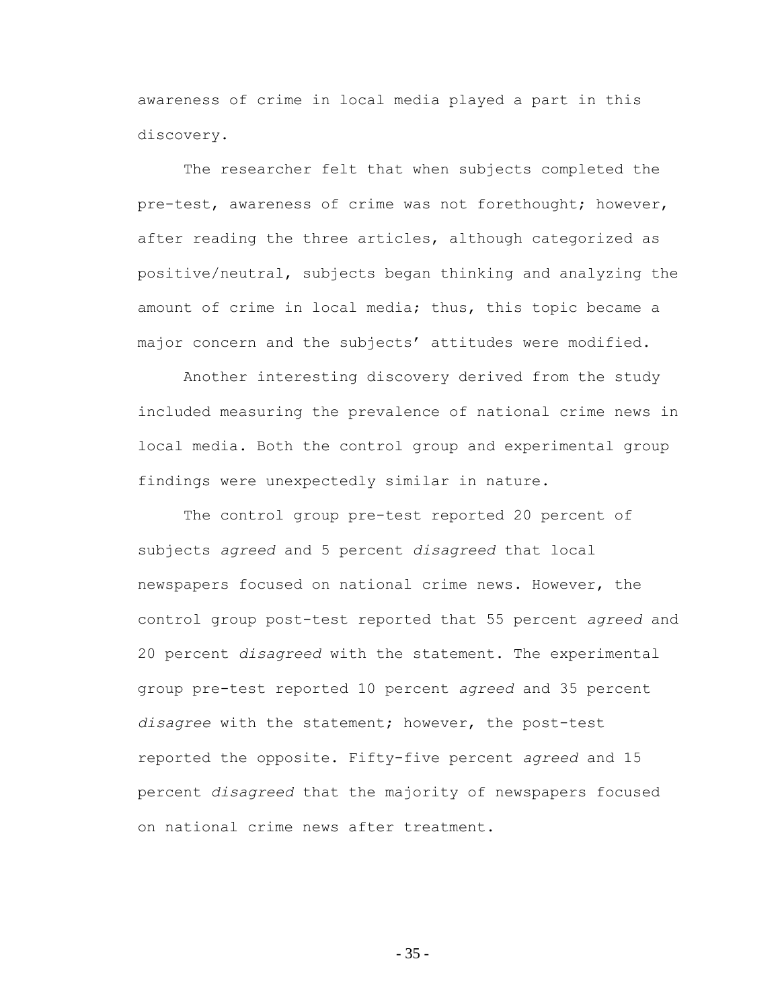awareness of crime in local media played a part in this discovery.

The researcher felt that when subjects completed the pre-test, awareness of crime was not forethought; however, after reading the three articles, although categorized as positive/neutral, subjects began thinking and analyzing the amount of crime in local media; thus, this topic became a major concern and the subjects' attitudes were modified.

Another interesting discovery derived from the study included measuring the prevalence of national crime news in local media. Both the control group and experimental group findings were unexpectedly similar in nature.

The control group pre-test reported 20 percent of subjects *agreed* and 5 percent *disagreed* that local newspapers focused on national crime news. However, the control group post-test reported that 55 percent *agreed* and 20 percent *disagreed* with the statement. The experimental group pre-test reported 10 percent *agreed* and 35 percent *disagree* with the statement; however, the post-test reported the opposite. Fifty-five percent *agreed* and 15 percent *disagreed* that the majority of newspapers focused on national crime news after treatment.

- 35 -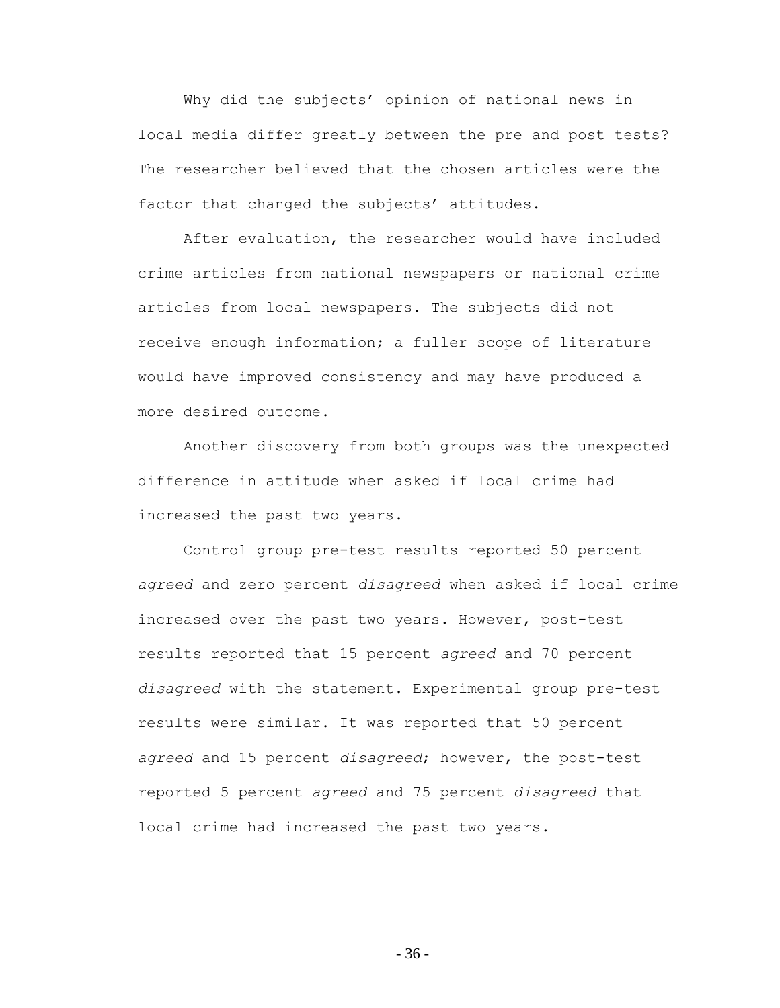Why did the subjects' opinion of national news in local media differ greatly between the pre and post tests? The researcher believed that the chosen articles were the factor that changed the subjects' attitudes.

After evaluation, the researcher would have included crime articles from national newspapers or national crime articles from local newspapers. The subjects did not receive enough information; a fuller scope of literature would have improved consistency and may have produced a more desired outcome.

Another discovery from both groups was the unexpected difference in attitude when asked if local crime had increased the past two years.

Control group pre-test results reported 50 percent *agreed* and zero percent *disagreed* when asked if local crime increased over the past two years. However, post-test results reported that 15 percent *agreed* and 70 percent *disagreed* with the statement. Experimental group pre-test results were similar. It was reported that 50 percent *agreed* and 15 percent *disagreed*; however, the post-test reported 5 percent *agreed* and 75 percent *disagreed* that local crime had increased the past two years.

- 36 -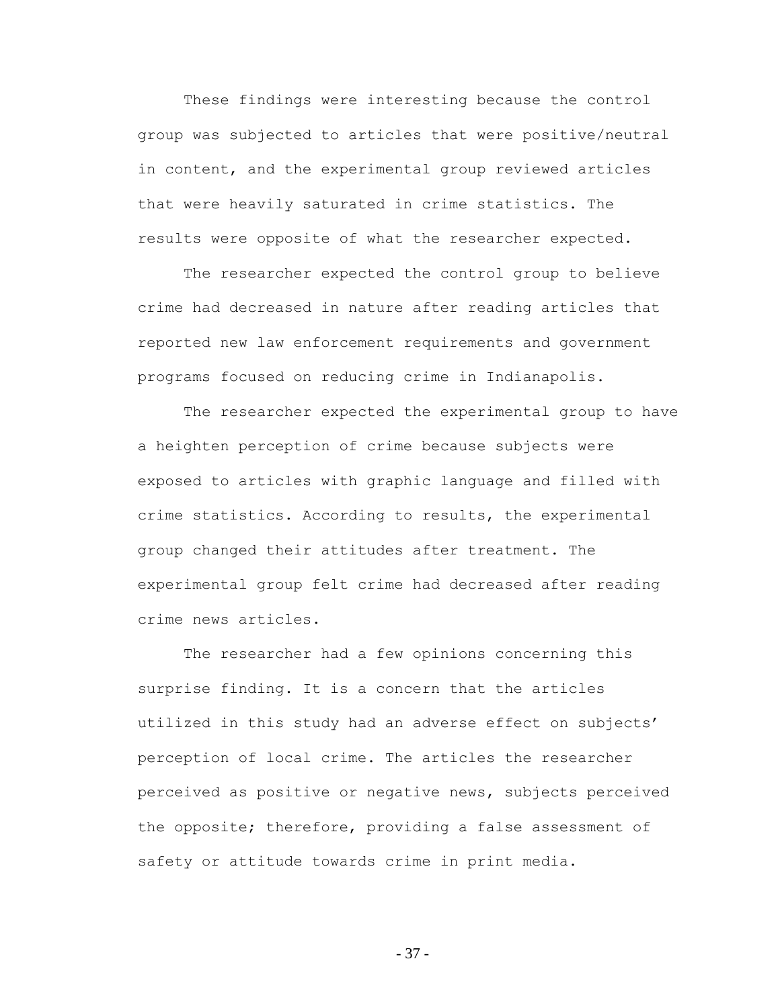These findings were interesting because the control group was subjected to articles that were positive/neutral in content, and the experimental group reviewed articles that were heavily saturated in crime statistics. The results were opposite of what the researcher expected.

The researcher expected the control group to believe crime had decreased in nature after reading articles that reported new law enforcement requirements and government programs focused on reducing crime in Indianapolis.

The researcher expected the experimental group to have a heighten perception of crime because subjects were exposed to articles with graphic language and filled with crime statistics. According to results, the experimental group changed their attitudes after treatment. The experimental group felt crime had decreased after reading crime news articles.

The researcher had a few opinions concerning this surprise finding. It is a concern that the articles utilized in this study had an adverse effect on subjects" perception of local crime. The articles the researcher perceived as positive or negative news, subjects perceived the opposite; therefore, providing a false assessment of safety or attitude towards crime in print media.

- 37 -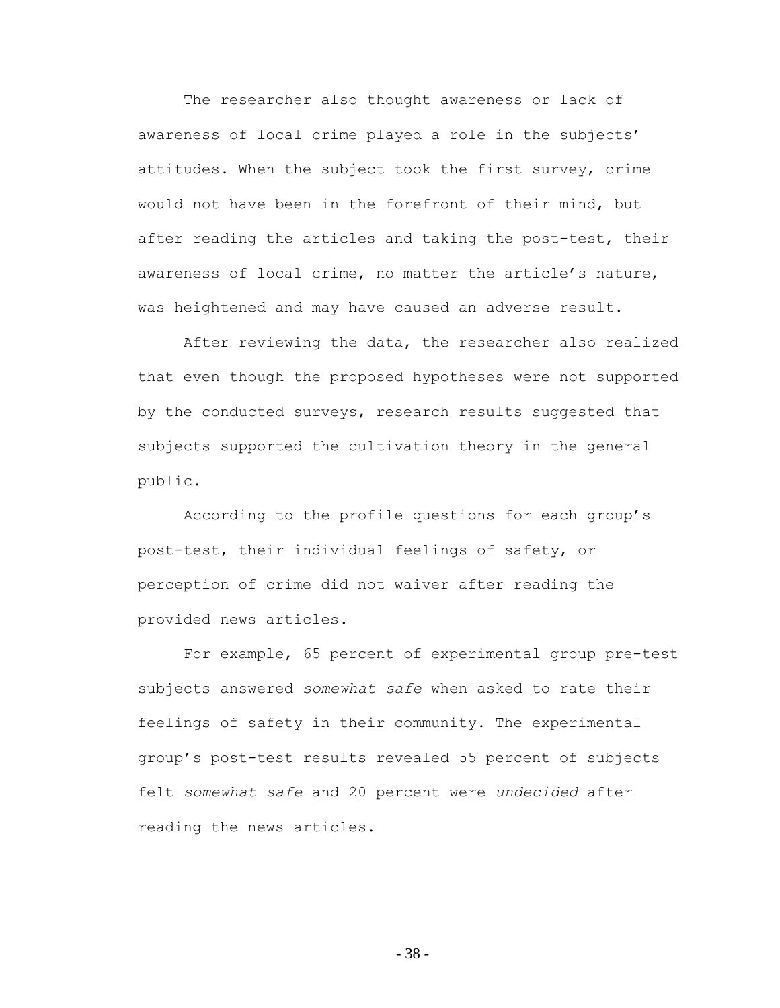The researcher also thought awareness or lack of awareness of local crime played a role in the subjects' attitudes. When the subject took the first survey, crime would not have been in the forefront of their mind, but after reading the articles and taking the post-test, their awareness of local crime, no matter the article's nature, was heightened and may have caused an adverse result.

After reviewing the data, the researcher also realized that even though the proposed hypotheses were not supported by the conducted surveys, research results suggested that subjects supported the cultivation theory in the general public.

According to the profile questions for each group"s post-test, their individual feelings of safety, or perception of crime did not waiver after reading the provided news articles.

For example, 65 percent of experimental group pre-test subjects answered *somewhat safe* when asked to rate their feelings of safety in their community. The experimental group"s post-test results revealed 55 percent of subjects felt *somewhat safe* and 20 percent were *undecided* after reading the news articles.

- 38 -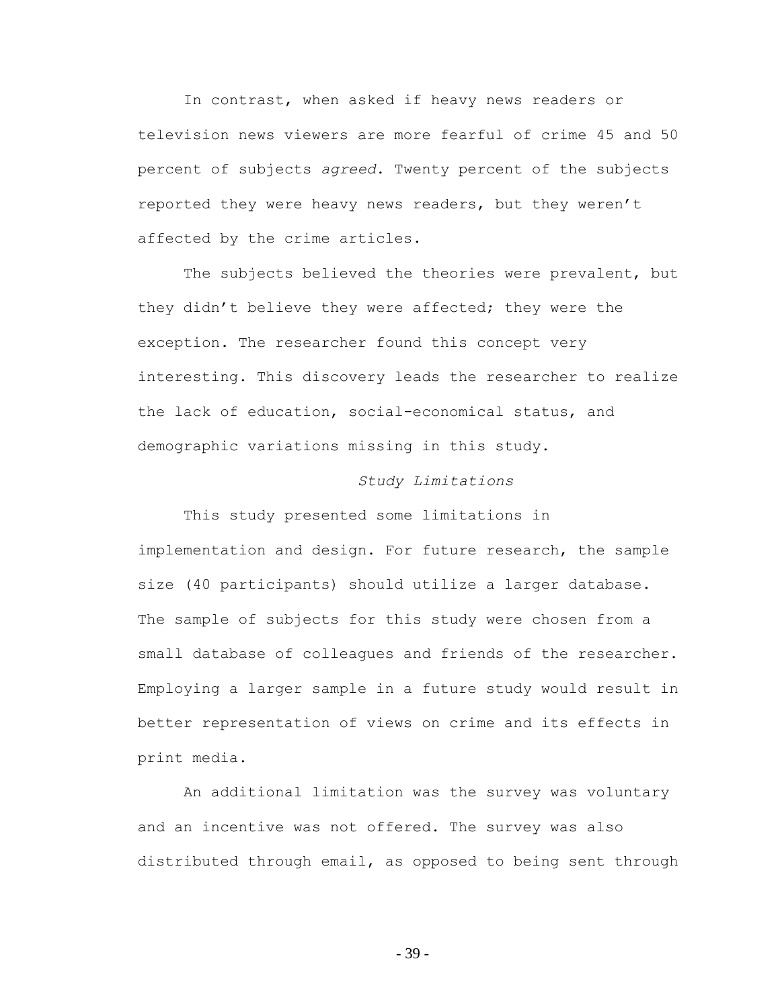In contrast, when asked if heavy news readers or television news viewers are more fearful of crime 45 and 50 percent of subjects *agreed*. Twenty percent of the subjects reported they were heavy news readers, but they weren't affected by the crime articles.

The subjects believed the theories were prevalent, but they didn"t believe they were affected; they were the exception. The researcher found this concept very interesting. This discovery leads the researcher to realize the lack of education, social-economical status, and demographic variations missing in this study.

# *Study Limitations*

This study presented some limitations in implementation and design. For future research, the sample size (40 participants) should utilize a larger database. The sample of subjects for this study were chosen from a small database of colleagues and friends of the researcher. Employing a larger sample in a future study would result in better representation of views on crime and its effects in print media.

An additional limitation was the survey was voluntary and an incentive was not offered. The survey was also distributed through email, as opposed to being sent through

- 39 -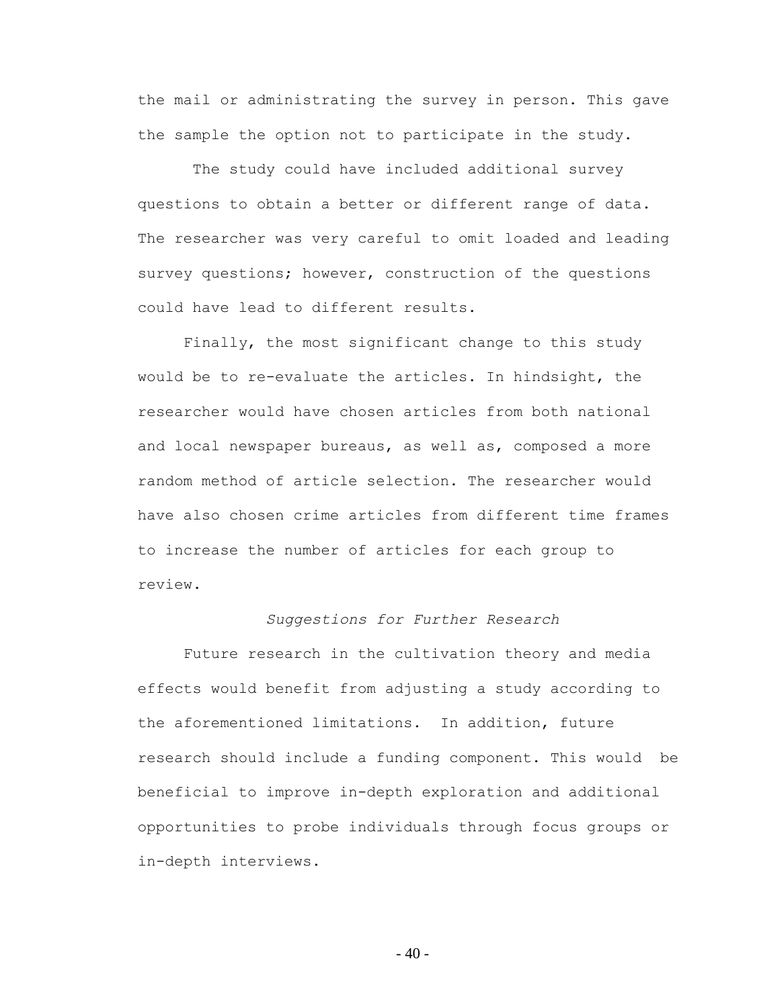the mail or administrating the survey in person. This gave the sample the option not to participate in the study.

The study could have included additional survey questions to obtain a better or different range of data. The researcher was very careful to omit loaded and leading survey questions; however, construction of the questions could have lead to different results.

Finally, the most significant change to this study would be to re-evaluate the articles. In hindsight, the researcher would have chosen articles from both national and local newspaper bureaus, as well as, composed a more random method of article selection. The researcher would have also chosen crime articles from different time frames to increase the number of articles for each group to review.

# *Suggestions for Further Research*

Future research in the cultivation theory and media effects would benefit from adjusting a study according to the aforementioned limitations. In addition, future research should include a funding component. This would be beneficial to improve in-depth exploration and additional opportunities to probe individuals through focus groups or in-depth interviews.

 $-40-$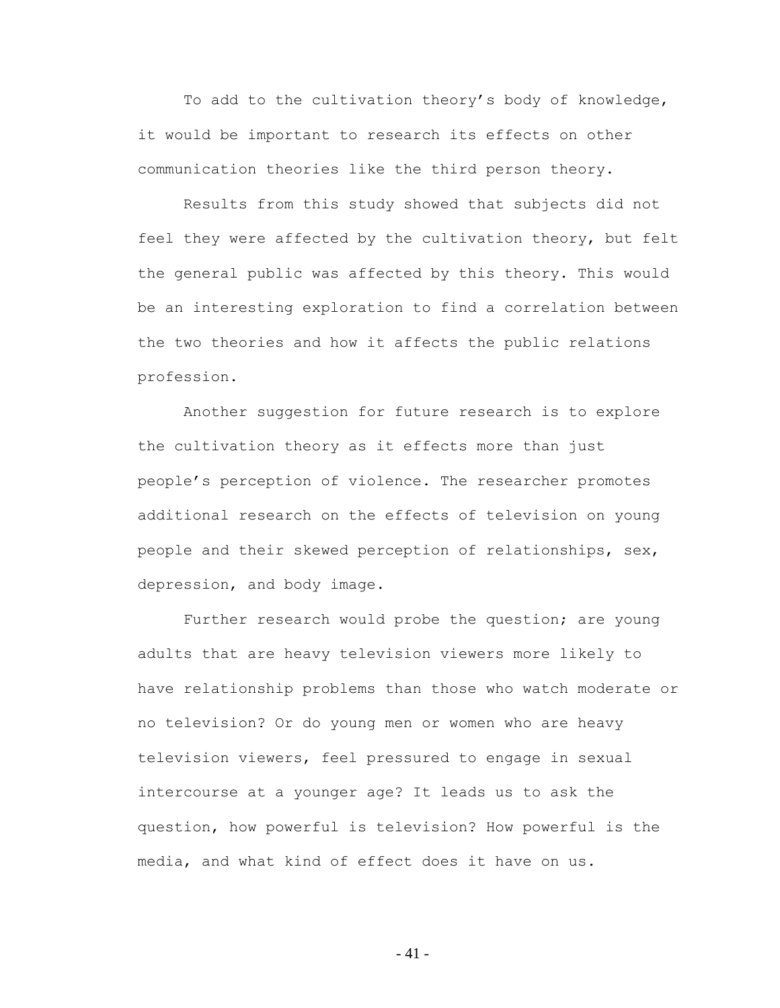To add to the cultivation theory"s body of knowledge, it would be important to research its effects on other communication theories like the third person theory.

Results from this study showed that subjects did not feel they were affected by the cultivation theory, but felt the general public was affected by this theory. This would be an interesting exploration to find a correlation between the two theories and how it affects the public relations profession.

Another suggestion for future research is to explore the cultivation theory as it effects more than just people"s perception of violence. The researcher promotes additional research on the effects of television on young people and their skewed perception of relationships, sex, depression, and body image.

Further research would probe the question; are young adults that are heavy television viewers more likely to have relationship problems than those who watch moderate or no television? Or do young men or women who are heavy television viewers, feel pressured to engage in sexual intercourse at a younger age? It leads us to ask the question, how powerful is television? How powerful is the media, and what kind of effect does it have on us.

- 41 -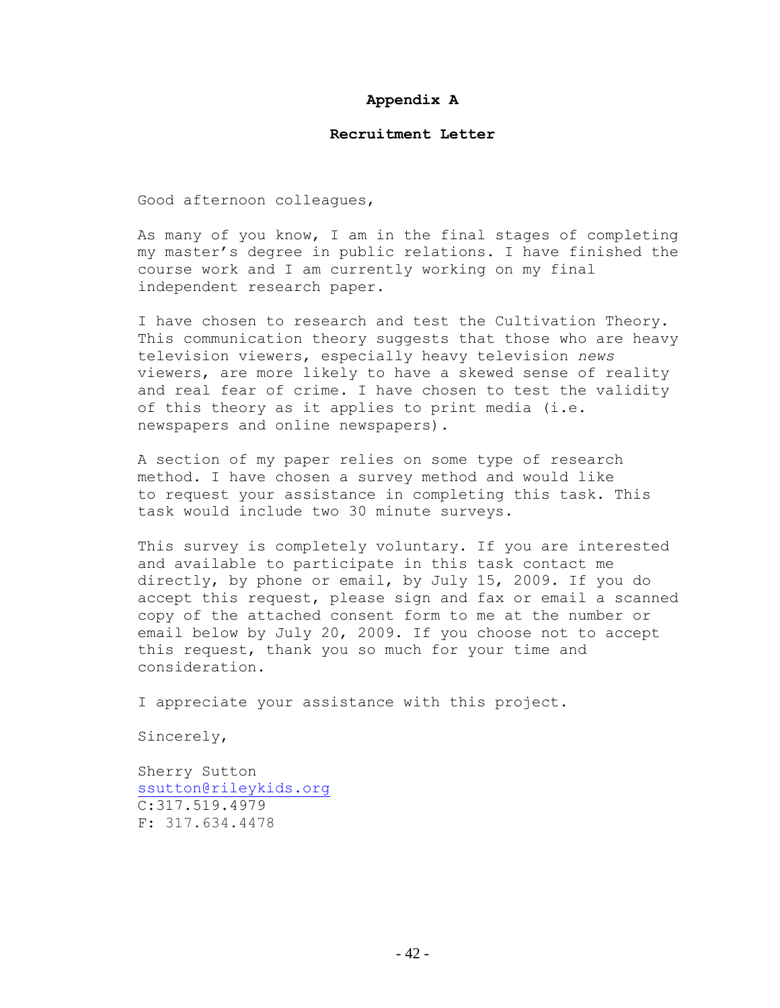### **Appendix A**

### **Recruitment Letter**

Good afternoon colleagues,

As many of you know, I am in the final stages of completing my master"s degree in public relations. I have finished the course work and I am currently working on my final independent research paper.

I have chosen to research and test the Cultivation Theory. This communication theory suggests that those who are heavy television viewers, especially heavy television *news*  viewers, are more likely to have a skewed sense of reality and real fear of crime. I have chosen to test the validity of this theory as it applies to print media (i.e. newspapers and online newspapers).

A section of my paper relies on some type of research method. I have chosen a survey method and would like to request your assistance in completing this task. This task would include two 30 minute surveys.

This survey is completely voluntary. If you are interested and available to participate in this task contact me directly, by phone or email, by July 15, 2009. If you do accept this request, please sign and fax or email a scanned copy of the attached consent form to me at the number or email below by July 20, 2009. If you choose not to accept this request, thank you so much for your time and consideration.

I appreciate your assistance with this project.

Sincerely,

Sherry Sutton [ssutton@rileykids.org](http://mail.rileykids.org/owa/redir.aspx?C=7644272be0654f4cbfced3f1b46d1167&URL=mailto%3assutton%40rileykids.org) C:317.519.4979 F: 317.634.4478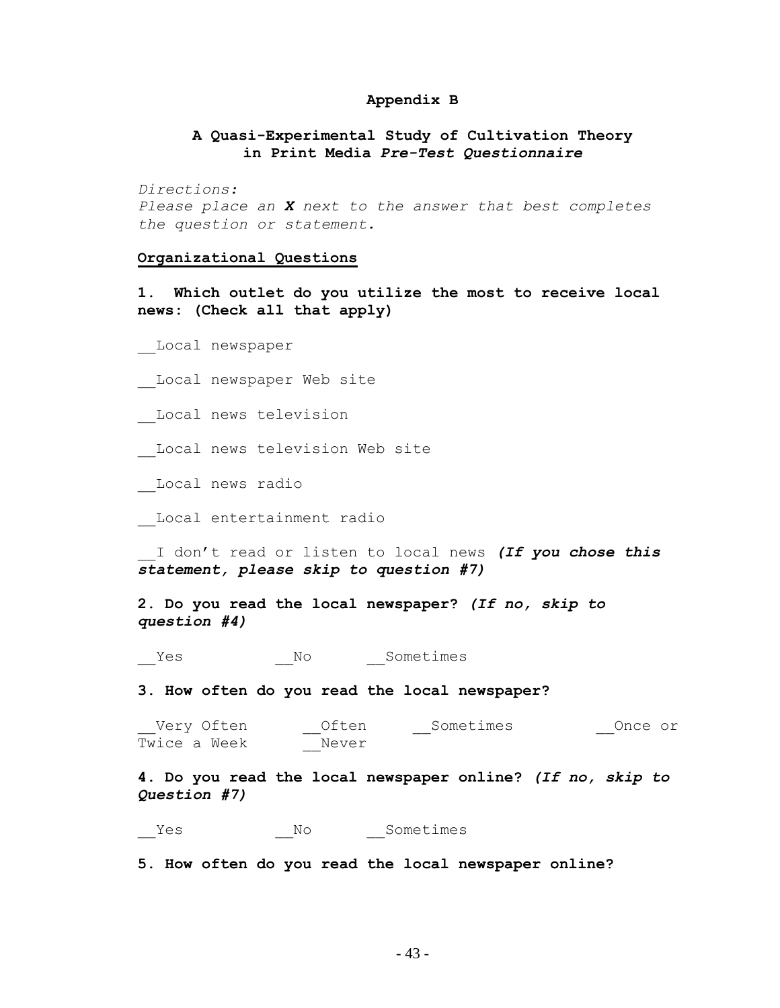# **Appendix B**

# **A Quasi-Experimental Study of Cultivation Theory in Print Media** *Pre-Test Questionnaire*

*Directions: Please place an X next to the answer that best completes the question or statement.*

#### **Organizational Questions**

**1. Which outlet do you utilize the most to receive local news: (Check all that apply)**

\_\_Local newspaper

Local newspaper Web site

\_\_Local news television

Local news television Web site

\_\_Local news radio

\_\_Local entertainment radio

\_\_I don"t read or listen to local news *(If you chose this statement, please skip to question #7)*

**2. Do you read the local newspaper?** *(If no, skip to question #4)*

\_\_Yes \_\_No \_\_Sometimes

**3. How often do you read the local newspaper?**

\_Very Often \_\_\_\_\_\_\_\_Often \_\_\_\_\_\_\_\_\_\_\_\_\_\_\_\_\_\_\_\_\_\_\_\_\_\_\_\_\_\_\_\_\_\_Once or Twice a Week \_\_Never

**4. Do you read the local newspaper online?** *(If no, skip to Question #7)*

Yes No Sometimes

**5. How often do you read the local newspaper online?**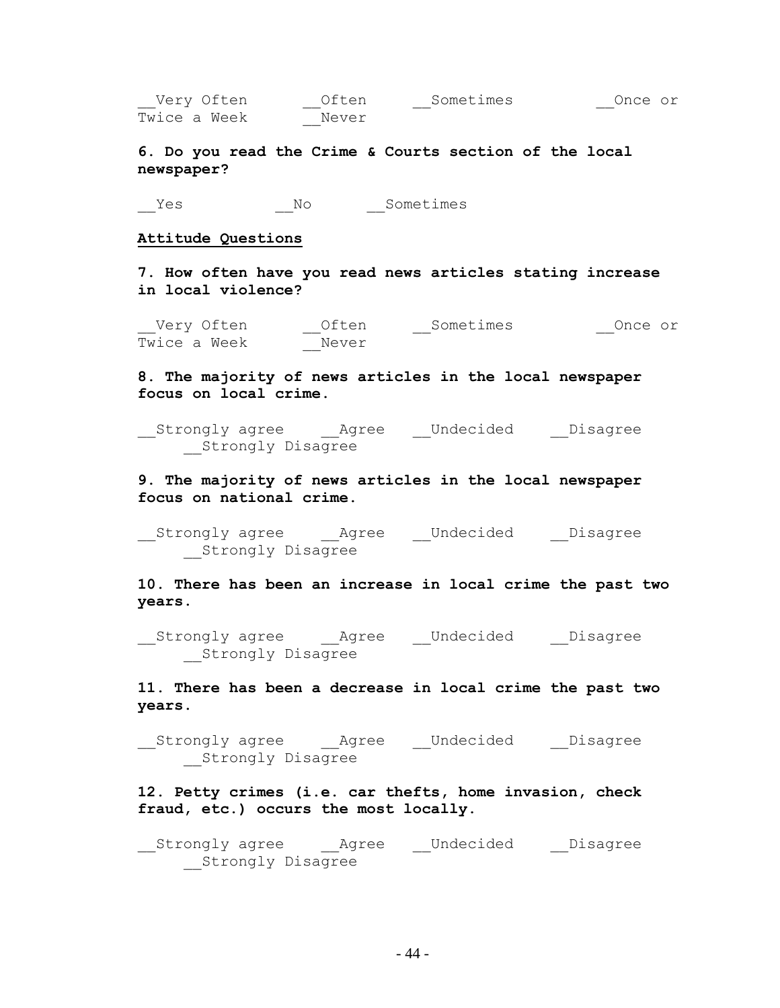| Very Often Often Sometimes<br>Once or<br>Twice a Week<br>Never                      |
|-------------------------------------------------------------------------------------|
| 6. Do you read the Crime & Courts section of the local<br>newspaper?                |
| Sometimes<br>N <sup>O</sup><br>Yes                                                  |
| Attitude Questions                                                                  |
| 7. How often have you read news articles stating increase<br>in local violence?     |
| Once or<br>Twice a Week<br>Never                                                    |
| 8. The majority of news articles in the local newspaper<br>focus on local crime.    |
| Strongly agree    Agree    Undecided    Disagree<br>Strongly Disagree               |
| 9. The majority of news articles in the local newspaper<br>focus on national crime. |
| Strongly agree    Agree    Undecided    Disagree<br>Strongly Disagree               |
| 10. There has been an increase in local crime the past two<br>years.                |

\_\_Strongly agree \_\_\_\_\_\_\_\_\_\_\_\_\_\_\_\_\_Undecided \_\_\_\_Disagree \_\_Strongly Disagree

**11. There has been a decrease in local crime the past two years.**

\_\_Strongly agree \_\_Agree \_\_Undecided \_\_Disagree Strongly Disagree

**12. Petty crimes (i.e. car thefts, home invasion, check fraud, etc.) occurs the most locally.**

\_\_Strongly agree \_\_Agree \_\_Undecided \_\_Disagree Strongly Disagree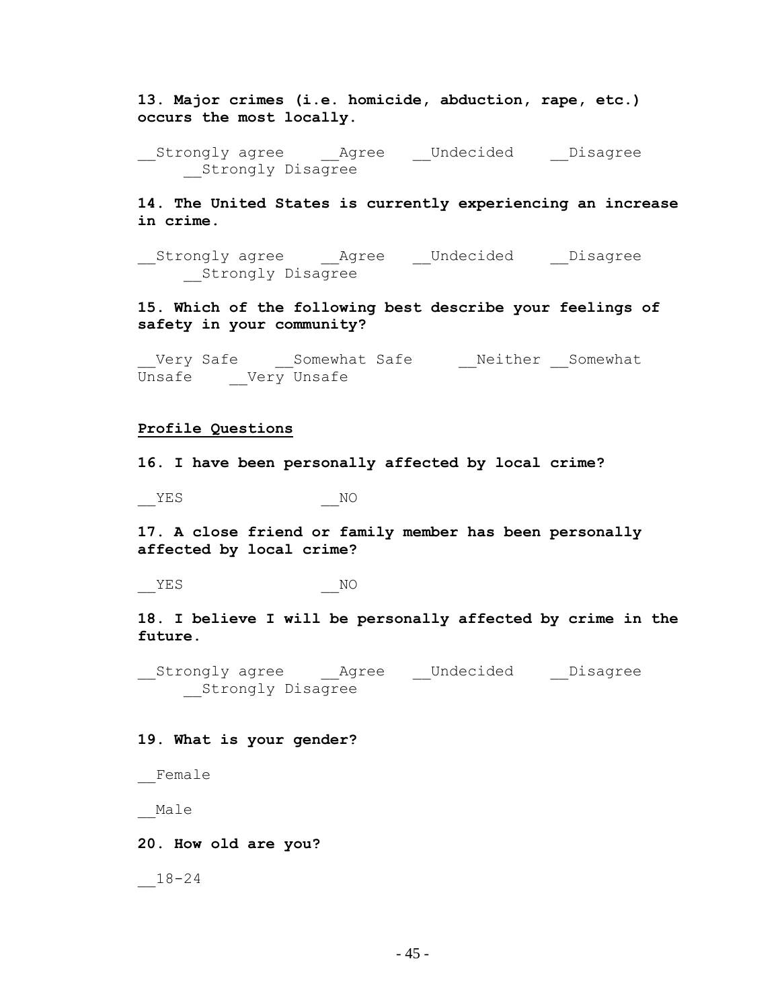**13. Major crimes (i.e. homicide, abduction, rape, etc.) occurs the most locally.**

\_\_Strongly agree \_\_Agree \_\_Undecided \_\_Disagree \_\_Strongly Disagree

**14. The United States is currently experiencing an increase in crime.**

\_\_Strongly agree \_\_Agree \_\_Undecided \_\_Disagree \_\_Strongly Disagree

**15. Which of the following best describe your feelings of safety in your community?**

\_Very Safe \_\_\_Somewhat Safe \_\_\_\_\_\_Neither \_\_Somewhat Unsafe \_\_Very Unsafe

### **Profile Questions**

**16. I have been personally affected by local crime?**

 $YES$  NO

**17. A close friend or family member has been personally affected by local crime?**

YES NO

**18. I believe I will be personally affected by crime in the future.**

\_\_Strongly agree \_\_Agree \_\_Undecided \_\_Disagree \_\_Strongly Disagree

# **19. What is your gender?**

\_\_Female

\_\_Male

# **20. How old are you?**

\_\_18-24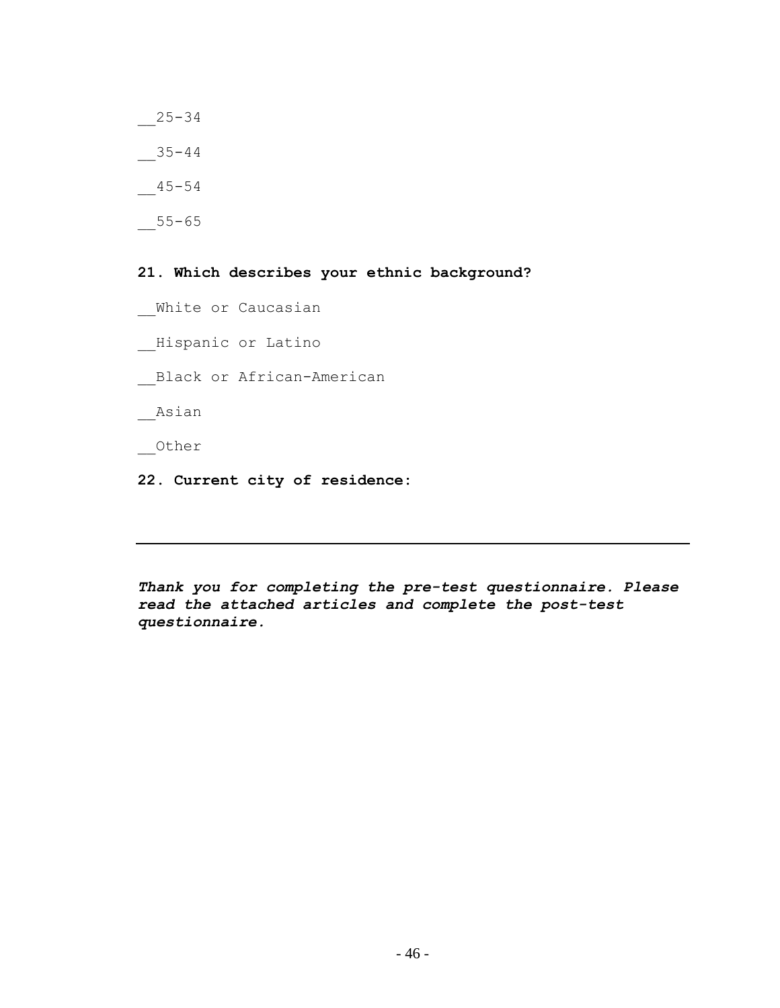\_\_25-34  $-35-44$  $-45-54$  $-55-65$ 

**21. Which describes your ethnic background?**

- White or Caucasian
- \_\_Hispanic or Latino

\_\_Black or African-American

\_\_Asian

\_\_Other

**22. Current city of residence:**

*Thank you for completing the pre-test questionnaire. Please read the attached articles and complete the post-test questionnaire.*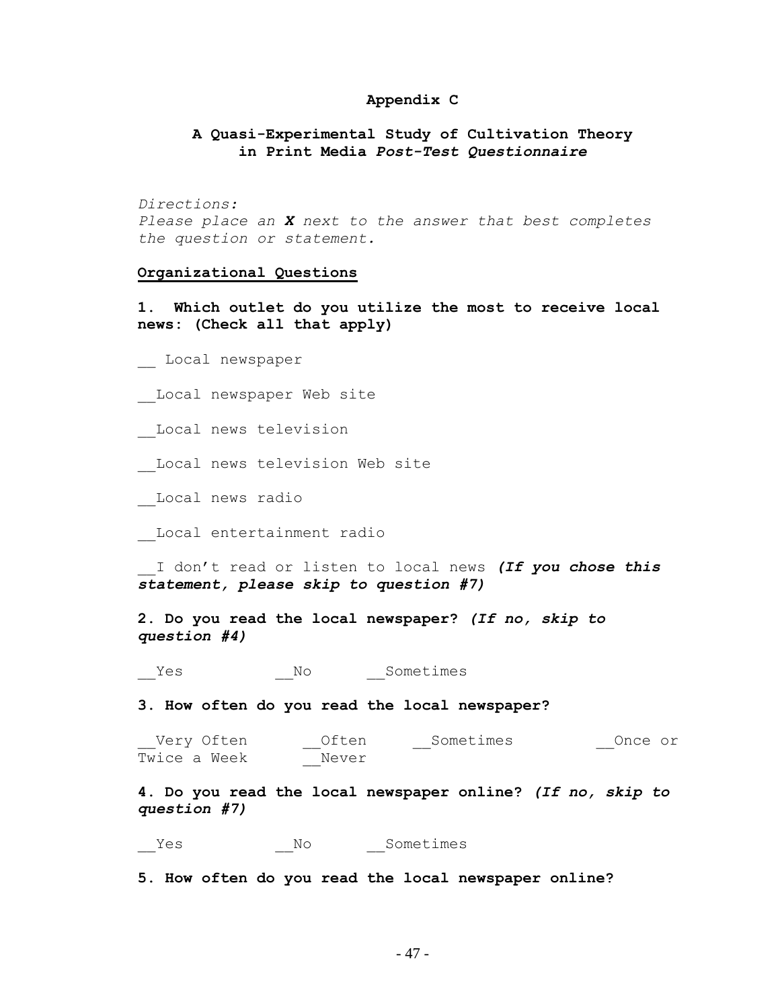# **Appendix C**

# **A Quasi-Experimental Study of Cultivation Theory in Print Media** *Post-Test Questionnaire*

*Directions: Please place an X next to the answer that best completes the question or statement.*

## **Organizational Questions**

**1. Which outlet do you utilize the most to receive local news: (Check all that apply)**

\_\_ Local newspaper

Local newspaper Web site

\_\_Local news television

- Local news television Web site
- \_\_Local news radio

\_\_Local entertainment radio

\_\_I don"t read or listen to local news *(If you chose this statement, please skip to question #7)*

**2. Do you read the local newspaper?** *(If no, skip to question #4)*

Yes No Sometimes

**3. How often do you read the local newspaper?**

| Very Often   | Often | Sometimes | Once or |
|--------------|-------|-----------|---------|
| Twice a Week | Never |           |         |

**4. Do you read the local newspaper online?** *(If no, skip to question #7)*

\_\_Yes \_\_No \_\_Sometimes

**5. How often do you read the local newspaper online?**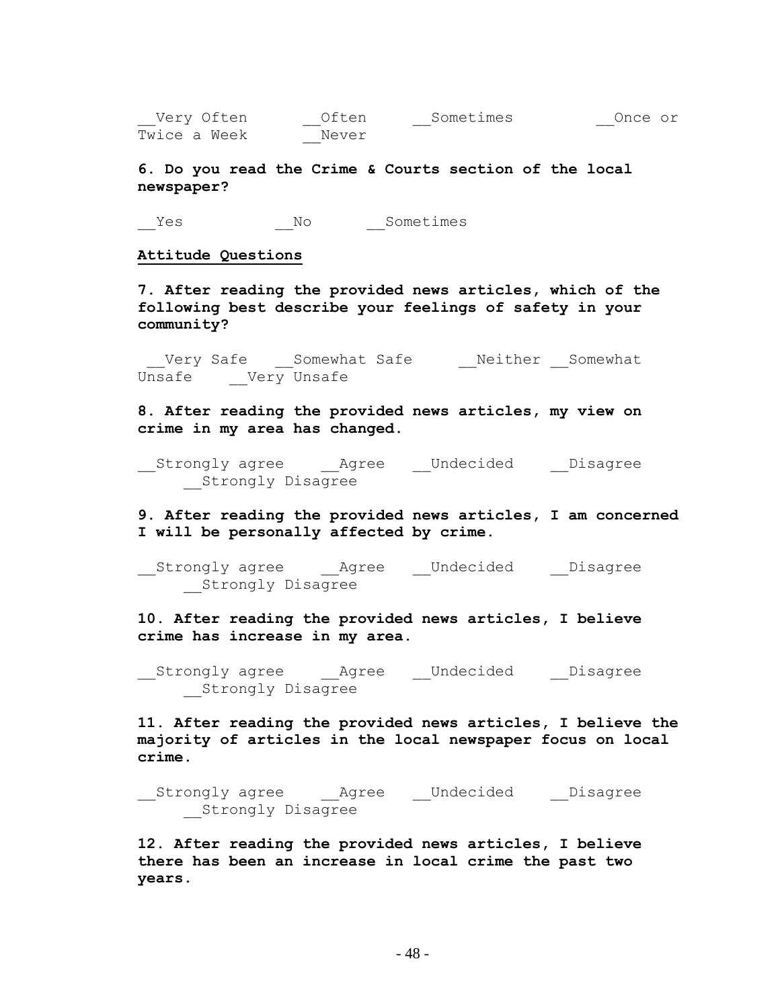Very Often deten and Sometimes once or Twice a Week \_\_Never

**6. Do you read the Crime & Courts section of the local newspaper?**

\_\_Yes \_\_\_\_\_\_\_\_\_No \_\_\_\_\_Sometimes

### **Attitude Questions**

**7. After reading the provided news articles, which of the following best describe your feelings of safety in your community?**

\_\_Very Safe \_\_\_Somewhat Safe \_\_\_\_\_\_\_Neither \_\_Somewhat Unsafe Very Unsafe

**8. After reading the provided news articles, my view on crime in my area has changed.**

\_\_Strongly agree \_\_Agree \_\_Undecided \_\_Disagree Strongly Disagree

**9. After reading the provided news articles, I am concerned I will be personally affected by crime.**

\_\_Strongly agree \_\_Agree \_\_Undecided \_\_Disagree \_\_Strongly Disagree

**10. After reading the provided news articles, I believe crime has increase in my area.**

\_\_Strongly agree \_\_Agree \_\_Undecided \_\_Disagree \_\_Strongly Disagree

**11. After reading the provided news articles, I believe the majority of articles in the local newspaper focus on local crime.**

\_\_Strongly agree \_\_Agree \_\_Undecided \_\_Disagree \_\_Strongly Disagree

**12. After reading the provided news articles, I believe there has been an increase in local crime the past two years.**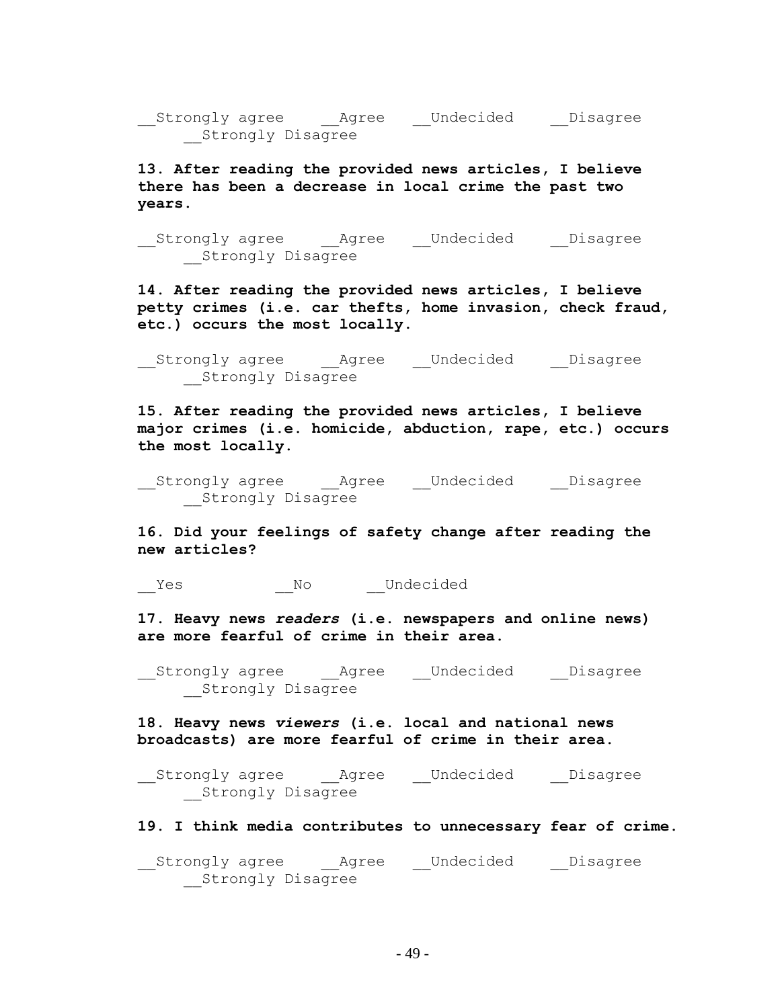\_\_Strongly agree \_\_Agree \_\_Undecided \_\_Disagree \_\_Strongly Disagree

**13. After reading the provided news articles, I believe there has been a decrease in local crime the past two years.**

\_\_Strongly agree \_\_Agree \_\_Undecided \_\_Disagree \_\_Strongly Disagree

**14. After reading the provided news articles, I believe petty crimes (i.e. car thefts, home invasion, check fraud, etc.) occurs the most locally.**

\_\_Strongly agree \_\_Agree \_\_Undecided \_\_Disagree \_\_Strongly Disagree

**15. After reading the provided news articles, I believe major crimes (i.e. homicide, abduction, rape, etc.) occurs the most locally.**

\_\_Strongly agree \_\_Agree \_\_Undecided \_\_Disagree \_\_Strongly Disagree

**16. Did your feelings of safety change after reading the new articles?**

Yes No Undecided

**17. Heavy news** *readers* **(i.e. newspapers and online news) are more fearful of crime in their area.**

\_\_Strongly agree \_\_Agree \_\_Undecided \_\_Disagree \_\_Strongly Disagree

**18. Heavy news** *viewers* **(i.e. local and national news broadcasts) are more fearful of crime in their area.**

\_\_Strongly agree \_\_Agree \_\_Undecided \_\_Disagree \_\_Strongly Disagree

**19. I think media contributes to unnecessary fear of crime.**

\_\_Strongly agree \_\_Agree \_\_Undecided \_\_Disagree Strongly Disagree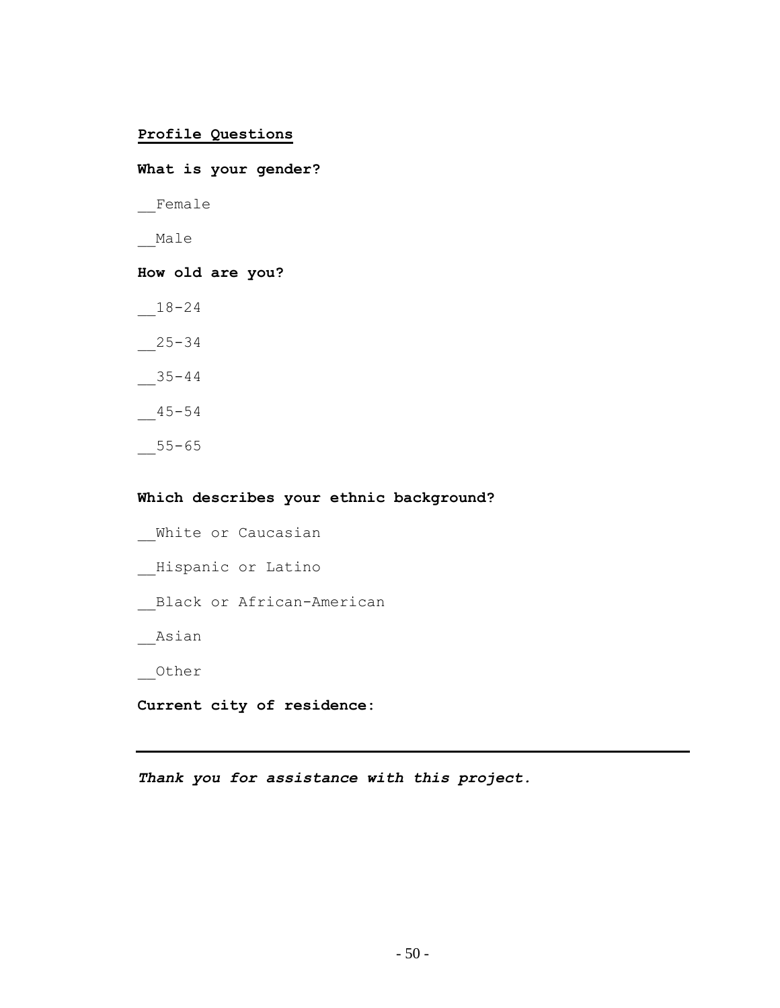# **Profile Questions**

**What is your gender?**  \_\_Female \_\_Male **How old are you?**  $-18-24$ \_\_25-34  $-35-44$  $-45-54$  $-55-65$ 

# **Which describes your ethnic background?**

White or Caucasian \_\_Hispanic or Latino \_\_Black or African-American \_\_Asian \_\_Other

**Current city of residence:**

*Thank you for assistance with this project.*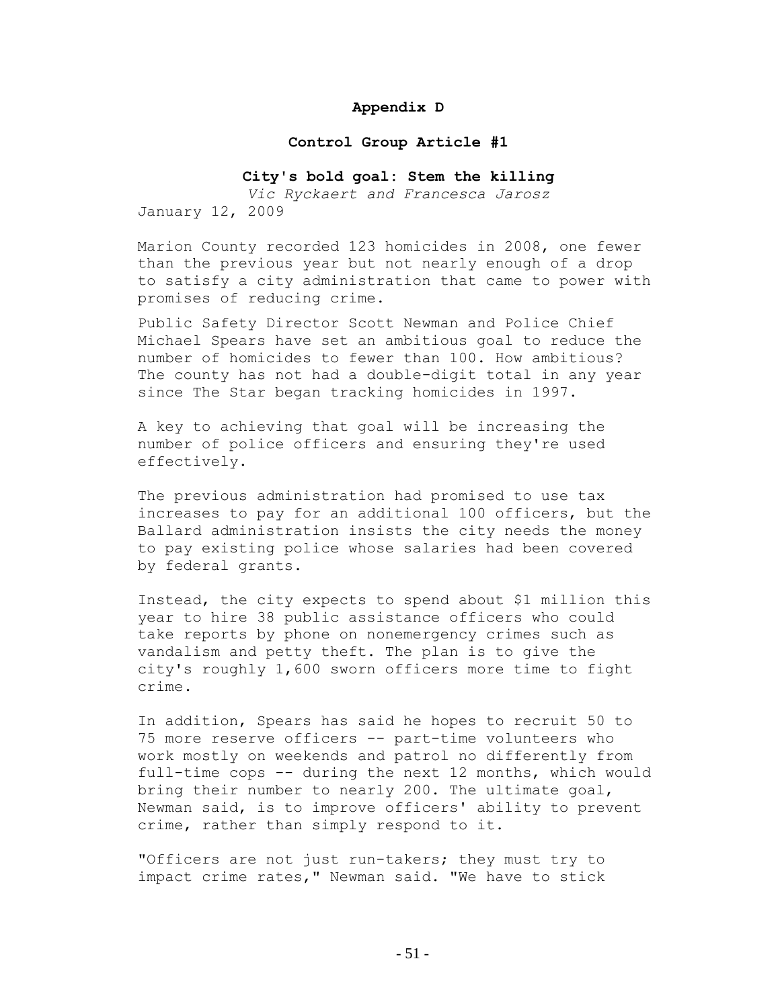# **Appendix D**

### **Control Group Article #1**

# **City's bold goal: Stem the killing**

*Vic Ryckaert and Francesca Jarosz* January 12, 2009

Marion County recorded 123 homicides in 2008, one fewer than the previous year but not nearly enough of a drop to satisfy a city administration that came to power with promises of reducing crime.

Public Safety Director Scott Newman and Police Chief Michael Spears have set an ambitious goal to reduce the number of homicides to fewer than 100. How ambitious? The county has not had a double-digit total in any year since The Star began tracking homicides in 1997.

A key to achieving that goal will be increasing the number of police officers and ensuring they're used effectively.

The previous administration had promised to use tax increases to pay for an additional 100 officers, but the Ballard administration insists the city needs the money to pay existing police whose salaries had been covered by federal grants.

Instead, the city expects to spend about \$1 million this year to hire 38 public assistance officers who could take reports by phone on nonemergency crimes such as vandalism and petty theft. The plan is to give the city's roughly 1,600 sworn officers more time to fight crime.

In addition, Spears has said he hopes to recruit 50 to 75 more reserve officers -- part-time volunteers who work mostly on weekends and patrol no differently from full-time cops -- during the next 12 months, which would bring their number to nearly 200. The ultimate goal, Newman said, is to improve officers' ability to prevent crime, rather than simply respond to it.

"Officers are not just run-takers; they must try to impact crime rates," Newman said. "We have to stick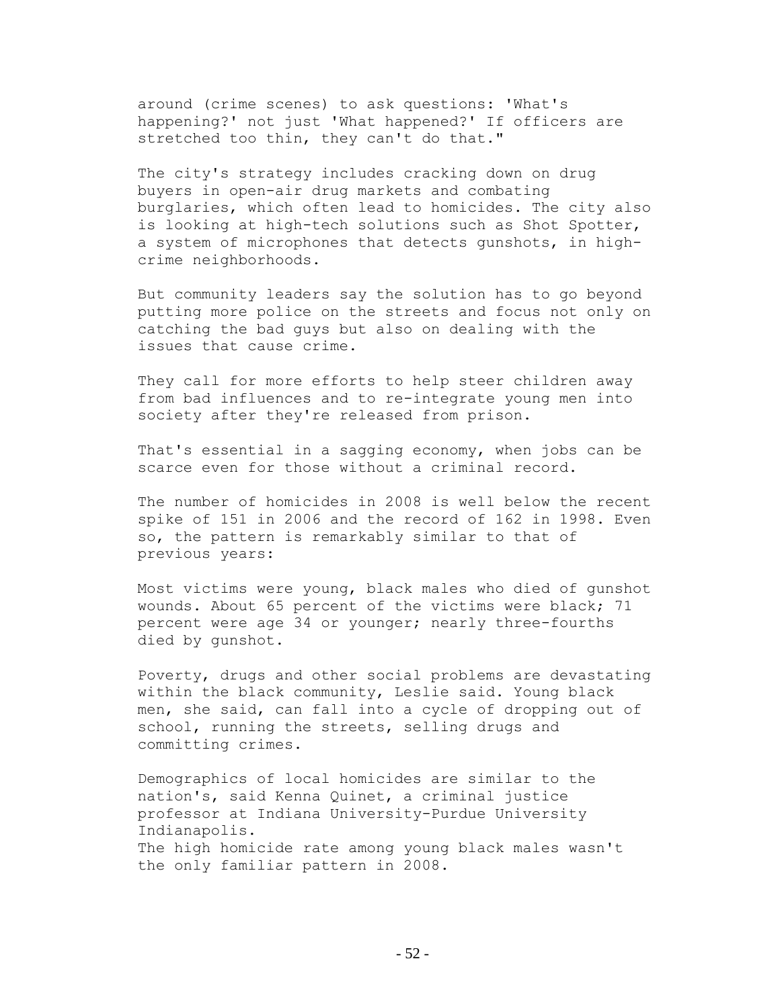around (crime scenes) to ask questions: 'What's happening?' not just 'What happened?' If officers are stretched too thin, they can't do that."

The city's strategy includes cracking down on drug buyers in open-air drug markets and combating burglaries, which often lead to homicides. The city also is looking at high-tech solutions such as Shot Spotter, a system of microphones that detects gunshots, in highcrime neighborhoods.

But community leaders say the solution has to go beyond putting more police on the streets and focus not only on catching the bad guys but also on dealing with the issues that cause crime.

They call for more efforts to help steer children away from bad influences and to re-integrate young men into society after they're released from prison.

That's essential in a sagging economy, when jobs can be scarce even for those without a criminal record.

The number of homicides in 2008 is well below the recent spike of 151 in 2006 and the record of 162 in 1998. Even so, the pattern is remarkably similar to that of previous years:

Most victims were young, black males who died of gunshot wounds. About 65 percent of the victims were black; 71 percent were age 34 or younger; nearly three-fourths died by gunshot.

Poverty, drugs and other social problems are devastating within the black community, Leslie said. Young black men, she said, can fall into a cycle of dropping out of school, running the streets, selling drugs and committing crimes.

Demographics of local homicides are similar to the nation's, said Kenna Quinet, a criminal justice professor at Indiana University-Purdue University Indianapolis. The high homicide rate among young black males wasn't the only familiar pattern in 2008.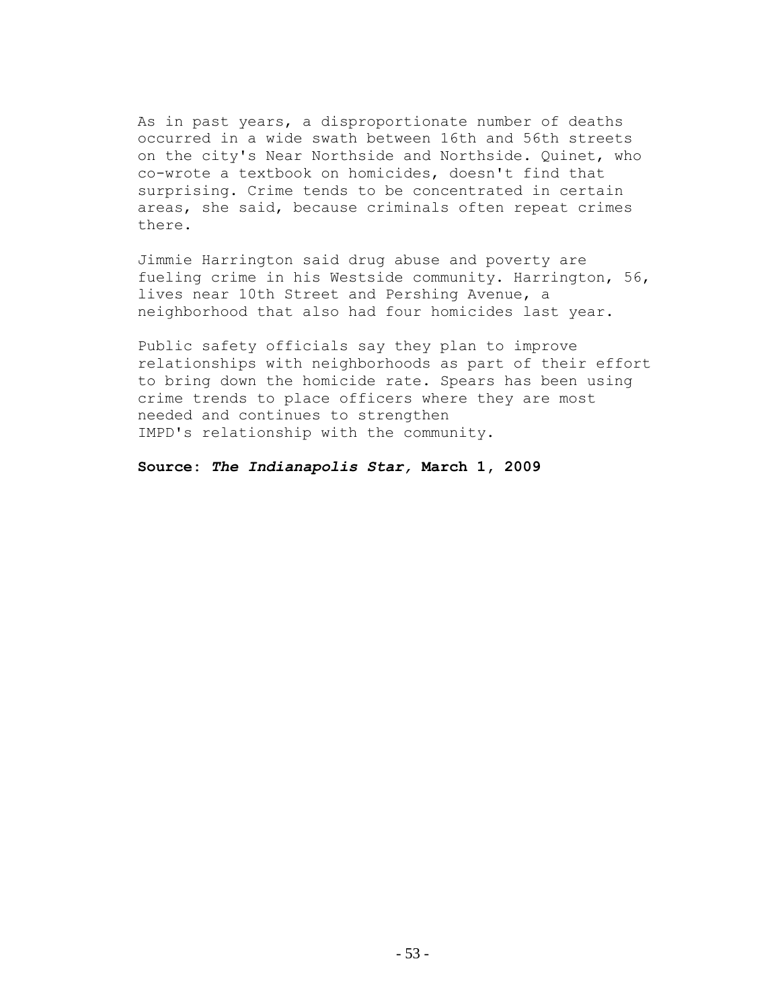As in past years, a disproportionate number of deaths occurred in a wide swath between 16th and 56th streets on the city's Near Northside and Northside. Quinet, who co-wrote a textbook on homicides, doesn't find that surprising. Crime tends to be concentrated in certain areas, she said, because criminals often repeat crimes there.

Jimmie Harrington said drug abuse and poverty are fueling crime in his Westside community. Harrington, 56, lives near 10th Street and Pershing Avenue, a neighborhood that also had four homicides last year.

Public safety officials say they plan to improve relationships with neighborhoods as part of their effort to bring down the homicide rate. Spears has been using crime trends to place officers where they are most needed and continues to strengthen IMPD's relationship with the community.

**Source:** *The Indianapolis Star,* **March 1, 2009**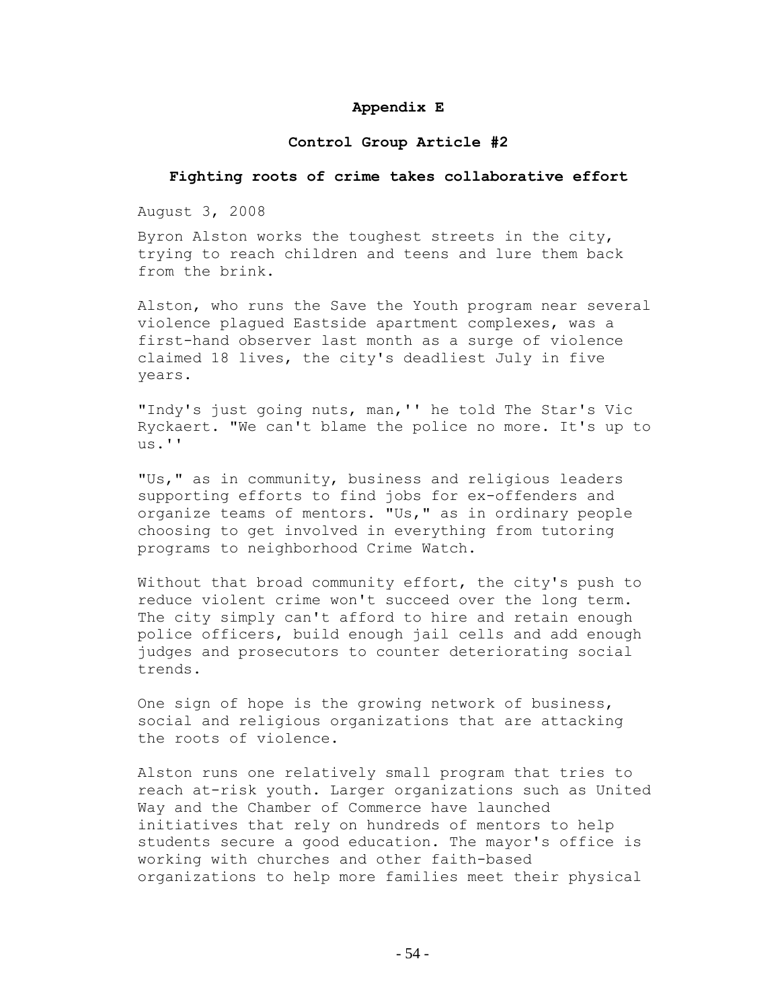# **Appendix E**

# **Control Group Article #2**

### **Fighting roots of crime takes collaborative effort**

August 3, 2008

Byron Alston works the toughest streets in the city, trying to reach children and teens and lure them back from the brink.

Alston, who runs the Save the Youth program near several violence plagued Eastside apartment complexes, was a first-hand observer last month as a surge of violence claimed 18 lives, the city's deadliest July in five years.

"Indy's just going nuts, man,'' he told The Star's Vic Ryckaert. "We can't blame the police no more. It's up to  $\overline{u}$ s.''

"Us," as in community, business and religious leaders supporting efforts to find jobs for ex-offenders and organize teams of mentors. "Us," as in ordinary people choosing to get involved in everything from tutoring programs to neighborhood Crime Watch.

Without that broad community effort, the city's push to reduce violent crime won't succeed over the long term. The city simply can't afford to hire and retain enough police officers, build enough jail cells and add enough judges and prosecutors to counter deteriorating social trends.

One sign of hope is the growing network of business, social and religious organizations that are attacking the roots of violence.

Alston runs one relatively small program that tries to reach at-risk youth. Larger organizations such as United Way and the Chamber of Commerce have launched initiatives that rely on hundreds of mentors to help students secure a good education. The mayor's office is working with churches and other faith-based organizations to help more families meet their physical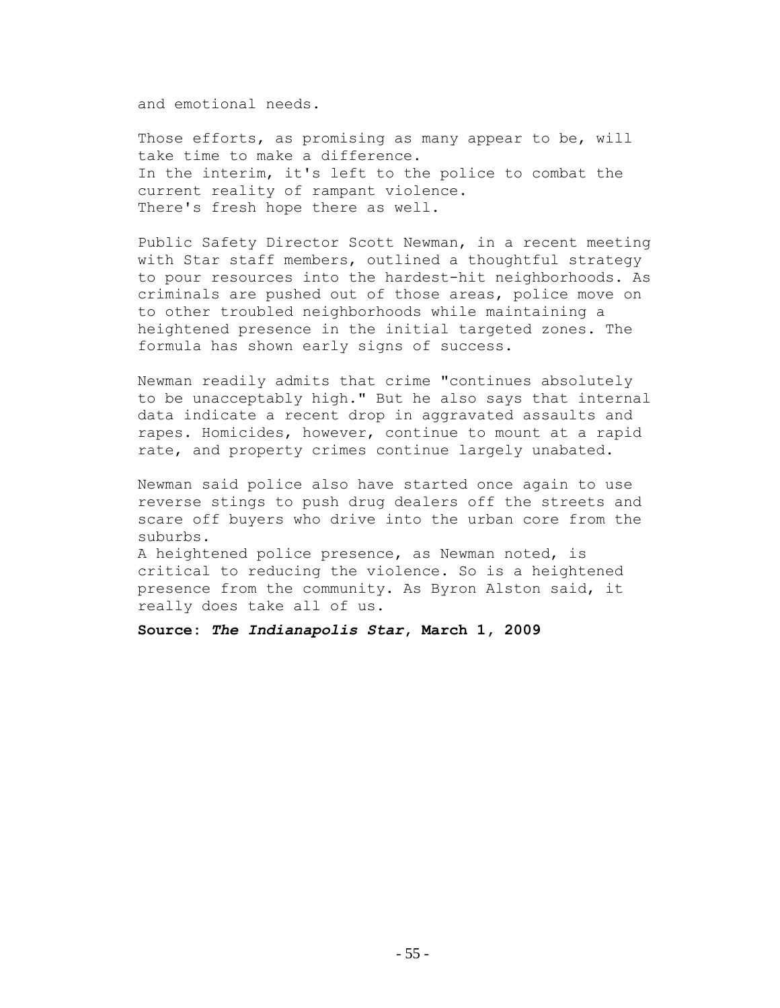and emotional needs.

Those efforts, as promising as many appear to be, will take time to make a difference. In the interim, it's left to the police to combat the current reality of rampant violence. There's fresh hope there as well.

Public Safety Director Scott Newman, in a recent meeting with Star staff members, outlined a thoughtful strategy to pour resources into the hardest-hit neighborhoods. As criminals are pushed out of those areas, police move on to other troubled neighborhoods while maintaining a heightened presence in the initial targeted zones. The formula has shown early signs of success.

Newman readily admits that crime "continues absolutely to be unacceptably high." But he also says that internal data indicate a recent drop in aggravated assaults and rapes. Homicides, however, continue to mount at a rapid rate, and property crimes continue largely unabated.

Newman said police also have started once again to use reverse stings to push drug dealers off the streets and scare off buyers who drive into the urban core from the suburbs.

A heightened police presence, as Newman noted, is critical to reducing the violence. So is a heightened presence from the community. As Byron Alston said, it really does take all of us.

**Source:** *The Indianapolis Star***, March 1, 2009**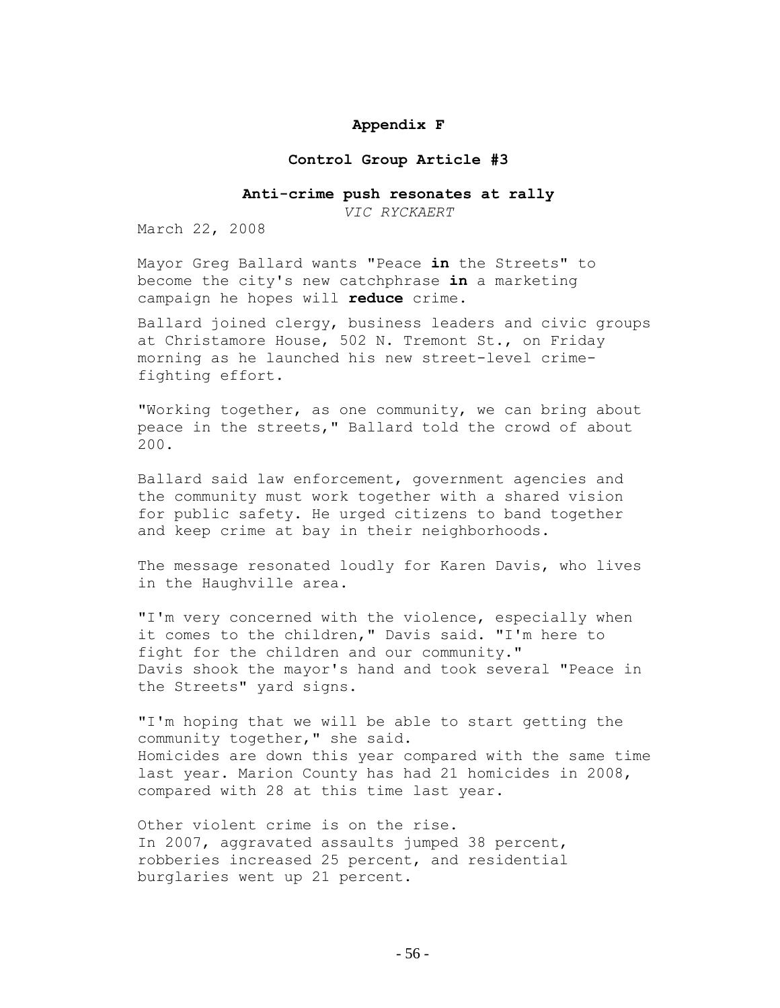# **Appendix F**

### **Control Group Article #3**

#### **Anti-crime push resonates at rally**

*VIC RYCKAERT*

March 22, 2008

Mayor Greg Ballard wants "Peace **in** the Streets" to become the city's new catchphrase **in** a marketing campaign he hopes will **reduce** crime.

Ballard joined clergy, business leaders and civic groups at Christamore House, 502 N. Tremont St., on Friday morning as he launched his new street-level crimefighting effort.

"Working together, as one community, we can bring about peace in the streets," Ballard told the crowd of about 200.

Ballard said law enforcement, government agencies and the community must work together with a shared vision for public safety. He urged citizens to band together and keep crime at bay in their neighborhoods.

The message resonated loudly for Karen Davis, who lives in the Haughville area.

"I'm very concerned with the violence, especially when it comes to the children," Davis said. "I'm here to fight for the children and our community." Davis shook the mayor's hand and took several "Peace in the Streets" yard signs.

"I'm hoping that we will be able to start getting the community together," she said. Homicides are down this year compared with the same time last year. Marion County has had 21 homicides in 2008, compared with 28 at this time last year.

Other violent crime is on the rise. In 2007, aggravated assaults jumped 38 percent, robberies increased 25 percent, and residential burglaries went up 21 percent.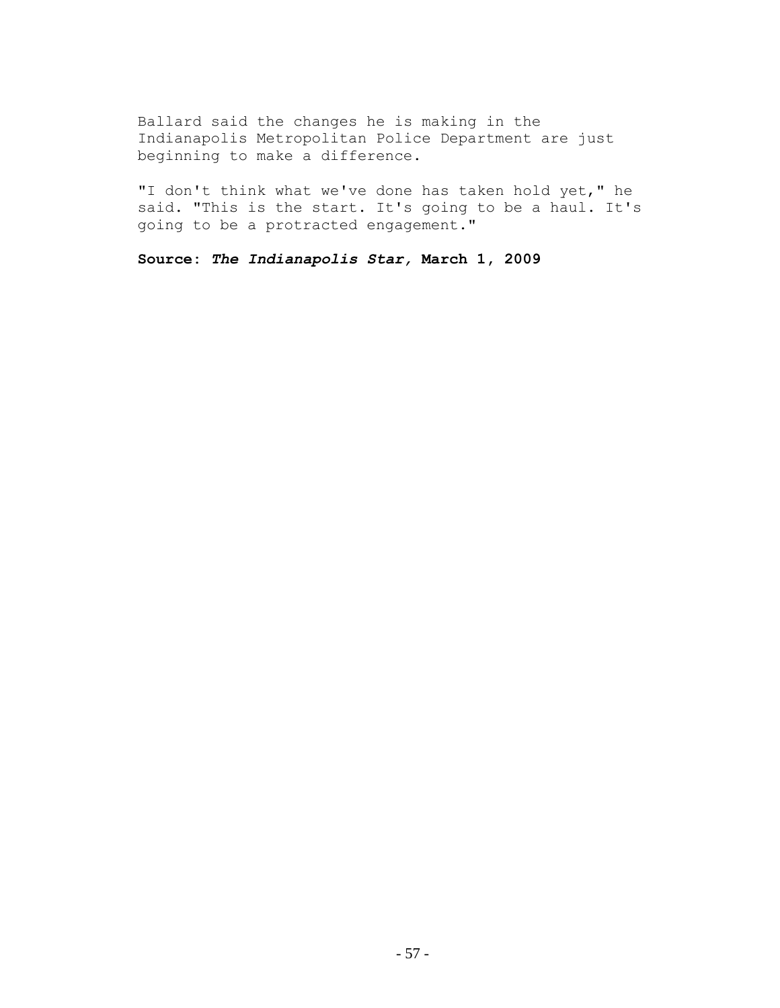Ballard said the changes he is making in the Indianapolis Metropolitan Police Department are just beginning to make a difference.

"I don't think what we've done has taken hold yet," he said. "This is the start. It's going to be a haul. It's going to be a protracted engagement."

**Source:** *The Indianapolis Star,* **March 1, 2009**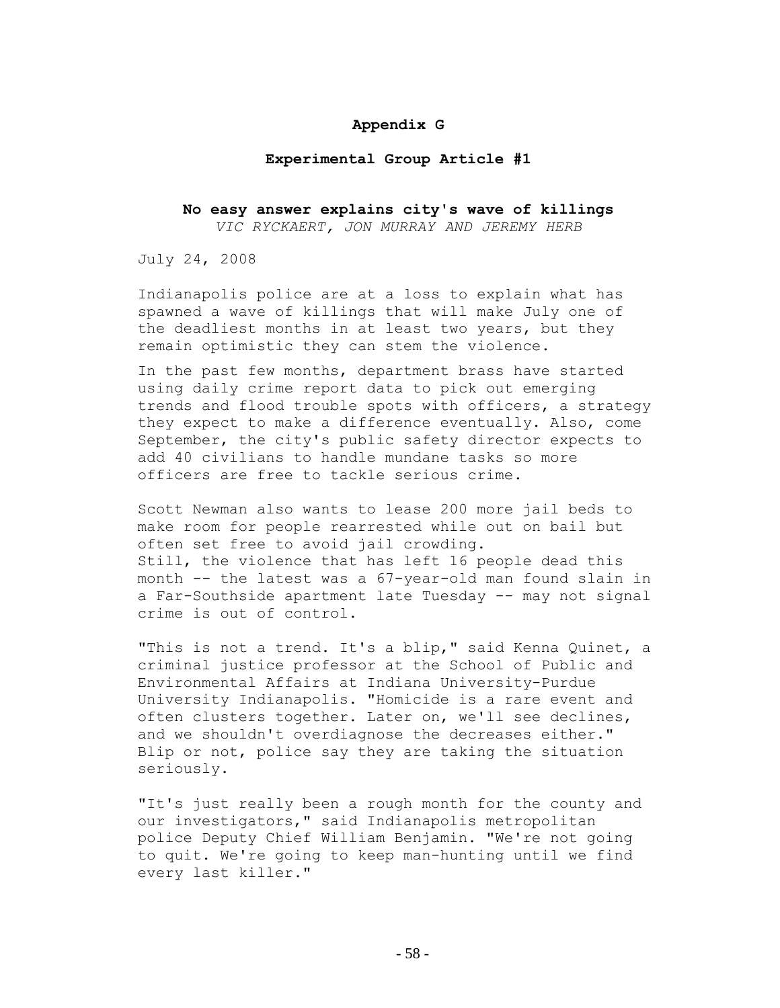# **Appendix G**

### **Experimental Group Article #1**

# **No easy answer explains city's wave of killings** *VIC RYCKAERT, JON MURRAY AND JEREMY HERB*

July 24, 2008

Indianapolis police are at a loss to explain what has spawned a wave of killings that will make July one of the deadliest months in at least two years, but they remain optimistic they can stem the violence.

In the past few months, department brass have started using daily crime report data to pick out emerging trends and flood trouble spots with officers, a strategy they expect to make a difference eventually. Also, come September, the city's public safety director expects to add 40 civilians to handle mundane tasks so more officers are free to tackle serious crime.

Scott Newman also wants to lease 200 more jail beds to make room for people rearrested while out on bail but often set free to avoid jail crowding. Still, the violence that has left 16 people dead this month -- the latest was a 67-year-old man found slain in a Far-Southside apartment late Tuesday -- may not signal crime is out of control.

"This is not a trend. It's a blip," said Kenna Quinet, a criminal justice professor at the School of Public and Environmental Affairs at Indiana University-Purdue University Indianapolis. "Homicide is a rare event and often clusters together. Later on, we'll see declines, and we shouldn't overdiagnose the decreases either." Blip or not, police say they are taking the situation seriously.

"It's just really been a rough month for the county and our investigators," said Indianapolis metropolitan police Deputy Chief William Benjamin. "We're not going to quit. We're going to keep man-hunting until we find every last killer."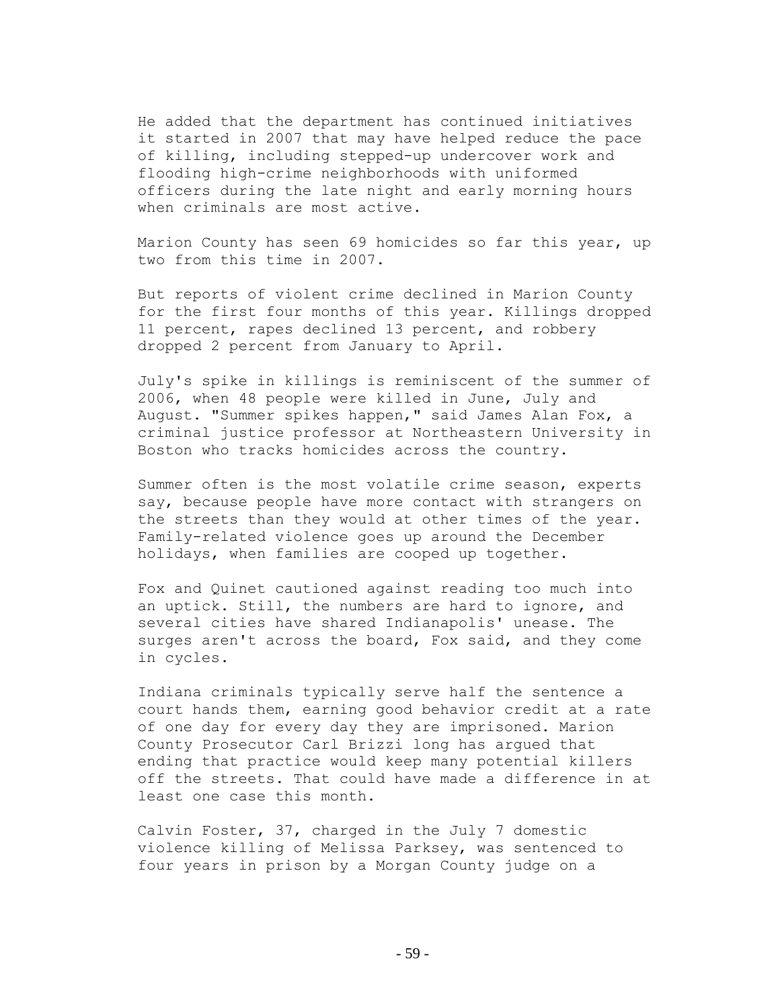He added that the department has continued initiatives it started in 2007 that may have helped reduce the pace of killing, including stepped-up undercover work and flooding high-crime neighborhoods with uniformed officers during the late night and early morning hours when criminals are most active.

Marion County has seen 69 homicides so far this year, up two from this time in 2007.

But reports of violent crime declined in Marion County for the first four months of this year. Killings dropped 11 percent, rapes declined 13 percent, and robbery dropped 2 percent from January to April.

July's spike in killings is reminiscent of the summer of 2006, when 48 people were killed in June, July and August. "Summer spikes happen," said James Alan Fox, a criminal justice professor at Northeastern University in Boston who tracks homicides across the country.

Summer often is the most volatile crime season, experts say, because people have more contact with strangers on the streets than they would at other times of the year. Family-related violence goes up around the December holidays, when families are cooped up together.

Fox and Quinet cautioned against reading too much into an uptick. Still, the numbers are hard to ignore, and several cities have shared Indianapolis' unease. The surges aren't across the board, Fox said, and they come in cycles.

Indiana criminals typically serve half the sentence a court hands them, earning good behavior credit at a rate of one day for every day they are imprisoned. Marion County Prosecutor Carl Brizzi long has argued that ending that practice would keep many potential killers off the streets. That could have made a difference in at least one case this month.

Calvin Foster, 37, charged in the July 7 domestic violence killing of Melissa Parksey, was sentenced to four years in prison by a Morgan County judge on a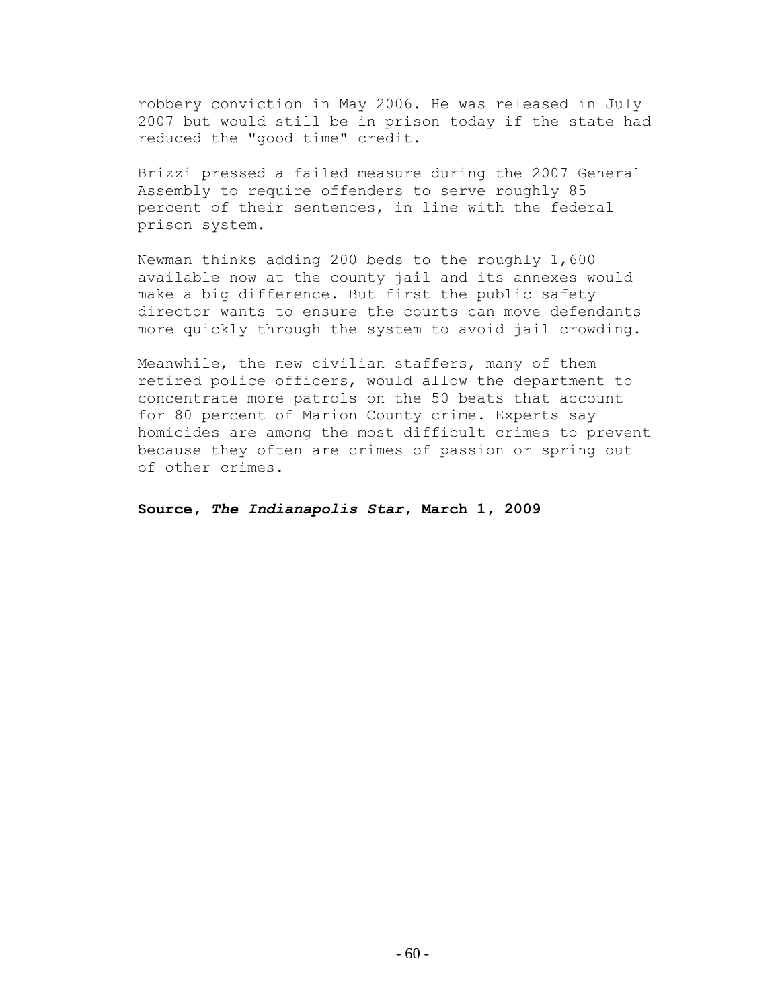robbery conviction in May 2006. He was released in July 2007 but would still be in prison today if the state had reduced the "good time" credit.

Brizzi pressed a failed measure during the 2007 General Assembly to require offenders to serve roughly 85 percent of their sentences, in line with the federal prison system.

Newman thinks adding 200 beds to the roughly 1,600 available now at the county jail and its annexes would make a big difference. But first the public safety director wants to ensure the courts can move defendants more quickly through the system to avoid jail crowding.

Meanwhile, the new civilian staffers, many of them retired police officers, would allow the department to concentrate more patrols on the 50 beats that account for 80 percent of Marion County crime. Experts say homicides are among the most difficult crimes to prevent because they often are crimes of passion or spring out of other crimes.

**Source,** *The Indianapolis Star***, March 1, 2009**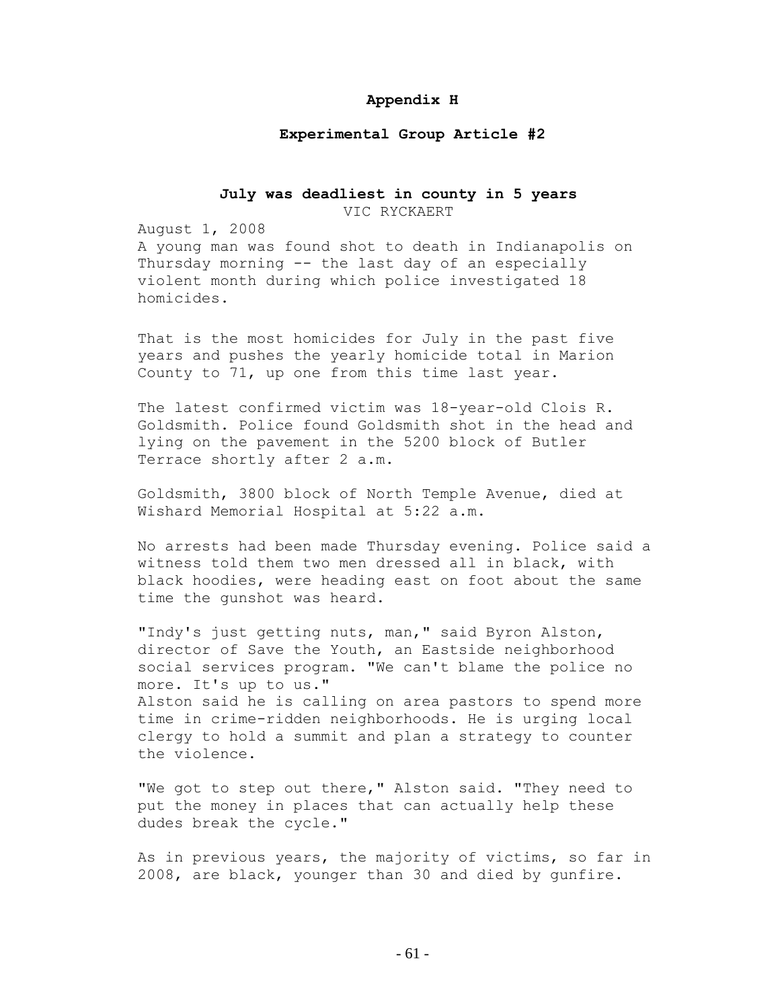### **Appendix H**

### **Experimental Group Article #2**

# **July was deadliest in county in 5 years**

VIC RYCKAERT

August 1, 2008

A young man was found shot to death in Indianapolis on Thursday morning -- the last day of an especially violent month during which police investigated 18 homicides.

That is the most homicides for July in the past five years and pushes the yearly homicide total in Marion County to 71, up one from this time last year.

The latest confirmed victim was 18-year-old Clois R. Goldsmith. Police found Goldsmith shot in the head and lying on the pavement in the 5200 block of Butler Terrace shortly after 2 a.m.

Goldsmith, 3800 block of North Temple Avenue, died at Wishard Memorial Hospital at 5:22 a.m.

No arrests had been made Thursday evening. Police said a witness told them two men dressed all in black, with black hoodies, were heading east on foot about the same time the gunshot was heard.

"Indy's just getting nuts, man," said Byron Alston, director of Save the Youth, an Eastside neighborhood social services program. "We can't blame the police no more. It's up to us." Alston said he is calling on area pastors to spend more time in crime-ridden neighborhoods. He is urging local clergy to hold a summit and plan a strategy to counter the violence.

"We got to step out there," Alston said. "They need to put the money in places that can actually help these dudes break the cycle."

As in previous years, the majority of victims, so far in 2008, are black, younger than 30 and died by gunfire.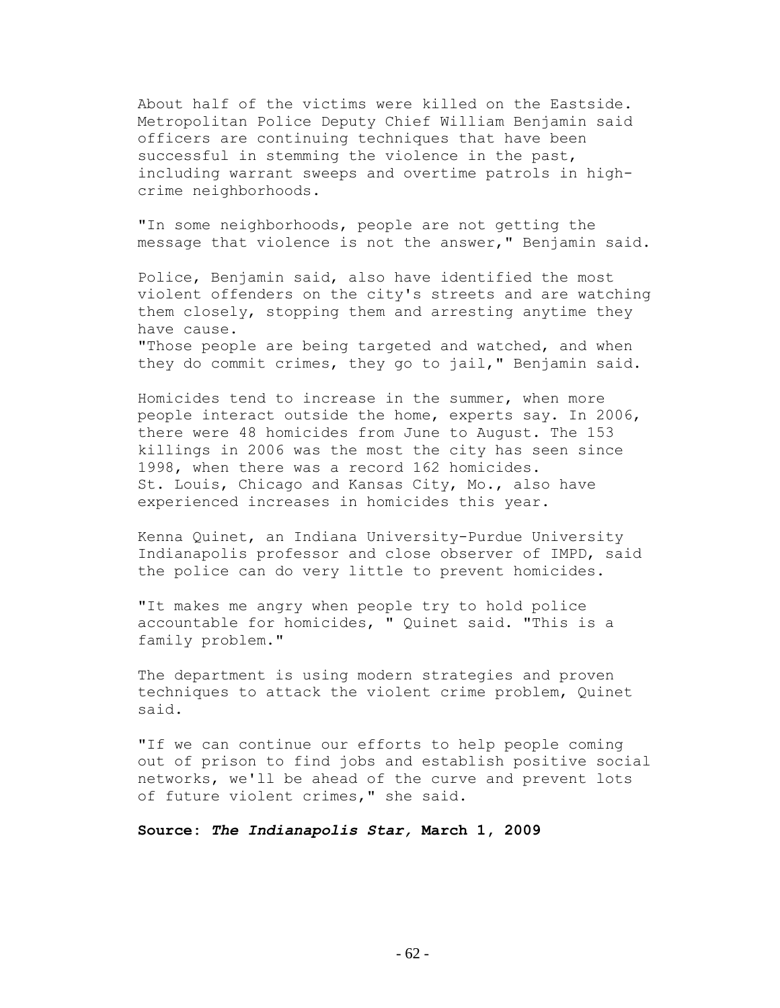About half of the victims were killed on the Eastside. Metropolitan Police Deputy Chief William Benjamin said officers are continuing techniques that have been successful in stemming the violence in the past, including warrant sweeps and overtime patrols in highcrime neighborhoods.

"In some neighborhoods, people are not getting the message that violence is not the answer," Benjamin said.

Police, Benjamin said, also have identified the most violent offenders on the city's streets and are watching them closely, stopping them and arresting anytime they have cause. "Those people are being targeted and watched, and when

they do commit crimes, they go to jail," Benjamin said.

Homicides tend to increase in the summer, when more people interact outside the home, experts say. In 2006, there were 48 homicides from June to August. The 153 killings in 2006 was the most the city has seen since 1998, when there was a record 162 homicides. St. Louis, Chicago and Kansas City, Mo., also have experienced increases in homicides this year.

Kenna Quinet, an Indiana University-Purdue University Indianapolis professor and close observer of IMPD, said the police can do very little to prevent homicides.

"It makes me angry when people try to hold police accountable for homicides, " Quinet said. "This is a family problem."

The department is using modern strategies and proven techniques to attack the violent crime problem, Quinet said.

"If we can continue our efforts to help people coming out of prison to find jobs and establish positive social networks, we'll be ahead of the curve and prevent lots of future violent crimes," she said.

**Source:** *The Indianapolis Star,* **March 1, 2009**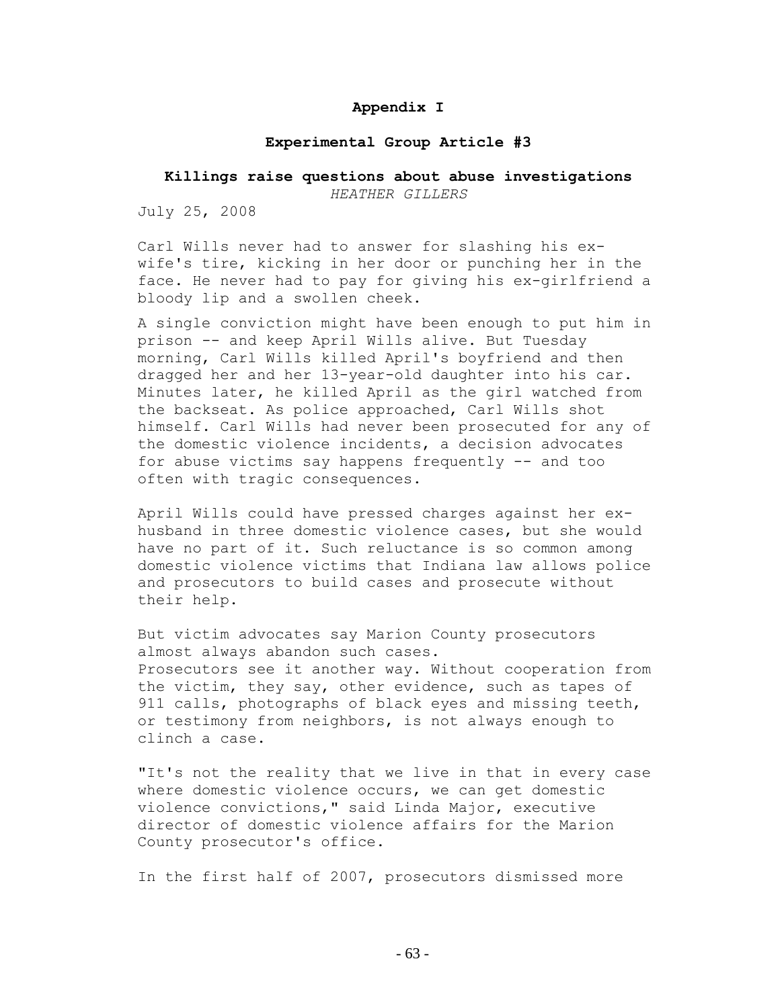# **Appendix I**

### **Experimental Group Article #3**

# **Killings raise questions about abuse investigations**

*HEATHER GILLERS*

July 25, 2008

Carl Wills never had to answer for slashing his exwife's tire, kicking in her door or punching her in the face. He never had to pay for giving his ex-girlfriend a bloody lip and a swollen cheek.

A single conviction might have been enough to put him in prison -- and keep April Wills alive. But Tuesday morning, Carl Wills killed April's boyfriend and then dragged her and her 13-year-old daughter into his car. Minutes later, he killed April as the girl watched from the backseat. As police approached, Carl Wills shot himself. Carl Wills had never been prosecuted for any of the domestic violence incidents, a decision advocates for abuse victims say happens frequently -- and too often with tragic consequences.

April Wills could have pressed charges against her exhusband in three domestic violence cases, but she would have no part of it. Such reluctance is so common among domestic violence victims that Indiana law allows police and prosecutors to build cases and prosecute without their help.

But victim advocates say Marion County prosecutors almost always abandon such cases. Prosecutors see it another way. Without cooperation from the victim, they say, other evidence, such as tapes of 911 calls, photographs of black eyes and missing teeth, or testimony from neighbors, is not always enough to clinch a case.

"It's not the reality that we live in that in every case where domestic violence occurs, we can get domestic violence convictions," said Linda Major, executive director of domestic violence affairs for the Marion County prosecutor's office.

In the first half of 2007, prosecutors dismissed more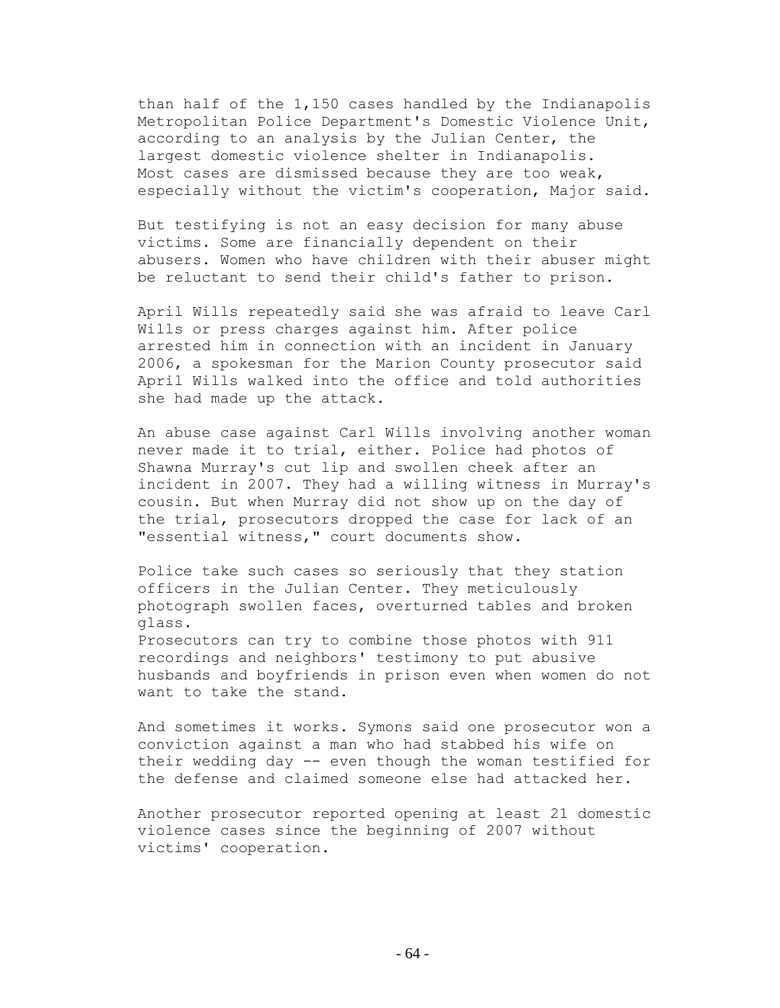than half of the 1,150 cases handled by the Indianapolis Metropolitan Police Department's Domestic Violence Unit, according to an analysis by the Julian Center, the largest domestic violence shelter in Indianapolis. Most cases are dismissed because they are too weak, especially without the victim's cooperation, Major said.

But testifying is not an easy decision for many abuse victims. Some are financially dependent on their abusers. Women who have children with their abuser might be reluctant to send their child's father to prison.

April Wills repeatedly said she was afraid to leave Carl Wills or press charges against him. After police arrested him in connection with an incident in January 2006, a spokesman for the Marion County prosecutor said April Wills walked into the office and told authorities she had made up the attack.

An abuse case against Carl Wills involving another woman never made it to trial, either. Police had photos of Shawna Murray's cut lip and swollen cheek after an incident in 2007. They had a willing witness in Murray's cousin. But when Murray did not show up on the day of the trial, prosecutors dropped the case for lack of an "essential witness," court documents show.

Police take such cases so seriously that they station officers in the Julian Center. They meticulously photograph swollen faces, overturned tables and broken glass.

Prosecutors can try to combine those photos with 911 recordings and neighbors' testimony to put abusive husbands and boyfriends in prison even when women do not want to take the stand.

And sometimes it works. Symons said one prosecutor won a conviction against a man who had stabbed his wife on their wedding day -- even though the woman testified for the defense and claimed someone else had attacked her.

Another prosecutor reported opening at least 21 domestic violence cases since the beginning of 2007 without victims' cooperation.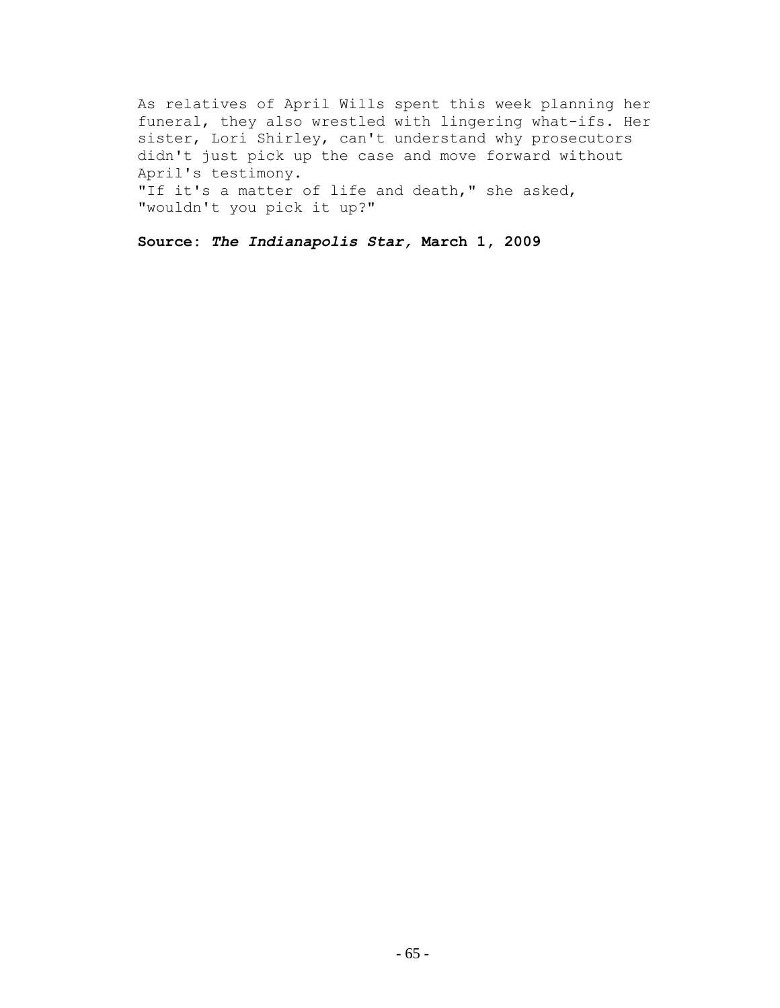As relatives of April Wills spent this week planning her funeral, they also wrestled with lingering what-ifs. Her sister, Lori Shirley, can't understand why prosecutors didn't just pick up the case and move forward without April's testimony. "If it's a matter of life and death," she asked, "wouldn't you pick it up?"

**Source:** *The Indianapolis Star,* **March 1, 2009**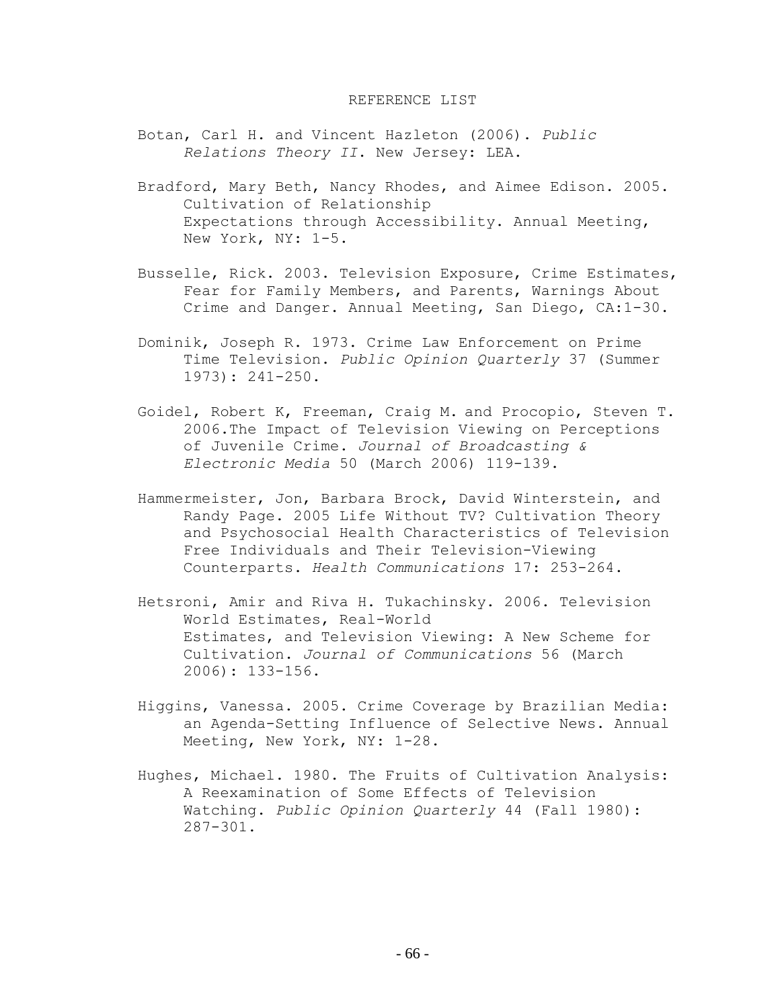### REFERENCE LIST

- Botan, Carl H. and Vincent Hazleton (2006). *Public Relations Theory II*. New Jersey: LEA.
- Bradford, Mary Beth, Nancy Rhodes, and Aimee Edison. 2005. Cultivation of Relationship Expectations through Accessibility. Annual Meeting, New York, NY: 1-5.
- Busselle, Rick. 2003. Television Exposure, Crime Estimates, Fear for Family Members, and Parents, Warnings About Crime and Danger. Annual Meeting, San Diego, CA:1-30.
- Dominik, Joseph R. 1973. Crime Law Enforcement on Prime Time Television. *Public Opinion Quarterly* 37 (Summer 1973): 241-250.
- Goidel, Robert K, [Freeman, Craig M.](javascript:__doLinkPostBack() and [Procopio, Steven T.](javascript:__doLinkPostBack() 2006.The Impact of Television Viewing on Perceptions of Juvenile Crime. *Journal of Broadcasting & Electronic Media* 50 (March 2006) 119-139.
- Hammermeister, Jon, Barbara Brock, David Winterstein, and Randy Page. 2005 Life Without TV? Cultivation Theory and Psychosocial Health Characteristics of Television Free Individuals and Their Television-Viewing Counterparts. *Health Communications* 17: 253-264.
- Hetsroni, Amir and Riva H. Tukachinsky. 2006. Television World Estimates, Real-World Estimates, and Television Viewing: A New Scheme for Cultivation. *Journal of Communications* 56 (March 2006): 133-156.
- Higgins, Vanessa. 2005. Crime Coverage by Brazilian Media: an Agenda-Setting Influence of Selective News. Annual Meeting, New York, NY: 1-28.
- Hughes, Michael. 1980. The Fruits of Cultivation Analysis: A Reexamination of Some Effects of Television Watching. *Public Opinion Quarterly* 44 (Fall 1980): 287-301.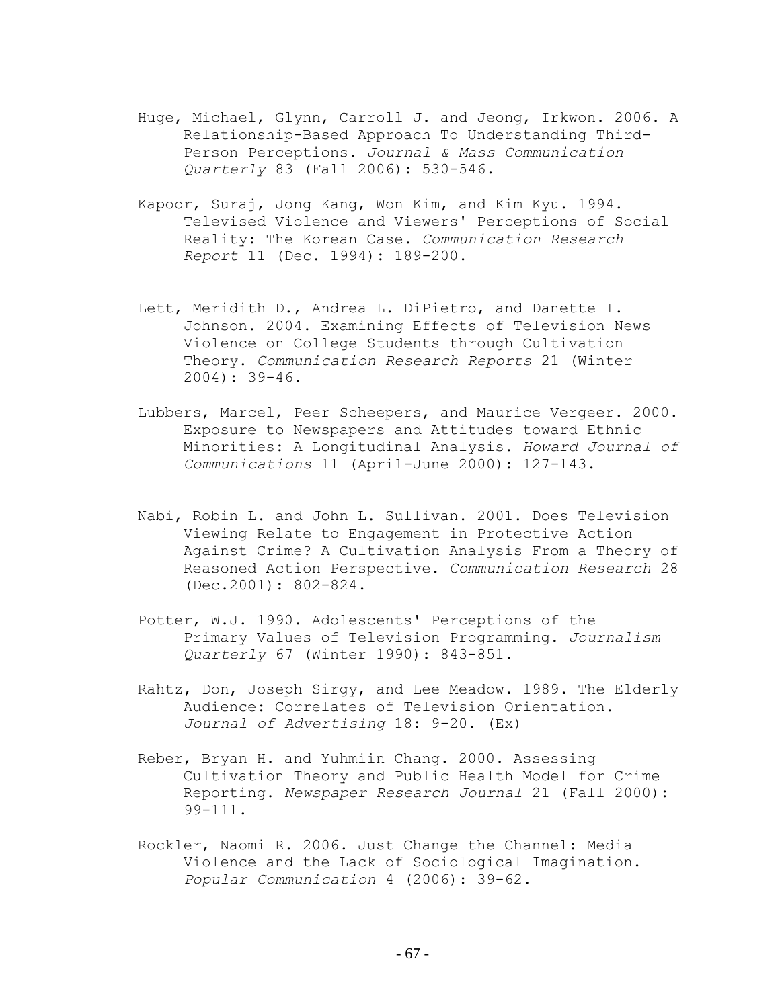- Huge, [Michael,](javascript:__doLinkPostBack() [Glynn, Carroll J.](javascript:__doLinkPostBack() and [Jeong, Irkwon.](javascript:__doLinkPostBack() 2006. A Relationship-Based Approach To Understanding Third-Person Perceptions. *Journal & Mass Communication Quarterly* 83 (Fall 2006): 530-546.
- Kapoor, Suraj, Jong Kang, Won Kim, and Kim Kyu. 1994. Televised Violence and Viewers' Perceptions of Social Reality: The Korean Case. *Communication Research Report* 11 (Dec. 1994): 189-200.
- Lett, Meridith D., Andrea L. DiPietro, and Danette I. Johnson. 2004. Examining Effects of Television News Violence on College Students through Cultivation Theory. *Communication Research Reports* 21 (Winter 2004): 39-46.
- Lubbers, Marcel, Peer Scheepers, and Maurice Vergeer. 2000. Exposure to Newspapers and Attitudes toward Ethnic Minorities: A Longitudinal Analysis. *Howard Journal of Communications* 11 (April-June 2000): 127-143.
- Nabi, Robin L. and John L. Sullivan. 2001. Does Television Viewing Relate to Engagement in Protective Action Against Crime? A Cultivation Analysis From a Theory of Reasoned Action Perspective. *Communication Research* 28 (Dec.2001): 802-824.
- Potter, W.J. 1990. Adolescents' Perceptions of the Primary Values of Television Programming. *[Journalism](http://web14.epnet.com.proxy.bsu.edu/authHjafDetail.asp?tb=1&_ua=shn+38+7D46&_ug=sid+5C371839%2DE9AF%2D4428%2DBE15%2DFA4A3564BFF5%40sessionmgr6+dbs+ufh+cp+1+039E&_us=sel+False+ss+SO+hd+False+hs+True+cst+0%3B1+or+Date+mdbs+ufh+fh+False+frn+31+sm+ES+sl+0+dstb+ES+mh+1+ri+KAAACBWB00005644+F4F3&_uso=hd+False+tg%5B2+%2D+tg%5B1+%2D+tg%5B0+%2D+st%5B2+%2D+st%5B1+%2D+st%5B0+%2DCultivation++theory+db%5B0+%2Dufh+op%5B2+%2DAnd+op%5B1+%2DAnd+op%5B0+%2D+22D0&db=ufhjnh&bs=JN%20%22Journalism%20Quarterly%22&fc=T) [Quarterly](http://web14.epnet.com.proxy.bsu.edu/authHjafDetail.asp?tb=1&_ua=shn+38+7D46&_ug=sid+5C371839%2DE9AF%2D4428%2DBE15%2DFA4A3564BFF5%40sessionmgr6+dbs+ufh+cp+1+039E&_us=sel+False+ss+SO+hd+False+hs+True+cst+0%3B1+or+Date+mdbs+ufh+fh+False+frn+31+sm+ES+sl+0+dstb+ES+mh+1+ri+KAAACBWB00005644+F4F3&_uso=hd+False+tg%5B2+%2D+tg%5B1+%2D+tg%5B0+%2D+st%5B2+%2D+st%5B1+%2D+st%5B0+%2DCultivation++theory+db%5B0+%2Dufh+op%5B2+%2DAnd+op%5B1+%2DAnd+op%5B0+%2D+22D0&db=ufhjnh&bs=JN%20%22Journalism%20Quarterly%22&fc=T)* 67 (Winter 1990): 843-851.
- Rahtz, Don, Joseph Sirgy, and Lee Meadow. 1989. The Elderly Audience: Correlates of Television Orientation. *Journal of Advertising* 18: 9-20. (Ex)
- Reber, Bryan H. and Yuhmiin Chang. 2000. Assessing Cultivation Theory and Public Health Model for Crime Reporting. *Newspaper Research Journal* 21 (Fall 2000): 99-111.
- [Rockler, Naomi R.](javascript:__doLinkPostBack() 2006. Just Change the Channel: Media Violence and the Lack of Sociological Imagination. *Popular Communication* 4 (2006): 39-62.